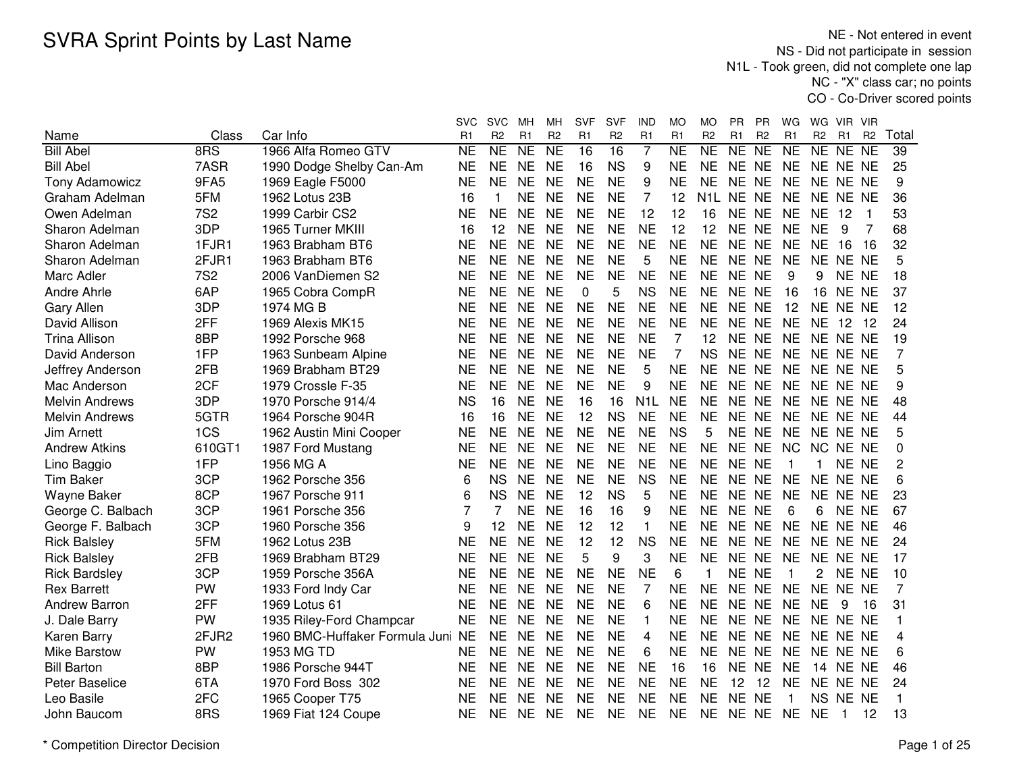NE - Not entered in event NS - Did not participate in session N1L - Took green, did not complete one lap NC - "X" class car; no pointsCO - Co-Driver scored points

|                       |            |                                   | svc       | <b>SVC</b>     | MН              | MН              | SVF            | SVF             | IND              | МO             | МO             | PR        | ΡR             | WG             | WG.            | VIR.            | <b>VIR</b>     |                |
|-----------------------|------------|-----------------------------------|-----------|----------------|-----------------|-----------------|----------------|-----------------|------------------|----------------|----------------|-----------|----------------|----------------|----------------|-----------------|----------------|----------------|
| Name                  | Class      | Car Info                          | R1        | R <sub>2</sub> | R <sub>1</sub>  | R <sub>2</sub>  | R <sub>1</sub> | R <sub>2</sub>  | R1               | R <sub>1</sub> | R <sub>2</sub> | R1        | R <sub>2</sub> | R1             | R <sub>2</sub> | R <sub>1</sub>  | R <sub>2</sub> | Total          |
| <b>Bill Abel</b>      | 8RS        | 1966 Alfa Romeo GTV               | <b>NE</b> | NE             | $\overline{NE}$ | $\overline{NE}$ | 16             | $\overline{16}$ | $\overline{7}$   | <b>NE</b>      | NE             | NE        | <b>NE</b>      | <b>NE</b>      | NE             | NE NE           |                | 39             |
| <b>Bill Abel</b>      | 7ASR       | 1990 Dodge Shelby Can-Am          | <b>NE</b> | <b>NE</b>      | <b>NE</b>       | <b>NE</b>       | 16             | <b>NS</b>       | 9                | <b>NE</b>      | <b>NE</b>      | NE NE     |                | <b>NE</b>      | NE NE NE       |                 |                | 25             |
| <b>Tony Adamowicz</b> | 9FA5       | 1969 Eagle F5000                  | <b>NE</b> | <b>NE</b>      | <b>NE</b>       | <b>NE</b>       | <b>NE</b>      | <b>NE</b>       | 9                | <b>NE</b>      | <b>NE</b>      | NE NE     |                | <b>NE</b>      | NE NE NE       |                 |                | 9              |
| Graham Adelman        | 5FM        | 1962 Lotus 23B                    | 16        | $\mathbf{1}$   | <b>NE</b>       | <b>NE</b>       | <b>NE</b>      | <b>NE</b>       | 7                | 12             | N1L.           | NE NE     |                | <b>NE</b>      | NE NE NE       |                 |                | 36             |
| Owen Adelman          | <b>7S2</b> | 1999 Carbir CS2                   | <b>NE</b> | <b>NE</b>      | <b>NE</b>       | <b>NE</b>       | <b>NE</b>      | <b>NE</b>       | 12               | 12             | 16             | NE NE     |                | <b>NE</b>      | <b>NE</b>      | -12             | 1              | 53             |
| Sharon Adelman        | 3DP        | 1965 Turner MKIII                 | 16        | 12             | <b>NE</b>       | <b>NE</b>       | <b>NE</b>      | <b>NE</b>       | <b>NE</b>        | 12             | 12             | NE NE     |                | <b>NE</b>      | <b>NE</b>      | 9               | 7              | 68             |
| Sharon Adelman        | 1FJR1      | 1963 Brabham BT6                  | <b>NE</b> | <b>NE</b>      | <b>NE</b>       | <b>NE</b>       | <b>NE</b>      | <b>NE</b>       | <b>NE</b>        | <b>NE</b>      | <b>NE</b>      | NE NE     |                | <b>NE</b>      | <b>NE</b>      | -16             | -16            | 32             |
| Sharon Adelman        | 2FJR1      | 1963 Brabham BT6                  | NE        | <b>NE</b>      | <b>NE</b>       | <b>NE</b>       | <b>NE</b>      | <b>NE</b>       | 5                | <b>NE</b>      | <b>NE</b>      | NE NE     |                | <b>NE</b>      | NE NE NE       |                 |                | 5              |
| Marc Adler            | <b>7S2</b> | 2006 VanDiemen S2                 | NE        | <b>NE</b>      | <b>NE</b>       | <b>NE</b>       | <b>NE</b>      | <b>NE</b>       | <b>NE</b>        | <b>NE</b>      | <b>NE</b>      | NE NE     |                | 9              | 9              | NE NE           |                | 18             |
| Andre Ahrle           | 6AP        | 1965 Cobra CompR                  | <b>NE</b> | <b>NE</b>      | <b>NE</b>       | <b>NE</b>       | $\Omega$       | 5               | <b>NS</b>        | <b>NE</b>      | <b>NE</b>      | NE NE     |                | 16             | 16             | NE NE           |                | 37             |
| <b>Gary Allen</b>     | 3DP        | 1974 MG B                         | <b>NE</b> | <b>NE</b>      | <b>NE</b>       | <b>NE</b>       | <b>NE</b>      | <b>NE</b>       | <b>NE</b>        | <b>NE</b>      | <b>NE</b>      | NE NE     |                | 12             | NE.            | NE NE           |                | 12             |
| David Allison         | 2FF        | 1969 Alexis MK15                  | <b>NE</b> | <b>NE</b>      | <b>NE</b>       | <b>NE</b>       | <b>NE</b>      | <b>NE</b>       | <b>NE</b>        | <b>NE</b>      | <b>NE</b>      | NE NE     |                | <b>NE</b>      | <b>NE</b>      | 12              | 12             | 24             |
| <b>Trina Allison</b>  | 8BP        | 1992 Porsche 968                  | <b>NE</b> | <b>NE</b>      | <b>NE</b>       | <b>NE</b>       | <b>NE</b>      | <b>NE</b>       | <b>NE</b>        | 7              | 12             | <b>NE</b> | <b>NE</b>      | <b>NE</b>      | NE NE NE       |                 |                | 19             |
| David Anderson        | 1FP        | 1963 Sunbeam Alpine               | <b>NE</b> | <b>NE</b>      | <b>NE</b>       | <b>NE</b>       | <b>NE</b>      | <b>NE</b>       | <b>NE</b>        | $\overline{7}$ | <b>NS</b>      | NE NE     |                | <b>NE</b>      | NE NE NE       |                 |                | 7              |
| Jeffrey Anderson      | 2FB        | 1969 Brabham BT29                 | <b>NE</b> | <b>NE</b>      | <b>NE</b>       | <b>NE</b>       | <b>NE</b>      | <b>NE</b>       | 5                | <b>NE</b>      | <b>NE</b>      | NE NE     |                | <b>NE</b>      | NE NE NE       |                 |                | 5              |
| Mac Anderson          | 2CF        | 1979 Crossle F-35                 | <b>NE</b> | <b>NE</b>      | <b>NE</b>       | <b>NE</b>       | <b>NE</b>      | <b>NE</b>       | 9                | <b>NE</b>      | <b>NE</b>      | NE NE     |                | <b>NE</b>      | NE NE NE       |                 |                | 9              |
| <b>Melvin Andrews</b> | 3DP        | 1970 Porsche 914/4                | <b>NS</b> | 16             | <b>NE</b>       | <b>NE</b>       | 16             | 16              | N <sub>1</sub> L | <b>NE</b>      | <b>NE</b>      | NE NE     |                | <b>NE</b>      | NE NE NE       |                 |                | 48             |
| <b>Melvin Andrews</b> | 5GTR       | 1964 Porsche 904R                 | 16        | 16             | <b>NE</b>       | <b>NE</b>       | 12             | <b>NS</b>       | <b>NE</b>        | <b>NE</b>      | <b>NE</b>      | NE NE     |                | <b>NE</b>      | NE NE NE       |                 |                | 44             |
| Jim Arnett            | 1CS        | 1962 Austin Mini Cooper           | <b>NE</b> | <b>NE</b>      | <b>NE</b>       | <b>NE</b>       | <b>NE</b>      | <b>NE</b>       | <b>NE</b>        | <b>NS</b>      | 5              | NE NE     |                | <b>NE</b>      | NE NE NE       |                 |                | 5              |
| <b>Andrew Atkins</b>  | 610GT1     | 1987 Ford Mustang                 | <b>NE</b> | <b>NE</b>      | <b>NE</b>       | <b>NE</b>       | <b>NE</b>      | <b>NE</b>       | <b>NE</b>        | <b>NE</b>      | <b>NE</b>      | NE NE     |                | <b>NC</b>      | NC.            | NE NE           |                | 0              |
| Lino Baggio           | 1FP        | 1956 MG A                         | NE        | <b>NE</b>      | <b>NE</b>       | <b>NE</b>       | <b>NE</b>      | <b>NE</b>       | <b>NE</b>        | NE             | <b>NE</b>      | NE NE     |                | $\mathbf 1$    | 1              | NE NE           |                | 2              |
| <b>Tim Baker</b>      | 3CP        | 1962 Porsche 356                  | 6         | <b>NS</b>      | <b>NE</b>       | <b>NE</b>       | <b>NE</b>      | <b>NE</b>       | <b>NS</b>        | <b>NE</b>      | <b>NE</b>      | NE NE     |                | <b>NE</b>      | NE NE NE       |                 |                | 6              |
| <b>Wayne Baker</b>    | 8CP        | 1967 Porsche 911                  | 6         | <b>NS</b>      | <b>NE</b>       | <b>NE</b>       | 12             | <b>NS</b>       | 5                | <b>NE</b>      | <b>NE</b>      | NE NE     |                | <b>NE</b>      | NE.            | NE NE           |                | 23             |
| George C. Balbach     | 3CP        | 1961 Porsche 356                  | 7         | 7              | <b>NE</b>       | <b>NE</b>       | 16             | 16              | 9                | <b>NE</b>      | <b>NE</b>      | NE NE     |                | 6              | 6              | NE NE           |                | 67             |
| George F. Balbach     | 3CP        | 1960 Porsche 356                  | 9         | 12             | <b>NE</b>       | <b>NE</b>       | 12             | 12              | $\mathbf{1}$     | <b>NE</b>      | <b>NE</b>      | NE NE     |                | <b>NE</b>      | NE NE NE       |                 |                | 46             |
| <b>Rick Balsley</b>   | 5FM        | 1962 Lotus 23B                    | NE        | <b>NE</b>      | <b>NE</b>       | <b>NE</b>       | 12             | 12              | <b>NS</b>        | <b>NE</b>      | <b>NE</b>      | NE NE     |                | <b>NE</b>      | NE NE NE       |                 |                | 24             |
| <b>Rick Balsley</b>   | 2FB        | 1969 Brabham BT29                 | <b>NE</b> | <b>NE</b>      | <b>NE</b>       | <b>NE</b>       | 5              | 9               | 3                | <b>NE</b>      | <b>NE</b>      | NE NE     |                | <b>NE</b>      | NE NE NE       |                 |                | 17             |
| <b>Rick Bardsley</b>  | 3CP        | 1959 Porsche 356A                 | <b>NE</b> | <b>NE</b>      | <b>NE</b>       | <b>NE</b>       | <b>NE</b>      | <b>NE</b>       | <b>NE</b>        | 6              |                | NE NE     |                | $\overline{1}$ | $\mathbf{2}$   | NE NE           |                | 10             |
| <b>Rex Barrett</b>    | <b>PW</b>  | 1933 Ford Indy Car                | <b>NE</b> | <b>NE</b>      | <b>NE</b>       | <b>NE</b>       | <b>NE</b>      | <b>NE</b>       | $\overline{7}$   | <b>NE</b>      | <b>NE</b>      | NE NE     |                | <b>NE</b>      | NE NE NE       |                 |                | $\overline{7}$ |
| Andrew Barron         | 2FF        | 1969 Lotus 61                     | <b>NE</b> | <b>NE</b>      | <b>NE</b>       | <b>NE</b>       | <b>NE</b>      | <b>NE</b>       | 6                | <b>NE</b>      | <b>NE</b>      | NE NE     |                | <b>NE</b>      | <b>NE</b>      | 9               | 16             | 31             |
| J. Dale Barry         | <b>PW</b>  | 1935 Riley-Ford Champcar          | <b>NE</b> | <b>NE</b>      | <b>NE</b>       | <b>NE</b>       | <b>NE</b>      | <b>NE</b>       | $\mathbf{1}$     | <b>NE</b>      | <b>NE</b>      | NE NE     |                | <b>NE</b>      | NE NE NE       |                 |                | 1              |
| Karen Barry           | 2FJR2      | 1960 BMC-Huffaker Formula Juni NE |           | <b>NE</b>      | <b>NE</b>       | <b>NE</b>       | <b>NE</b>      | <b>NE</b>       | 4                | <b>NE</b>      | <b>NE</b>      | NE NE     |                | <b>NE</b>      | NE NE NE       |                 |                | 4              |
| <b>Mike Barstow</b>   | <b>PW</b>  | 1953 MG TD                        | <b>NE</b> | <b>NE</b>      | <b>NE</b>       | <b>NE</b>       | <b>NE</b>      | <b>NE</b>       | 6                | <b>NE</b>      | <b>NE</b>      | NE NE     |                | <b>NE</b>      | NE NE NE       |                 |                | 6              |
| <b>Bill Barton</b>    | 8BP        | 1986 Porsche 944T                 | <b>NE</b> | <b>NE</b>      | <b>NE</b>       | <b>NE</b>       | <b>NE</b>      | <b>NE</b>       | <b>NE</b>        | 16             | 16             | NE NE     |                | <b>NE</b>      |                | <b>14 NE NE</b> |                | 46             |
| <b>Peter Baselice</b> | 6TA        | 1970 Ford Boss 302                | NE        | NE.            | NE              | <b>NE</b>       | <b>NE</b>      | <b>NE</b>       | <b>NE</b>        | NE             | <b>NE</b>      | 12        | 12             | NE.            | NE NE NE       |                 |                | 24             |
| Leo Basile            | 2FC        | 1965 Cooper T75                   | NE        | <b>NE</b>      | <b>NE</b>       | <b>NE</b>       | <b>NE</b>      | NE              | <b>NE</b>        | <b>NE</b>      | <b>NE</b>      | NE.       | <b>NE</b>      |                | NS NE NE       |                 |                | 1              |
| John Baucom           | 8RS        | 1969 Fiat 124 Coupe               | <b>NE</b> | <b>NE</b>      | <b>NE</b>       | <b>NE</b>       | <b>NE</b>      | <b>NE</b>       | <b>NE</b>        | <b>NE</b>      | <b>NE</b>      | NE NE     |                | <b>NE</b>      | <b>NE</b>      | -1              | 12             | 13             |
|                       |            |                                   |           |                |                 |                 |                |                 |                  |                |                |           |                |                |                |                 |                |                |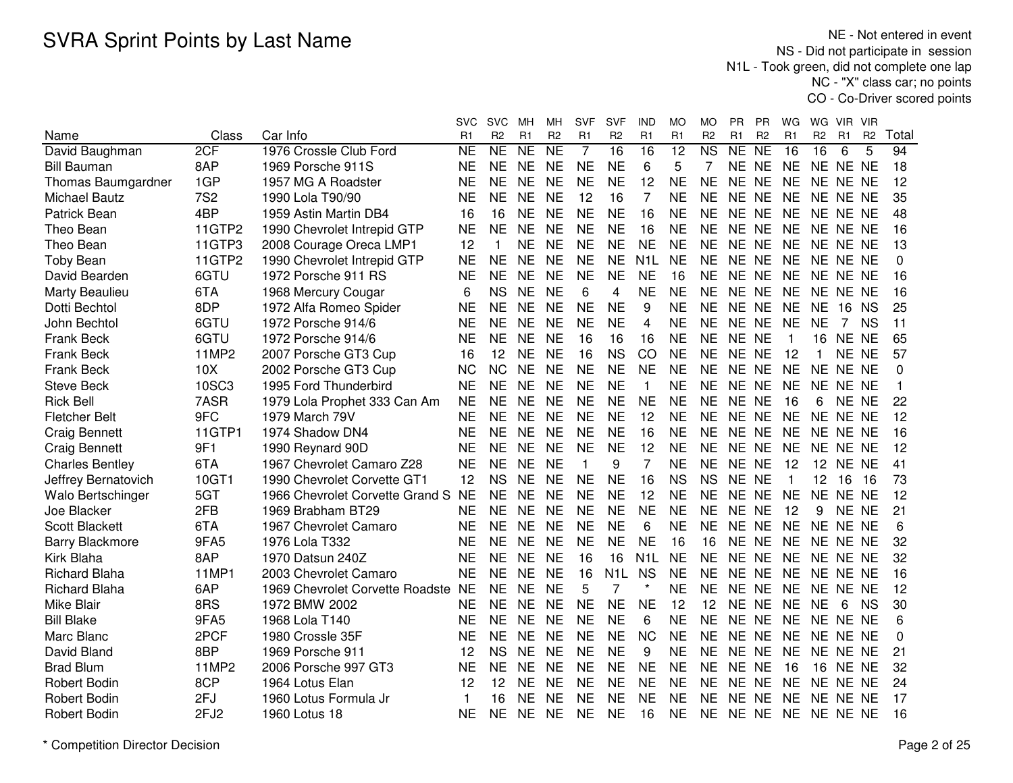|                        |              |                                 | svc       | <b>SVC</b>          | мн        | MН                  | <b>SVF</b>     | SVF              | IND              | МO             | МO                     | РR        | <b>PR</b>      | WG          | WG             | <b>VIR</b>      | <b>VIR</b>     |          |
|------------------------|--------------|---------------------------------|-----------|---------------------|-----------|---------------------|----------------|------------------|------------------|----------------|------------------------|-----------|----------------|-------------|----------------|-----------------|----------------|----------|
| Name                   | Class        | Car Info                        | R1        | R <sub>2</sub>      | R1        | R <sub>2</sub>      | R <sub>1</sub> | R <sub>2</sub>   | R <sub>1</sub>   | R <sub>1</sub> | R <sub>2</sub>         | R1        | R <sub>2</sub> | R1          | R <sub>2</sub> | R1              | R <sub>2</sub> | Total    |
| David Baughman         | 2CF          | 1976 Crossle Club Ford          | <b>NE</b> | $\overline{\sf NE}$ | <b>NE</b> | $\overline{\sf NE}$ | $\overline{7}$ | 16               | 16               | 12             | $\overline{\text{NS}}$ | NE        | N <sub>E</sub> | 16          | 16             | 6               | 5              | 94       |
| <b>Bill Bauman</b>     | 8AP          | 1969 Porsche 911S               | <b>NE</b> | <b>NE</b>           | <b>NE</b> | <b>NE</b>           | <b>NE</b>      | <b>NE</b>        | 6                | 5              | 7                      | <b>NE</b> | <b>NE</b>      | <b>NE</b>   |                | NE NE NE        |                | 18       |
| Thomas Baumgardner     | 1GP          | 1957 MG A Roadster              | <b>NE</b> | <b>NE</b>           | <b>NE</b> | <b>NE</b>           | <b>NE</b>      | <b>NE</b>        | 12               | <b>NE</b>      | <b>NE</b>              | NF.       | <b>NE</b>      | <b>NE</b>   | NE.            | NE NE           |                | 12       |
| <b>Michael Bautz</b>   | <b>7S2</b>   | 1990 Lola T90/90                | <b>NE</b> | <b>NE</b>           | <b>NE</b> | <b>NE</b>           | 12             | 16               | 7                | <b>NE</b>      | <b>NE</b>              | <b>NE</b> | <b>NE</b>      | <b>NE</b>   | <b>NE</b>      | NE NE           |                | 35       |
| Patrick Bean           | 4BP          | 1959 Astin Martin DB4           | 16        | 16                  | <b>NE</b> | <b>NE</b>           | <b>NE</b>      | <b>NE</b>        | 16               | <b>NE</b>      | <b>NE</b>              | NE NE     |                | <b>NE</b>   |                | NE NE NE        |                | 48       |
| Theo Bean              | 11GTP2       | 1990 Chevrolet Intrepid GTP     | <b>NE</b> | <b>NE</b>           | <b>NE</b> | <b>NE</b>           | <b>NE</b>      | <b>NE</b>        | 16               | <b>NE</b>      | <b>NE</b>              | NE NE     |                | <b>NE</b>   |                | NE NE NE        |                | 16       |
| Theo Bean              | 11GTP3       | 2008 Courage Oreca LMP1         | 12        | 1                   | <b>NE</b> | <b>NE</b>           | <b>NE</b>      | <b>NE</b>        | <b>NE</b>        | <b>NE</b>      | <b>NE</b>              | NE NE     |                | <b>NE</b>   |                | NE NE NE        |                | 13       |
| <b>Toby Bean</b>       | 11GTP2       | 1990 Chevrolet Intrepid GTP     | <b>NE</b> | <b>NE</b>           | <b>NE</b> | <b>NE</b>           | <b>NE</b>      | <b>NE</b>        | N <sub>1</sub> L | <b>NE</b>      | <b>NE</b>              | NE NE     |                | <b>NE</b>   |                | NE NE NE        |                | $\Omega$ |
| David Bearden          | 6GTU         | 1972 Porsche 911 RS             | <b>NE</b> | <b>NE</b>           | <b>NE</b> | <b>NE</b>           | <b>NE</b>      | <b>NE</b>        | <b>NE</b>        | 16             | ΝE                     | NE NE     |                | <b>NE</b>   |                | NE NE NE        |                | 16       |
| Marty Beaulieu         | 6TA          | 1968 Mercury Cougar             | 6         | <b>NS</b>           | <b>NE</b> | <b>NE</b>           | 6              | 4                | <b>NE</b>        | <b>NE</b>      | <b>NE</b>              | NE NE     |                | <b>NE</b>   |                | NE NE NE        |                | 16       |
| Dotti Bechtol          | 8DP          | 1972 Alfa Romeo Spider          | <b>NE</b> | <b>NE</b>           | <b>NE</b> | <b>NE</b>           | <b>NE</b>      | <b>NE</b>        | 9                | <b>NE</b>      | <b>NE</b>              | NE NE     |                | <b>NE</b>   | <b>NE</b>      | 16              | <b>NS</b>      | 25       |
| John Bechtol           | 6GTU         | 1972 Porsche 914/6              | <b>NE</b> | <b>NE</b>           | <b>NE</b> | <b>NE</b>           | <b>NE</b>      | <b>NE</b>        | 4                | <b>NE</b>      | <b>NE</b>              | <b>NE</b> | <b>NE</b>      | <b>NE</b>   | <b>NE</b>      | 7               | <b>NS</b>      | 11       |
| <b>Frank Beck</b>      | 6GTU         | 1972 Porsche 914/6              | <b>NE</b> | <b>NE</b>           | <b>NE</b> | <b>NE</b>           | 16             | 16               | 16               | <b>NE</b>      | <b>NE</b>              | <b>NE</b> | <b>NE</b>      | $\mathbf 1$ | 16             | NE NE           |                | 65       |
| <b>Frank Beck</b>      | <b>11MP2</b> | 2007 Porsche GT3 Cup            | 16        | 12                  | <b>NE</b> | <b>NE</b>           | 16             | <b>NS</b>        | CO               | <b>NE</b>      | <b>NE</b>              | NE NE     |                | 12          | $\mathbf 1$    | NE NE           |                | 57       |
| Frank Beck             | 10X          | 2002 Porsche GT3 Cup            | <b>NC</b> | <b>NC</b>           | <b>NE</b> | <b>NE</b>           | <b>NE</b>      | <b>NE</b>        | <b>NE</b>        | <b>NE</b>      | <b>NE</b>              | <b>NE</b> | <b>NE</b>      | <b>NE</b>   | <b>NE</b>      | NE NE           |                | $\Omega$ |
| <b>Steve Beck</b>      | 10SC3        | 1995 Ford Thunderbird           | <b>NE</b> | <b>NE</b>           | <b>NE</b> | <b>NE</b>           | <b>NE</b>      | <b>NE</b>        | 1                | <b>NE</b>      | <b>NE</b>              | NE NE     |                | <b>NE</b>   | <b>NE</b>      | NE NE           |                | 1        |
| <b>Rick Bell</b>       | 7ASR         | 1979 Lola Prophet 333 Can Am    | <b>NE</b> | <b>NE</b>           | <b>NE</b> | <b>NE</b>           | <b>NE</b>      | <b>NE</b>        | <b>NE</b>        | <b>NE</b>      | <b>NE</b>              | <b>NE</b> | <b>NE</b>      | 16          | 6              | NE NE           |                | 22       |
| <b>Fletcher Belt</b>   | 9FC          | 1979 March 79V                  | <b>NE</b> | <b>NE</b>           | <b>NE</b> | <b>NE</b>           | <b>NE</b>      | <b>NE</b>        | 12               | <b>NE</b>      | <b>NE</b>              | <b>NE</b> | <b>NE</b>      | <b>NE</b>   | <b>NE</b>      | NE NE           |                | 12       |
| <b>Craig Bennett</b>   | 11GTP1       | 1974 Shadow DN4                 | <b>NE</b> | <b>NE</b>           | <b>NE</b> | <b>NE</b>           | <b>NE</b>      | <b>NE</b>        | 16               | <b>NE</b>      | <b>NE</b>              | NE NE     |                | <b>NE</b>   |                | NE NE NE        |                | 16       |
| <b>Craig Bennett</b>   | 9F1          | 1990 Reynard 90D                | <b>NE</b> | <b>NE</b>           | <b>NE</b> | <b>NE</b>           | <b>NE</b>      | <b>NE</b>        | 12               | <b>NE</b>      | <b>NE</b>              | NE NE     |                | <b>NE</b>   |                | NE NE NE        |                | 12       |
| <b>Charles Bentley</b> | 6TA          | 1967 Chevrolet Camaro Z28       | <b>NE</b> | NE.                 | <b>NE</b> | <b>NE</b>           | 1              | 9                | 7                | NE             | <b>NE</b>              | NE NE     |                | 12          |                | <b>12 NE NE</b> |                | 41       |
| Jeffrey Bernatovich    | 10GT1        | 1990 Chevrolet Corvette GT1     | 12        | <b>NS</b>           | <b>NE</b> | <b>NE</b>           | <b>NE</b>      | <b>NE</b>        | 16               | <b>NS</b>      | <b>NS</b>              | NE NE     |                |             | 12             | 16              | -16            | 73       |
| Walo Bertschinger      | 5GT          | 1966 Chevrolet Corvette Grand S | <b>NE</b> | <b>NE</b>           | <b>NE</b> | <b>NE</b>           | <b>NE</b>      | <b>NE</b>        | 12               | <b>NE</b>      | <b>NE</b>              | <b>NE</b> | <b>NE</b>      | <b>NE</b>   | <b>NE</b>      | NE NE           |                | 12       |
| Joe Blacker            | 2FB          | 1969 Brabham BT29               | <b>NE</b> | <b>NE</b>           | <b>NE</b> | <b>NE</b>           | <b>NE</b>      | <b>NE</b>        | <b>NE</b>        | <b>NE</b>      | <b>NE</b>              | NE NE     |                | 12          | 9              | NE NE           |                | 21       |
| <b>Scott Blackett</b>  | 6TA          | 1967 Chevrolet Camaro           | <b>NE</b> | <b>NE</b>           | <b>NE</b> | <b>NE</b>           | <b>NE</b>      | <b>NE</b>        | 6                | <b>NE</b>      | <b>NE</b>              | <b>NE</b> | <b>NE</b>      | <b>NE</b>   | <b>NE</b>      | NE NE           |                | 6        |
| <b>Barry Blackmore</b> | 9FA5         | 1976 Lola T332                  | <b>NE</b> | <b>NE</b>           | <b>NE</b> | <b>NE</b>           | <b>NE</b>      | <b>NE</b>        | <b>NE</b>        | 16             | 16                     | NE.       | <b>NE</b>      | <b>NE</b>   | NE.            | NE NE           |                | 32       |
| Kirk Blaha             | 8AP          | 1970 Datsun 240Z                | <b>NE</b> | <b>NE</b>           | <b>NE</b> | <b>NE</b>           | 16             | 16               | N <sub>1</sub> L | <b>NE</b>      | <b>NE</b>              | <b>NE</b> | <b>NE</b>      | <b>NE</b>   |                | NE NE NE        |                | 32       |
| <b>Richard Blaha</b>   | 11MP1        | 2003 Chevrolet Camaro           | <b>NE</b> | <b>NE</b>           | <b>NE</b> | <b>NE</b>           | 16             | N <sub>1</sub> L | <b>NS</b>        | <b>NE</b>      | <b>NE</b>              | NE NE     |                | <b>NE</b>   |                | NE NE NE        |                | 16       |
| <b>Richard Blaha</b>   | 6AP          | 1969 Chevrolet Corvette Roadste | <b>NE</b> | <b>NE</b>           | <b>NE</b> | <b>NE</b>           | 5              | 7                |                  | <b>NE</b>      | <b>NE</b>              | <b>NE</b> | <b>NE</b>      | <b>NE</b>   |                | NE NE NE        |                | 12       |
| Mike Blair             | 8RS          | 1972 BMW 2002                   | <b>NE</b> | <b>NE</b>           | <b>NE</b> | <b>NE</b>           | <b>NE</b>      | <b>NE</b>        | <b>NE</b>        | 12             | 12                     | NE.       | <b>NE</b>      | <b>NE</b>   | NE.            | 6               | <b>NS</b>      | 30       |
| <b>Bill Blake</b>      | 9FA5         | 1968 Lola T140                  | <b>NE</b> | <b>NE</b>           | <b>NE</b> | <b>NE</b>           | <b>NE</b>      | <b>NE</b>        | 6                | <b>NE</b>      | <b>NE</b>              | <b>NE</b> | <b>NE</b>      | <b>NE</b>   | NE.            | NE NE           |                | 6        |
| Marc Blanc             | 2PCF         | 1980 Crossle 35F                | <b>NE</b> | <b>NE</b>           | <b>NE</b> | <b>NE</b>           | <b>NE</b>      | <b>NE</b>        | <b>NC</b>        | <b>NE</b>      | <b>NE</b>              | <b>NE</b> | <b>NE</b>      | <b>NE</b>   | <b>NE</b>      | NE NE           |                | 0        |
| David Bland            | 8BP          | 1969 Porsche 911                | 12        | <b>NS</b>           | <b>NE</b> | <b>NE</b>           | <b>NE</b>      | <b>NE</b>        | 9                | <b>NE</b>      | <b>NE</b>              | NE NE     |                | <b>NE</b>   | NE.            | NE NE           |                | 21       |
| <b>Brad Blum</b>       | <b>11MP2</b> | 2006 Porsche 997 GT3            | <b>NE</b> | <b>NE</b>           | <b>NE</b> | <b>NE</b>           | <b>NE</b>      | <b>NE</b>        | <b>NE</b>        | <b>NE</b>      | <b>NE</b>              | NE NE     |                | 16          | 16             | NE NE           |                | 32       |
| <b>Robert Bodin</b>    | 8CP          | 1964 Lotus Elan                 | 12        | 12                  | NE        | <b>NE</b>           | <b>NE</b>      | <b>NE</b>        | NE               | NE             | <b>NE</b>              | NE NE     |                | <b>NE</b>   |                | NE NE NE        |                | 24       |
| <b>Robert Bodin</b>    | 2FJ          | 1960 Lotus Formula Jr           | 1         | 16                  | NE        | <b>NE</b>           | <b>NE</b>      | <b>NE</b>        | <b>NE</b>        | <b>NE</b>      | ΝE                     | NE.       | <b>NE</b>      | NE          |                | NE NE NE        |                | 17       |
| <b>Robert Bodin</b>    | 2FJ2         | 1960 Lotus 18                   | <b>NE</b> | <b>NE</b>           | <b>NE</b> | <b>NE</b>           | <b>NE</b>      | NE               | 16               | <b>NE</b>      | ΝE                     | NE NE     |                | <b>NE</b>   | NE NE NE       |                 |                | 16       |
|                        |              |                                 |           |                     |           |                     |                |                  |                  |                |                        |           |                |             |                |                 |                |          |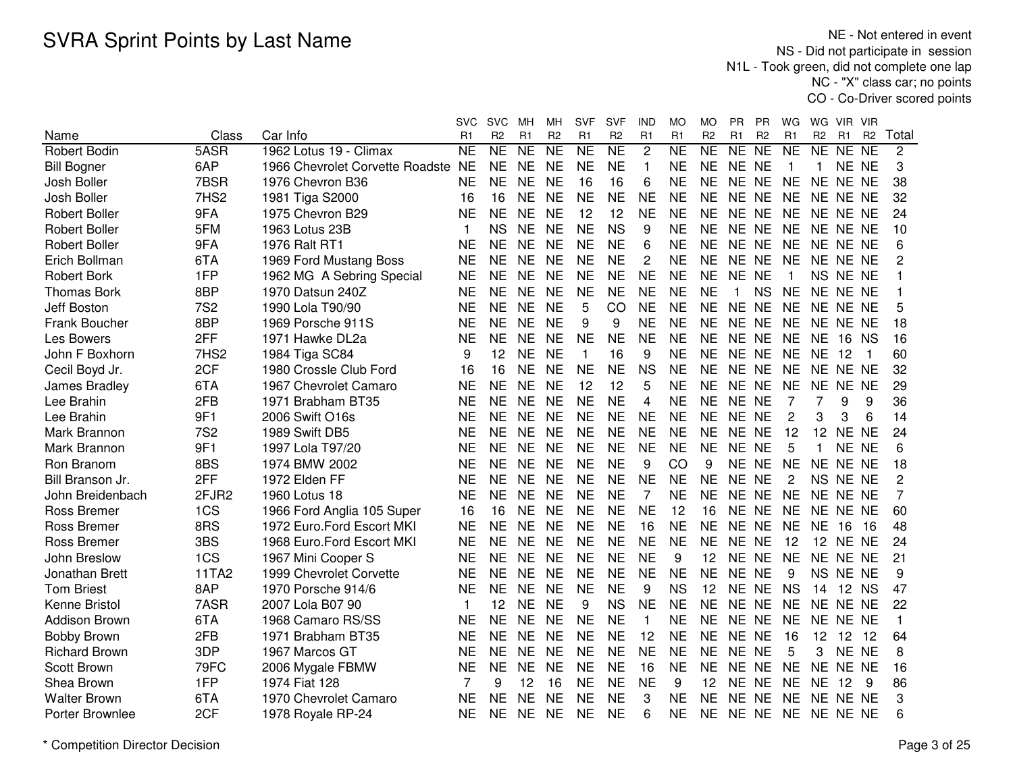NE - Not entered in event NS - Did not participate in session N1L - Took green, did not complete one lap NC - "X" class car; no pointsCO - Co-Driver scored points

|                      |            |                                 | svc            | <b>SVC</b>     | мн              | MН             | <b>SVF</b>          | SVF            | <b>IND</b>     | МO                  | MO                  | РR           | <b>PR</b>      | WG              | WG             | VIR.            | <b>VIR</b>      |                |
|----------------------|------------|---------------------------------|----------------|----------------|-----------------|----------------|---------------------|----------------|----------------|---------------------|---------------------|--------------|----------------|-----------------|----------------|-----------------|-----------------|----------------|
| Name                 | Class      | Car Info                        | R <sub>1</sub> | R <sub>2</sub> | R1              | R <sub>2</sub> | R <sub>1</sub>      | R <sub>2</sub> | R <sub>1</sub> | R1                  | R <sub>2</sub>      | R1           | R <sub>2</sub> | R1              | R <sub>2</sub> | R <sub>1</sub>  | R <sub>2</sub>  | Total          |
| <b>Robert Bodin</b>  | 5ASR       | 1962 Lotus 19 - Climax          | <b>NE</b>      | <b>NE</b>      | $\overline{NE}$ | NE             | $\overline{\sf NE}$ | N <sub>E</sub> | $\overline{2}$ | $\overline{\sf NE}$ | $\overline{\sf NE}$ | NE           | NE             | $\overline{NE}$ | NE             | NE              | $\overline{NE}$ | $\overline{2}$ |
| <b>Bill Bogner</b>   | 6AP        | 1966 Chevrolet Corvette Roadste | <b>NE</b>      | <b>NE</b>      | <b>NE</b>       | <b>NE</b>      | <b>NE</b>           | <b>NE</b>      | $\mathbf{1}$   | <b>NE</b>           | <b>NE</b>           | NE NE        |                | $\overline{1}$  | 1              | NE NE           |                 | 3              |
| Josh Boller          | 7BSR       | 1976 Chevron B36                | <b>NE</b>      | <b>NE</b>      | <b>NE</b>       | <b>NE</b>      | 16                  | 16             | 6              | <b>NE</b>           | <b>NE</b>           | NE NE        |                | <b>NE</b>       | NE.            | NE NE           |                 | 38             |
| Josh Boller          | 7HS2       | 1981 Tiga S2000                 | 16             | 16             | <b>NE</b>       | <b>NE</b>      | <b>NE</b>           | <b>NE</b>      | <b>NE</b>      | <b>NE</b>           | <b>NE</b>           | NE NE        |                | <b>NE</b>       | NE NE NE       |                 |                 | 32             |
| <b>Robert Boller</b> | 9FA        | 1975 Chevron B29                | <b>NE</b>      | <b>NE</b>      | <b>NE</b>       | <b>NE</b>      | 12                  | 12             | <b>NE</b>      | <b>NE</b>           | <b>NE</b>           | NE NE        |                | <b>NE</b>       | NE NE NE       |                 |                 | 24             |
| <b>Robert Boller</b> | 5FM        | 1963 Lotus 23B                  | 1              | <b>NS</b>      | <b>NE</b>       | <b>NE</b>      | <b>NE</b>           | <b>NS</b>      | 9              | <b>NE</b>           | <b>NE</b>           | NE NE        |                | <b>NE</b>       | NE NE NE       |                 |                 | 10             |
| <b>Robert Boller</b> | 9FA        | 1976 Ralt RT1                   | <b>NE</b>      | <b>NE</b>      | <b>NE</b>       | <b>NE</b>      | <b>NE</b>           | <b>NE</b>      | 6              | <b>NE</b>           | <b>NE</b>           | NE NE        |                | <b>NE</b>       | NE NE NE       |                 |                 | 6              |
| Erich Bollman        | 6TA        | 1969 Ford Mustang Boss          | <b>NE</b>      | NE             | <b>NE</b>       | <b>NE</b>      | <b>NE</b>           | <b>NE</b>      | 2              | NE                  | <b>NE</b>           | NE NE        |                | <b>NE</b>       | NE NE NE       |                 |                 | 2              |
| <b>Robert Bork</b>   | 1FP        | 1962 MG A Sebring Special       | <b>NE</b>      | <b>NE</b>      | <b>NE</b>       | <b>NE</b>      | <b>NE</b>           | <b>NE</b>      | <b>NE</b>      | <b>NE</b>           | <b>NE</b>           | NE NE        |                | 1               |                | NS NE NE        |                 |                |
| <b>Thomas Bork</b>   | 8BP        | 1970 Datsun 240Z                | <b>NE</b>      | NE             | <b>NE</b>       | <b>NE</b>      | <b>NE</b>           | <b>NE</b>      | <b>NE</b>      | <b>NE</b>           | <b>NE</b>           | $\mathbf{1}$ | <b>NS</b>      | <b>NE</b>       | NE NE NE       |                 |                 |                |
| <b>Jeff Boston</b>   | <b>7S2</b> | 1990 Lola T90/90                | <b>NE</b>      | <b>NE</b>      | <b>NE</b>       | <b>NE</b>      | 5                   | CO             | <b>NE</b>      | <b>NE</b>           | <b>NE</b>           | NE NE        |                | <b>NE</b>       | NE NE NE       |                 |                 | 5              |
| Frank Boucher        | 8BP        | 1969 Porsche 911S               | <b>NE</b>      | <b>NE</b>      | <b>NE</b>       | <b>NE</b>      | 9                   | 9              | <b>NE</b>      | <b>NE</b>           | <b>NE</b>           | NE NE        |                | <b>NE</b>       | NE NE NE       |                 |                 | 18             |
| Les Bowers           | 2FF        | 1971 Hawke DL2a                 | <b>NE</b>      | <b>NE</b>      | <b>NE</b>       | <b>NE</b>      | <b>NE</b>           | <b>NE</b>      | <b>NE</b>      | <b>NE</b>           | <b>NE</b>           | NE NE        |                | <b>NE</b>       | <b>NE</b>      | 16              | <b>NS</b>       | 16             |
| John F Boxhorn       | 7HS2       | 1984 Tiga SC84                  | 9              | 12             | <b>NE</b>       | <b>NE</b>      | $\mathbf{1}$        | 16             | 9              | <b>NE</b>           | <b>NE</b>           | NE NE        |                | <b>NE</b>       | <b>NE</b>      | -12             |                 | 60             |
| Cecil Boyd Jr.       | 2CF        | 1980 Crossle Club Ford          | 16             | 16             | <b>NE</b>       | <b>NE</b>      | <b>NE</b>           | <b>NE</b>      | <b>NS</b>      | <b>NE</b>           | <b>NE</b>           | NE NE        |                | <b>NE</b>       | NE NE NE       |                 |                 | 32             |
| James Bradley        | 6TA        | 1967 Chevrolet Camaro           | <b>NE</b>      | <b>NE</b>      | <b>NE</b>       | <b>NE</b>      | 12                  | 12             | 5              | <b>NE</b>           | <b>NE</b>           | NE NE        |                | <b>NE</b>       | NE NE NE       |                 |                 | 29             |
| Lee Brahin           | 2FB        | 1971 Brabham BT35               | <b>NE</b>      | <b>NE</b>      | <b>NE</b>       | <b>NE</b>      | <b>NE</b>           | <b>NE</b>      | $\overline{4}$ | <b>NE</b>           | <b>NE</b>           | NE NE        |                | $\overline{7}$  | 7              | 9               | 9               | 36             |
| Lee Brahin           | 9F1        | 2006 Swift O16s                 | <b>NE</b>      | <b>NE</b>      | <b>NE</b>       | <b>NE</b>      | <b>NE</b>           | <b>NE</b>      | <b>NE</b>      | <b>NE</b>           | <b>NE</b>           | NE NE        |                | $\overline{2}$  | 3              | 3               | 6               | 14             |
| Mark Brannon         | <b>7S2</b> | 1989 Swift DB5                  | <b>NE</b>      | <b>NE</b>      | <b>NE</b>       | <b>NE</b>      | <b>NE</b>           | <b>NE</b>      | <b>NE</b>      | <b>NE</b>           | <b>NE</b>           | NE NE        |                | 12              | 12             | <b>NE</b>       | <b>NE</b>       | 24             |
| Mark Brannon         | 9F1        | 1997 Lola T97/20                | <b>NE</b>      | <b>NE</b>      | <b>NE</b>       | <b>NE</b>      | <b>NE</b>           | <b>NE</b>      | <b>NE</b>      | <b>NE</b>           | <b>NE</b>           | NE NE        |                | 5               | $\mathbf{1}$   | NE NE           |                 | 6              |
| Ron Branom           | 8BS        | 1974 BMW 2002                   | <b>NE</b>      | <b>NE</b>      | <b>NE</b>       | <b>NE</b>      | <b>NE</b>           | <b>NE</b>      | 9              | CO                  | 9                   | NE NE        |                | <b>NE</b>       | NE NE NE       |                 |                 | 18             |
| Bill Branson Jr.     | 2FF        | 1972 Elden FF                   | <b>NE</b>      | <b>NE</b>      | <b>NE</b>       | <b>NE</b>      | <b>NE</b>           | <b>NE</b>      | <b>NE</b>      | <b>NE</b>           | <b>NE</b>           | NE NE        |                | 2               |                | NS NE NE        |                 | 2              |
| John Breidenbach     | 2FJR2      | 1960 Lotus 18                   | <b>NE</b>      | <b>NE</b>      | <b>NE</b>       | <b>NE</b>      | <b>NE</b>           | <b>NE</b>      | 7              | <b>NE</b>           | <b>NE</b>           | NE NE        |                | <b>NE</b>       | NE NE NE       |                 |                 | 7              |
| <b>Ross Bremer</b>   | 1CS        | 1966 Ford Anglia 105 Super      | 16             | 16             | <b>NE</b>       | <b>NE</b>      | <b>NE</b>           | <b>NE</b>      | <b>NE</b>      | 12                  | 16                  | NE NE        |                | <b>NE</b>       | NE NE NE       |                 |                 | 60             |
| <b>Ross Bremer</b>   | 8RS        | 1972 Euro.Ford Escort MKI       | <b>NE</b>      | <b>NE</b>      | <b>NE</b>       | <b>NE</b>      | <b>NE</b>           | <b>NE</b>      | 16             | <b>NE</b>           | <b>NE</b>           | NE NE        |                | <b>NE</b>       | <b>NE</b>      | 16              | -16             | 48             |
| Ross Bremer          | 3BS        | 1968 Euro.Ford Escort MKI       | <b>NE</b>      | NE             | <b>NE</b>       | <b>NE</b>      | <b>NE</b>           | <b>NE</b>      | <b>NE</b>      | <b>NE</b>           | <b>NE</b>           | NE NE        |                | 12              |                | <b>12 NE NE</b> |                 | 24             |
| John Breslow         | 1CS        | 1967 Mini Cooper S              | <b>NE</b>      | <b>NE</b>      | <b>NE</b>       | <b>NE</b>      | <b>NE</b>           | <b>NE</b>      | <b>NE</b>      | 9                   | 12                  | NE NE        |                | <b>NE</b>       | <b>NE</b>      | NE NE           |                 | 21             |
| Jonathan Brett       | 11TA2      | 1999 Chevrolet Corvette         | <b>NE</b>      | <b>NE</b>      | <b>NE</b>       | <b>NE</b>      | <b>NE</b>           | <b>NE</b>      | <b>NE</b>      | <b>NE</b>           | <b>NE</b>           | NE NE        |                | 9               | NS NE NE       |                 |                 | 9              |
| <b>Tom Briest</b>    | 8AP        | 1970 Porsche 914/6              | <b>NE</b>      | <b>NE</b>      | <b>NE</b>       | <b>NE</b>      | <b>NE</b>           | <b>NE</b>      | 9              | <b>NS</b>           | 12                  | NE NE        |                | <b>NS</b>       | 14             | 12 NS           |                 | 47             |
| Kenne Bristol        | 7ASR       | 2007 Lola B07 90                | 1              | 12             | <b>NE</b>       | <b>NE</b>      | 9                   | <b>NS</b>      | <b>NE</b>      | <b>NE</b>           | <b>NE</b>           | NE NE        |                | <b>NE</b>       | NE NE NE       |                 |                 | 22             |
| Addison Brown        | 6TA        | 1968 Camaro RS/SS               | <b>NE</b>      | <b>NE</b>      | <b>NE</b>       | <b>NE</b>      | <b>NE</b>           | <b>NE</b>      | $\overline{1}$ | <b>NE</b>           | <b>NE</b>           | NE NE        |                | <b>NE</b>       | <b>NE</b>      | NE NE           |                 | $\mathbf{1}$   |
| <b>Bobby Brown</b>   | 2FB        | 1971 Brabham BT35               | <b>NE</b>      | <b>NE</b>      | <b>NE</b>       | <b>NE</b>      | <b>NE</b>           | <b>NE</b>      | 12             | <b>NE</b>           | <b>NE</b>           | NE NE        |                | 16              | 12             | 12              | 12              | 64             |
| <b>Richard Brown</b> | 3DP        | 1967 Marcos GT                  | <b>NE</b>      | <b>NE</b>      | <b>NE</b>       | <b>NE</b>      | <b>NE</b>           | <b>NE</b>      | <b>NE</b>      | <b>NE</b>           | <b>NE</b>           | NE NE        |                | 5               | 3              | NE NE           |                 | 8              |
| Scott Brown          | 79FC       | 2006 Mygale FBMW                | <b>NE</b>      | <b>NE</b>      | <b>NE</b>       | <b>NE</b>      | <b>NE</b>           | <b>NE</b>      | 16             | <b>NE</b>           | <b>NE</b>           | NE NE        |                | <b>NE</b>       | NE NE NE       |                 |                 | 16             |
| Shea Brown           | 1FP        | 1974 Fiat 128                   | $\overline{7}$ | 9              | 12              | 16             | <b>NE</b>           | <b>NE</b>      | <b>NE</b>      | 9                   | 12                  | NE NE        |                | <b>NE</b>       | <b>NE</b>      | 12              | 9               | 86             |
| <b>Walter Brown</b>  | 6TA        | 1970 Chevrolet Camaro           | <b>NE</b>      | <b>NE</b>      | <b>NE</b>       | <b>NE</b>      | <b>NE</b>           | <b>NE</b>      | 3              | <b>NE</b>           | <b>NE</b>           | NE NE        |                | <b>NE</b>       | NE NE NE       |                 |                 | 3              |
| Porter Brownlee      | 2CF        | 1978 Royale RP-24               | <b>NE</b>      | <b>NE</b>      | <b>NE</b>       | <b>NE</b>      | <b>NE</b>           | <b>NE</b>      | 6              | ΝE                  | <b>NE</b>           |              | NE NE NE       |                 | NE NE NE       |                 |                 | 6              |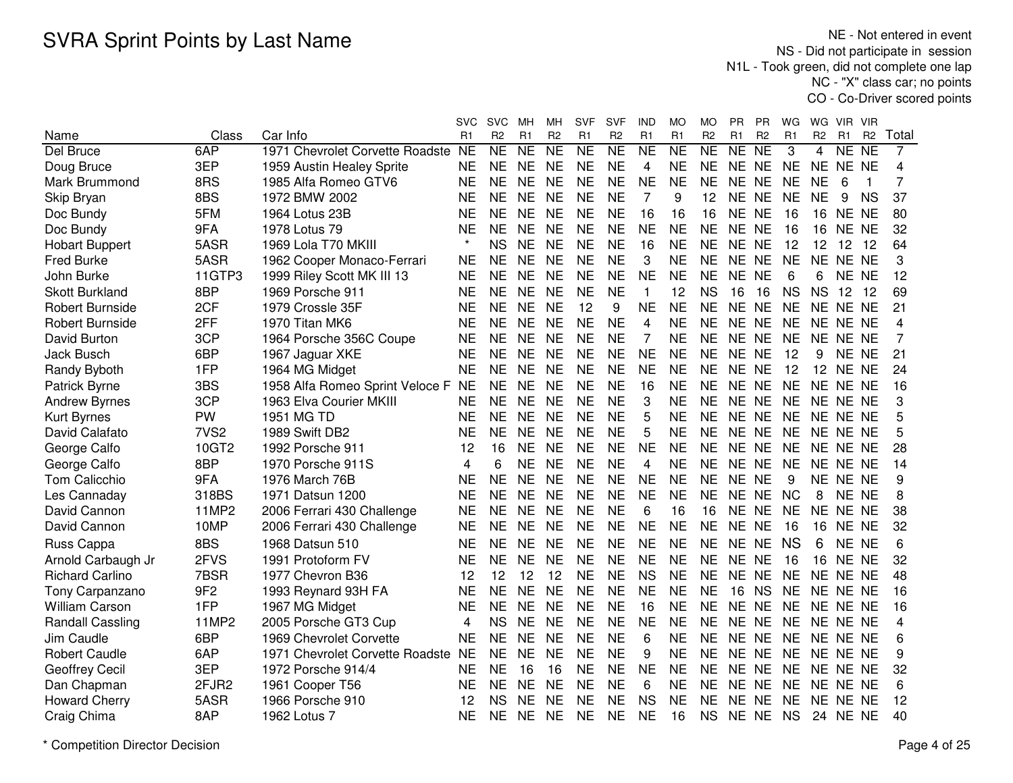NE - Not entered in event NS - Did not participate in session N1L - Took green, did not complete one lap NC - "X" class car; no pointsCO - Co-Driver scored points

|                         |                  |                                    | svc       | <b>SVC</b>          | мн        | MН             | <b>SVF</b> | <b>SVF</b>     | IND            | МO        | MО             | PR    | PR             | WG        | WG             | VIR.          | <b>VIR</b>     |                |
|-------------------------|------------------|------------------------------------|-----------|---------------------|-----------|----------------|------------|----------------|----------------|-----------|----------------|-------|----------------|-----------|----------------|---------------|----------------|----------------|
| Name                    | Class            | Car Info                           | R1        | R <sub>2</sub>      | R1        | R <sub>2</sub> | R1         | R <sub>2</sub> | R1             | R1        | R <sub>2</sub> | R1    | R <sub>2</sub> | R1        | R <sub>2</sub> | R1            | R <sub>2</sub> | Total          |
| Del Bruce               | 6AP              | 1971 Chevrolet Corvette Roadste NE |           | $\overline{\sf NE}$ | <b>NE</b> | NE             | NE         | NE             | N <sub>E</sub> | <b>NE</b> | NE             | NE    | NE             | 3         | 4              | NE NE         |                | $\overline{7}$ |
| Doug Bruce              | 3EP              | 1959 Austin Healey Sprite          | <b>NE</b> | <b>NE</b>           | <b>NE</b> | <b>NE</b>      | <b>NE</b>  | <b>NE</b>      | 4              | <b>NE</b> | <b>NE</b>      | NE NE |                | <b>NE</b> |                | NE NE NE      |                | 4              |
| Mark Brummond           | 8RS              | 1985 Alfa Romeo GTV6               | <b>NE</b> | <b>NE</b>           | <b>NE</b> | <b>NE</b>      | <b>NE</b>  | <b>NE</b>      | <b>NE</b>      | <b>NE</b> | <b>NE</b>      | NE NE |                | <b>NE</b> | <b>NE</b>      | 6             | 1              | 7              |
| Skip Bryan              | 8BS              | 1972 BMW 2002                      | <b>NE</b> | <b>NE</b>           | <b>NE</b> | <b>NE</b>      | <b>NE</b>  | <b>NE</b>      | $\overline{7}$ | 9         | 12             | NE NE |                | <b>NE</b> | <b>NE</b>      | 9             | <b>NS</b>      | 37             |
| Doc Bundy               | 5FM              | 1964 Lotus 23B                     | <b>NE</b> | <b>NE</b>           | <b>NE</b> | <b>NE</b>      | <b>NE</b>  | <b>NE</b>      | 16             | 16        | 16             | NE NE |                | 16        | 16             | NE NE         |                | 80             |
| Doc Bundy               | 9FA              | 1978 Lotus 79                      | <b>NE</b> | <b>NE</b>           | <b>NE</b> | <b>NE</b>      | <b>NE</b>  | <b>NE</b>      | <b>NE</b>      | <b>NE</b> | <b>NE</b>      | NE NE |                | 16        | 16             | NE NE         |                | 32             |
| <b>Hobart Buppert</b>   | 5ASR             | 1969 Lola T70 MKIII                |           | <b>NS</b>           | <b>NE</b> | <b>NE</b>      | <b>NE</b>  | <b>NE</b>      | 16             | <b>NE</b> | <b>NE</b>      | NE NE |                | 12        | 12             | $12 \quad 12$ |                | 64             |
| Fred Burke              | 5ASR             | 1962 Cooper Monaco-Ferrari         | <b>NE</b> | <b>NE</b>           | <b>NE</b> | <b>NE</b>      | <b>NE</b>  | <b>NE</b>      | 3              | <b>NE</b> | <b>NE</b>      | NE NE |                | <b>NE</b> |                | NE NE NE      |                | 3              |
| John Burke              | 11GTP3           | 1999 Riley Scott MK III 13         | <b>NE</b> | NE                  | <b>NE</b> | <b>NE</b>      | <b>NE</b>  | <b>NE</b>      | <b>NE</b>      | <b>NE</b> | <b>NE</b>      | NE NE |                | 6         | 6              | NE NE         |                | 12             |
| <b>Skott Burkland</b>   | 8BP              | 1969 Porsche 911                   | <b>NE</b> | <b>NE</b>           | <b>NE</b> | <b>NE</b>      | <b>NE</b>  | <b>NE</b>      | $\mathbf{1}$   | 12        | <b>NS</b>      | 16    | 16             | <b>NS</b> | <b>NS</b>      | 12 12         |                | 69             |
| Robert Burnside         | 2CF              | 1979 Crossle 35F                   | <b>NE</b> | <b>NE</b>           | <b>NE</b> | <b>NE</b>      | 12         | 9              | <b>NE</b>      | <b>NE</b> | <b>NE</b>      | NE NE |                | <b>NE</b> | NE NE NE       |               |                | 21             |
| <b>Robert Burnside</b>  | 2FF              | 1970 Titan MK6                     | <b>NE</b> | <b>NE</b>           | <b>NE</b> | <b>NE</b>      | <b>NE</b>  | <b>NE</b>      | $\overline{4}$ | <b>NE</b> | <b>NE</b>      | NE NE |                | <b>NE</b> | NE NE NE       |               |                | 4              |
| David Burton            | 3CP              | 1964 Porsche 356C Coupe            | <b>NE</b> | <b>NE</b>           | <b>NE</b> | <b>NE</b>      | <b>NE</b>  | <b>NE</b>      | 7              | <b>NE</b> | <b>NE</b>      | NE NE |                | <b>NE</b> |                | NE NE NE      |                | 7              |
| <b>Jack Busch</b>       | 6BP              | 1967 Jaguar XKE                    | <b>NE</b> | <b>NE</b>           | <b>NE</b> | <b>NE</b>      | <b>NE</b>  | <b>NE</b>      | <b>NE</b>      | <b>NE</b> | <b>NE</b>      | NE NE |                | 12        | 9              | NE NE         |                | 21             |
| Randy Byboth            | 1FP              | 1964 MG Midget                     | <b>NE</b> | <b>NE</b>           | <b>NE</b> | <b>NE</b>      | <b>NE</b>  | <b>NE</b>      | <b>NE</b>      | <b>NE</b> | <b>NE</b>      | NE NE |                | 12        | 12             | NE NE         |                | 24             |
| <b>Patrick Byrne</b>    | 3BS              | 1958 Alfa Romeo Sprint Veloce F NE |           | <b>NE</b>           | <b>NE</b> | <b>NE</b>      | <b>NE</b>  | <b>NE</b>      | 16             | <b>NE</b> | <b>NE</b>      | NE NE |                | <b>NE</b> | NE NE NE       |               |                | 16             |
| <b>Andrew Byrnes</b>    | 3CP              | 1963 Elva Courier MKIII            | <b>NE</b> | <b>NE</b>           | <b>NE</b> | <b>NE</b>      | <b>NE</b>  | <b>NE</b>      | 3              | <b>NE</b> | <b>NE</b>      | NE NE |                | <b>NE</b> |                | NE NE NE      |                | 3              |
| Kurt Byrnes             | PW               | 1951 MG TD                         | <b>NE</b> | <b>NE</b>           | <b>NE</b> | <b>NE</b>      | <b>NE</b>  | <b>NE</b>      | 5              | <b>NE</b> | <b>NE</b>      | NE NE |                | <b>NE</b> |                | NE NE NE      |                | 5              |
| David Calafato          | 7VS <sub>2</sub> | 1989 Swift DB2                     | <b>NE</b> | <b>NE</b>           | <b>NE</b> | <b>NE</b>      | <b>NE</b>  | <b>NE</b>      | 5              | <b>NE</b> | <b>NE</b>      | NE NE |                | <b>NE</b> |                | NE NE NE      |                | 5              |
| George Calfo            | 10GT2            | 1992 Porsche 911                   | 12        | 16                  | <b>NE</b> | <b>NE</b>      | <b>NE</b>  | <b>NE</b>      | <b>NE</b>      | <b>NE</b> | <b>NE</b>      | NE NE |                | <b>NE</b> |                | NE NE NE      |                | 28             |
| George Calfo            | 8BP              | 1970 Porsche 911S                  | 4         | 6                   | <b>NE</b> | <b>NE</b>      | <b>NE</b>  | <b>NE</b>      | 4              | <b>NE</b> | <b>NE</b>      | NE NE |                | <b>NE</b> |                | NE NE NE      |                | 14             |
| Tom Calicchio           | 9FA              | 1976 March 76B                     | NE        | <b>NE</b>           | <b>NE</b> | <b>NE</b>      | <b>NE</b>  | <b>NE</b>      | <b>NE</b>      | <b>NE</b> | <b>NE</b>      | NE NE |                | 9         |                | NE NE NE      |                | 9              |
| Les Cannaday            | 318BS            | 1971 Datsun 1200                   | NE        | <b>NE</b>           | <b>NE</b> | <b>NE</b>      | <b>NE</b>  | <b>NE</b>      | <b>NE</b>      | <b>NE</b> | <b>NE</b>      | NE NE |                | <b>NC</b> | 8              | NE NE         |                | 8              |
| David Cannon            | 11MP2            | 2006 Ferrari 430 Challenge         | <b>NE</b> | <b>NE</b>           | <b>NE</b> | <b>NE</b>      | <b>NE</b>  | <b>NE</b>      | 6              | 16        | 16             | NE NE |                | <b>NE</b> |                | NE NE NE      |                | 38             |
| David Cannon            | 10MP             | 2006 Ferrari 430 Challenge         | <b>NE</b> | <b>NE</b>           | <b>NE</b> | <b>NE</b>      | <b>NE</b>  | <b>NE</b>      | <b>NE</b>      | <b>NE</b> | <b>NE</b>      | NE NE |                | 16        | 16             | NE NE         |                | 32             |
| Russ Cappa              | 8BS              | 1968 Datsun 510                    | <b>NE</b> | <b>NE</b>           | <b>NE</b> | <b>NE</b>      | <b>NE</b>  | <b>NE</b>      | <b>NE</b>      | <b>NE</b> | <b>NE</b>      | NE NE |                | <b>NS</b> | 6              | NE NE         |                | 6              |
| Arnold Carbaugh Jr      | 2FVS             | 1991 Protoform FV                  | <b>NE</b> | <b>NE</b>           | <b>NE</b> | <b>NE</b>      | <b>NE</b>  | <b>NE</b>      | <b>NE</b>      | <b>NE</b> | <b>NE</b>      | NE NE |                | 16        | 16             | NE NE         |                | 32             |
| <b>Richard Carlino</b>  | 7BSR             | 1977 Chevron B36                   | 12        | 12                  | 12        | 12             | <b>NE</b>  | <b>NE</b>      | <b>NS</b>      | <b>NE</b> | <b>NE</b>      | NE NE |                | <b>NE</b> |                | NE NE NE      |                | 48             |
| Tony Carpanzano         | 9F <sub>2</sub>  | 1993 Reynard 93H FA                | <b>NE</b> | <b>NE</b>           | <b>NE</b> | <b>NE</b>      | <b>NE</b>  | <b>NE</b>      | <b>NE</b>      | <b>NE</b> | <b>NE</b>      | 16    | <b>NS</b>      | <b>NE</b> |                | NE NE NE      |                | 16             |
| <b>William Carson</b>   | 1FP              | 1967 MG Midget                     | <b>NE</b> | <b>NE</b>           | <b>NE</b> | <b>NE</b>      | <b>NE</b>  | <b>NE</b>      | 16             | <b>NE</b> | <b>NE</b>      | NE NE |                | <b>NE</b> |                | NE NE NE      |                | 16             |
| <b>Randall Cassling</b> | 11MP2            | 2005 Porsche GT3 Cup               | 4         | <b>NS</b>           | <b>NE</b> | <b>NE</b>      | <b>NE</b>  | <b>NE</b>      | <b>NE</b>      | <b>NE</b> | <b>NE</b>      | NE NE |                | <b>NE</b> |                | NE NE NE      |                | 4              |
| Jim Caudle              | 6BP              | 1969 Chevrolet Corvette            | <b>NE</b> | <b>NE</b>           | <b>NE</b> | <b>NE</b>      | <b>NE</b>  | <b>NE</b>      | 6              | <b>NE</b> | <b>NE</b>      | NE NE |                | <b>NE</b> | NE NE NE       |               |                | 6              |
| <b>Robert Caudle</b>    | 6AP              | 1971 Chevrolet Corvette Roadste    | <b>NE</b> | NE                  | <b>NE</b> | <b>NE</b>      | <b>NE</b>  | <b>NE</b>      | 9              | <b>NE</b> | <b>NE</b>      | NE NE |                | <b>NE</b> | NE NE NE       |               |                | 9              |
| Geoffrey Cecil          | 3EP              | 1972 Porsche 914/4                 | <b>NE</b> | <b>NE</b>           | 16        | 16             | <b>NE</b>  | <b>NE</b>      | <b>NE</b>      | <b>NE</b> | <b>NE</b>      | NE NE |                | <b>NE</b> |                | NE NE NE      |                | 32             |
| Dan Chapman             | 2FJR2            | 1961 Cooper T56                    | <b>NE</b> | <b>NE</b>           | <b>NE</b> | <b>NE</b>      | <b>NE</b>  | <b>NE</b>      | 6              | <b>NE</b> | <b>NE</b>      | NE NE |                | <b>NE</b> |                | NE NE NE      |                | 6              |
| <b>Howard Cherry</b>    | 5ASR             | 1966 Porsche 910                   | 12        | <b>NS</b>           | <b>NE</b> | <b>NE</b>      | <b>NE</b>  | <b>NE</b>      | <b>NS</b>      | <b>NE</b> | <b>NE</b>      | NE NE |                | <b>NE</b> |                | NE NE NE      |                | 12             |
| Craig Chima             | 8AP              | 1962 Lotus 7                       | <b>NE</b> | <b>NE</b>           | <b>NE</b> | <b>NE</b>      | <b>NE</b>  | <b>NE</b>      | <b>NE</b>      | 16        | <b>NS</b>      | NE NE |                | <b>NS</b> |                | 24 NE NE      |                | 40             |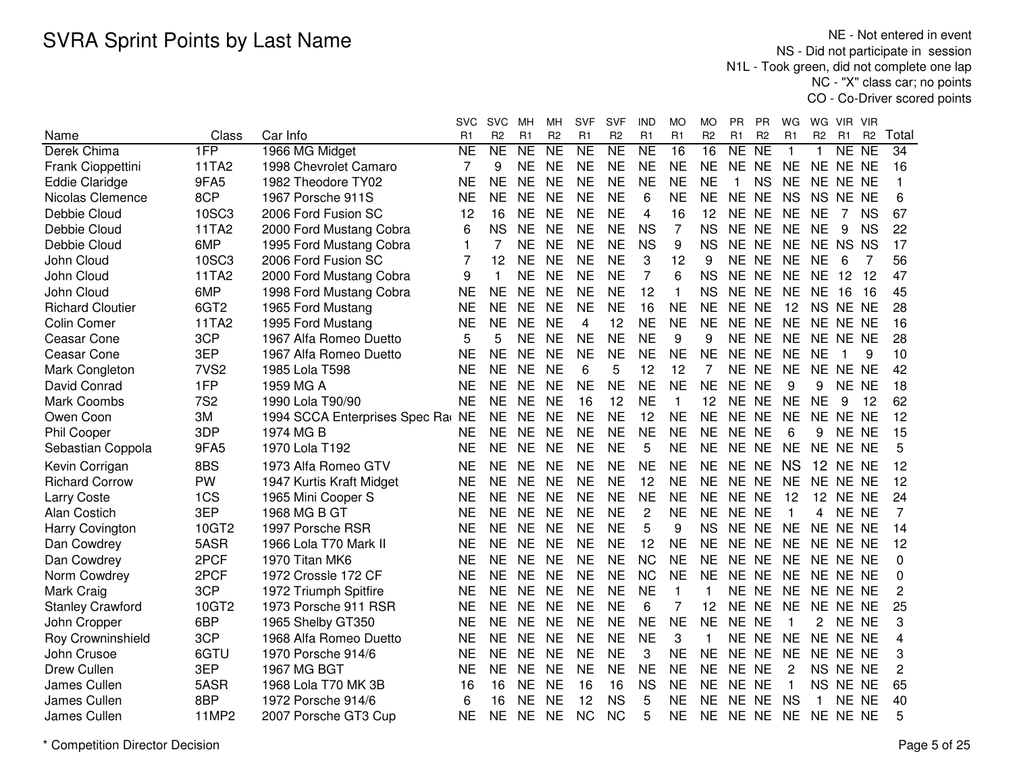|                         |                  |                                  | svc            | <b>SVC</b>          | мн        | MН             | <b>SVF</b> | <b>SVF</b>     | IND            | МO             | MО             | PR           | PR             | WG             | WG             | VIR.            | -VIR           |                |
|-------------------------|------------------|----------------------------------|----------------|---------------------|-----------|----------------|------------|----------------|----------------|----------------|----------------|--------------|----------------|----------------|----------------|-----------------|----------------|----------------|
| Name                    | Class            | Car Info                         | R1             | R <sub>2</sub>      | R1        | R <sub>2</sub> | R1         | R <sub>2</sub> | R1             | R1             | R <sub>2</sub> | R1           | R <sub>2</sub> | R <sub>1</sub> | R <sub>2</sub> | R1              | R <sub>2</sub> | Total          |
| Derek Chima             | 1FP              | 1966 MG Midget                   | <b>NE</b>      | $\overline{\sf NE}$ | <b>NE</b> | NE             | NE         | NE             | NE             | 16             | 16             | NE           | NE             | $\mathbf{1}$   | 1              | NE NE           |                | 34             |
| Frank Cioppettini       | 11TA2            | 1998 Chevrolet Camaro            | 7              | 9                   | <b>NE</b> | <b>NE</b>      | <b>NE</b>  | <b>NE</b>      | <b>NE</b>      | <b>NE</b>      | <b>NE</b>      | <b>NE</b>    | <b>NE</b>      | <b>NE</b>      | NE NE NE       |                 |                | 16             |
| <b>Eddie Claridge</b>   | 9FA5             | 1982 Theodore TY02               | <b>NE</b>      | <b>NE</b>           | <b>NE</b> | <b>NE</b>      | <b>NE</b>  | <b>NE</b>      | <b>NE</b>      | <b>NE</b>      | <b>NE</b>      | $\mathbf{1}$ | <b>NS</b>      | <b>NE</b>      | NE NE NE       |                 |                |                |
| Nicolas Clemence        | 8CP              | 1967 Porsche 911S                | <b>NE</b>      | <b>NE</b>           | <b>NE</b> | <b>NE</b>      | <b>NE</b>  | <b>NE</b>      | 6              | <b>NE</b>      | <b>NE</b>      | NE NE        |                | <b>NS</b>      | NS NE NE       |                 |                | 6              |
| Debbie Cloud            | 10SC3            | 2006 Ford Fusion SC              | 12             | 16                  | <b>NE</b> | <b>NE</b>      | <b>NE</b>  | <b>NE</b>      | 4              | 16             | 12             | NE NE        |                | <b>NE</b>      | <b>NE</b>      | 7               | <b>NS</b>      | 67             |
| Debbie Cloud            | 11TA2            | 2000 Ford Mustang Cobra          | 6              | <b>NS</b>           | <b>NE</b> | <b>NE</b>      | <b>NE</b>  | <b>NE</b>      | <b>NS</b>      | $\overline{7}$ | <b>NS</b>      | NE NE        |                | <b>NE</b>      | <b>NE</b>      | 9               | <b>NS</b>      | 22             |
| Debbie Cloud            | 6MP              | 1995 Ford Mustang Cobra          | 1              | 7                   | <b>NE</b> | <b>NE</b>      | <b>NE</b>  | <b>NE</b>      | <b>NS</b>      | 9              | <b>NS</b>      | NE NE        |                | <b>NE</b>      | NE NS NS       |                 |                | 17             |
| John Cloud              | 10SC3            | 2006 Ford Fusion SC              | $\overline{7}$ | 12                  | <b>NE</b> | <b>NE</b>      | <b>NE</b>  | <b>NE</b>      | 3              | 12             | 9              | NE NE        |                | <b>NE</b>      | <b>NE</b>      | 6               | 7              | 56             |
| John Cloud              | 11TA2            | 2000 Ford Mustang Cobra          | 9              | 1                   | <b>NE</b> | <b>NE</b>      | <b>NE</b>  | <b>NE</b>      | $\overline{7}$ | 6              | <b>NS</b>      | NE NE        |                | <b>NE</b>      | <b>NE</b>      | 12              | -12            | 47             |
| John Cloud              | 6MP              | 1998 Ford Mustang Cobra          | <b>NE</b>      | <b>NE</b>           | <b>NE</b> | <b>NE</b>      | <b>NE</b>  | <b>NE</b>      | 12             | 1              | <b>NS</b>      | NE NE        |                | <b>NE</b>      | <b>NE</b>      | 16              | -16            | 45             |
| <b>Richard Cloutier</b> | 6GT <sub>2</sub> | 1965 Ford Mustang                | <b>NE</b>      | <b>NE</b>           | <b>NE</b> | <b>NE</b>      | <b>NE</b>  | <b>NE</b>      | 16             | <b>NE</b>      | <b>NE</b>      | NE NE        |                | 12             | NS NE NE       |                 |                | 28             |
| <b>Colin Comer</b>      | 11TA2            | 1995 Ford Mustang                | <b>NE</b>      | <b>NE</b>           | <b>NE</b> | <b>NE</b>      | 4          | 12             | <b>NE</b>      | <b>NE</b>      | <b>NE</b>      | NE NE        |                | <b>NE</b>      | NE NE NE       |                 |                | 16             |
| Ceasar Cone             | 3CP              | 1967 Alfa Romeo Duetto           | 5              | 5                   | <b>NE</b> | <b>NE</b>      | <b>NE</b>  | <b>NE</b>      | <b>NE</b>      | 9              | 9              | <b>NE</b>    | <b>NE</b>      | <b>NE</b>      | NE NE NE       |                 |                | 28             |
| Ceasar Cone             | 3EP              | 1967 Alfa Romeo Duetto           | <b>NE</b>      | <b>NE</b>           | <b>NE</b> | <b>NE</b>      | <b>NE</b>  | <b>NE</b>      | <b>NE</b>      | <b>NE</b>      | <b>NE</b>      | <b>NE</b>    | <b>NE</b>      | <b>NE</b>      | <b>NE</b>      | -1              | 9              | 10             |
| Mark Congleton          | 7VS <sub>2</sub> | 1985 Lola T598                   | <b>NE</b>      | <b>NE</b>           | <b>NE</b> | <b>NE</b>      | 6          | 5              | 12             | 12             | 7              | NE NE        |                | <b>NE</b>      | NE NE NE       |                 |                | 42             |
| David Conrad            | 1FP              | 1959 MG A                        | <b>NE</b>      | <b>NE</b>           | <b>NE</b> | <b>NE</b>      | <b>NE</b>  | <b>NE</b>      | <b>NE</b>      | <b>NE</b>      | <b>NE</b>      | NE NE        |                | 9              | 9              | NE NE           |                | 18             |
| <b>Mark Coombs</b>      | <b>7S2</b>       | 1990 Lola T90/90                 | <b>NE</b>      | <b>NE</b>           | <b>NE</b> | <b>NE</b>      | 16         | 12             | <b>NE</b>      | $\mathbf{1}$   | 12             | NE NE        |                | <b>NE</b>      | <b>NE</b>      | 9               | 12             | 62             |
| Owen Coon               | 3M               | 1994 SCCA Enterprises Spec Ra NE |                | <b>NE</b>           | <b>NE</b> | <b>NE</b>      | <b>NE</b>  | <b>NE</b>      | 12             | <b>NE</b>      | <b>NE</b>      | NE NE        |                | <b>NE</b>      | NE NE NE       |                 |                | 12             |
| Phil Cooper             | 3DP              | 1974 MG B                        | <b>NE</b>      | <b>NE</b>           | <b>NE</b> | <b>NE</b>      | <b>NE</b>  | <b>NE</b>      | <b>NE</b>      | <b>NE</b>      | <b>NE</b>      | NE NE        |                | 6              | 9              | NE NE           |                | 15             |
| Sebastian Coppola       | 9FA5             | 1970 Lola T192                   | <b>NE</b>      | <b>NE</b>           | <b>NE</b> | <b>NE</b>      | <b>NE</b>  | <b>NE</b>      | 5              | <b>NE</b>      | <b>NE</b>      | NE NE        |                | <b>NE</b>      | NE NE NE       |                 |                | 5              |
| Kevin Corrigan          | 8BS              | 1973 Alfa Romeo GTV              | <b>NE</b>      | <b>NE</b>           | <b>NE</b> | <b>NE</b>      | <b>NE</b>  | <b>NE</b>      | <b>NE</b>      | <b>NE</b>      | <b>NE</b>      | NE NE        |                | <b>NS</b>      |                | <b>12 NE NE</b> |                | 12             |
| <b>Richard Corrow</b>   | PW               | 1947 Kurtis Kraft Midget         | <b>NE</b>      | <b>NE</b>           | <b>NE</b> | <b>NE</b>      | <b>NE</b>  | <b>NE</b>      | 12             | <b>NE</b>      | <b>NE</b>      | NE NE        |                | <b>NE</b>      |                | NE NE NE        |                | 12             |
| Larry Coste             | 1CS              | 1965 Mini Cooper S               | <b>NE</b>      | <b>NE</b>           | <b>NE</b> | <b>NE</b>      | <b>NE</b>  | <b>NE</b>      | <b>NE</b>      | <b>NE</b>      | <b>NE</b>      | NE NE        |                | 12             | 12             | NE NE           |                | 24             |
| Alan Costich            | 3EP              | 1968 MG B GT                     | <b>NE</b>      | <b>NE</b>           | <b>NE</b> | <b>NE</b>      | <b>NE</b>  | <b>NE</b>      | $\overline{c}$ | <b>NE</b>      | <b>NE</b>      | NE NE        |                | $\mathbf{1}$   | 4              | NE NE           |                | 7              |
| Harry Covington         | 10GT2            | 1997 Porsche RSR                 | <b>NE</b>      | <b>NE</b>           | <b>NE</b> | <b>NE</b>      | <b>NE</b>  | <b>NE</b>      | 5              | 9              | <b>NS</b>      | NE NE        |                | <b>NE</b>      | NE NE NE       |                 |                | 14             |
| Dan Cowdrey             | 5ASR             | 1966 Lola T70 Mark II            | <b>NE</b>      | <b>NE</b>           | <b>NE</b> | <b>NE</b>      | <b>NE</b>  | <b>NE</b>      | 12             | <b>NE</b>      | <b>NE</b>      | NE NE        |                | <b>NE</b>      | NE NE NE       |                 |                | 12             |
| Dan Cowdrey             | 2PCF             | 1970 Titan MK6                   | <b>NE</b>      | <b>NE</b>           | <b>NE</b> | <b>NE</b>      | <b>NE</b>  | <b>NE</b>      | <b>NC</b>      | <b>NE</b>      | <b>NE</b>      | NE NE        |                | <b>NE</b>      | NE NE NE       |                 |                | 0              |
| Norm Cowdrey            | 2PCF             | 1972 Crossle 172 CF              | <b>NE</b>      | <b>NE</b>           | <b>NE</b> | <b>NE</b>      | <b>NE</b>  | <b>NE</b>      | <b>NC</b>      | <b>NE</b>      | <b>NE</b>      | NE NE        |                | <b>NE</b>      | NE NE NE       |                 |                | 0              |
| Mark Craig              | 3CP              | 1972 Triumph Spitfire            | <b>NE</b>      | <b>NE</b>           | <b>NE</b> | <b>NE</b>      | <b>NE</b>  | <b>NE</b>      | <b>NE</b>      | 1              |                | NE NE        |                | <b>NE</b>      | NE NE NE       |                 |                | 2              |
| <b>Stanley Crawford</b> | 10GT2            | 1973 Porsche 911 RSR             | <b>NE</b>      | <b>NE</b>           | <b>NE</b> | <b>NE</b>      | <b>NE</b>  | <b>NE</b>      | 6              | 7              | 12             | <b>NE</b>    | <b>NE</b>      | <b>NE</b>      | NE NE NE       |                 |                | 25             |
| John Cropper            | 6BP              | 1965 Shelby GT350                | <b>NE</b>      | <b>NE</b>           | <b>NE</b> | <b>NE</b>      | <b>NE</b>  | <b>NE</b>      | <b>NE</b>      | <b>NE</b>      | <b>NE</b>      | NE NE        |                | 1              | 2              | NE NE           |                | 3              |
| Roy Crowninshield       | 3CP              | 1968 Alfa Romeo Duetto           | <b>NE</b>      | <b>NE</b>           | <b>NE</b> | <b>NE</b>      | <b>NE</b>  | <b>NE</b>      | <b>NE</b>      | 3              | $\mathbf{1}$   | NE           | <b>NE</b>      | <b>NE</b>      | NE NE NE       |                 |                | 4              |
| John Crusoe             | 6GTU             | 1970 Porsche 914/6               | <b>NE</b>      | <b>NE</b>           | <b>NE</b> | <b>NE</b>      | <b>NE</b>  | <b>NE</b>      | 3              | <b>NE</b>      | <b>NE</b>      | NE NE        |                | <b>NE</b>      | NE NE NE       |                 |                | 3              |
| Drew Cullen             | 3EP              | 1967 MG BGT                      | <b>NE</b>      | <b>NE</b>           | <b>NE</b> | <b>NE</b>      | <b>NE</b>  | <b>NE</b>      | <b>NE</b>      | <b>NE</b>      | <b>NE</b>      | NE NE        |                | $\overline{2}$ | NS NE NE       |                 |                | $\overline{c}$ |
| James Cullen            | 5ASR             | 1968 Lola T70 MK 3B              | 16             | 16                  | <b>NE</b> | <b>NE</b>      | 16         | 16             | <b>NS</b>      | <b>NE</b>      | <b>NE</b>      | NE NE        |                | $\mathbf{1}$   |                | NS NE NE        |                | 65             |
| James Cullen            | 8BP              | 1972 Porsche 914/6               | 6              | 16                  | <b>NE</b> | <b>NE</b>      | 12         | <b>NS</b>      | 5              | <b>NE</b>      | <b>NE</b>      | NE NE        |                | <b>NS</b>      | 1              | NE NE           |                | 40             |
| James Cullen            | 11MP2            | 2007 Porsche GT3 Cup             | <b>NE</b>      | <b>NE</b>           | <b>NE</b> | <b>NE</b>      | <b>NC</b>  | <b>NC</b>      | 5              | <b>NE</b>      | <b>NE</b>      | NE NE        |                | <b>NE</b>      | NE NE NE       |                 |                | 5              |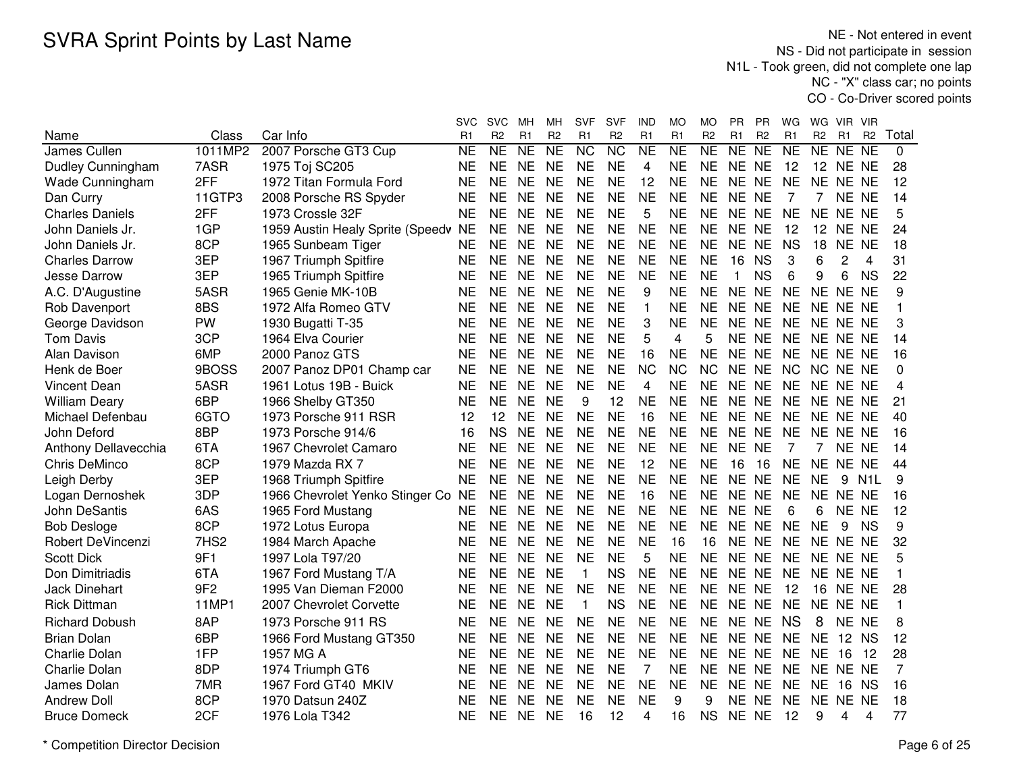NE - Not entered in event NS - Did not participate in session N1L - Took green, did not complete one lap NC - "X" class car; no pointsCO - Co-Driver scored points

|                          |                 |                                  | svc       | <b>SVC</b>     | мн              | MН                     | <b>SVF</b>      | SVF                    | IND            | МO        | MO                  | PR.          | <b>PR</b>           | WG              | WG              | VIR.            | <b>VIR</b>       |                |
|--------------------------|-----------------|----------------------------------|-----------|----------------|-----------------|------------------------|-----------------|------------------------|----------------|-----------|---------------------|--------------|---------------------|-----------------|-----------------|-----------------|------------------|----------------|
| Name                     | Class           | Car Info                         | R1        | R <sub>2</sub> | R1              | R <sub>2</sub>         | R1              | R <sub>2</sub>         | R1             | R1        | R <sub>2</sub>      | R1           | R <sub>2</sub>      | R1              | R <sub>2</sub>  | R <sub>1</sub>  | R <sub>2</sub>   | Total          |
| James Cullen             | 1011MP2         | 2007 Porsche GT3 Cup             | <b>NE</b> | NE             | $\overline{NE}$ | $\overline{\text{NE}}$ | $\overline{NC}$ | $\overline{\text{NC}}$ | N <sub>E</sub> | <b>NE</b> | $\overline{\sf NE}$ | NE           | $\overline{\sf NE}$ | $\overline{NE}$ | NE              | NE              | <b>NE</b>        | $\mathbf{0}$   |
| Dudley Cunningham        | 7ASR            | 1975 Toj SC205                   | <b>NE</b> | NE             | <b>NE</b>       | <b>NE</b>              | <b>NE</b>       | <b>NE</b>              | 4              | <b>NE</b> | <b>NE</b>           | NE NE        |                     | 12              |                 | <b>12 NE NE</b> |                  | 28             |
| Wade Cunningham          | 2FF             | 1972 Titan Formula Ford          | <b>NE</b> | <b>NE</b>      | <b>NE</b>       | <b>NE</b>              | <b>NE</b>       | <b>NE</b>              | 12             | <b>NE</b> | <b>NE</b>           | NE NE        |                     | <b>NE</b>       | <b>NE</b>       | <b>NE</b>       | <b>NE</b>        | 12             |
| Dan Curry                | 11GTP3          | 2008 Porsche RS Spyder           | <b>NE</b> | <b>NE</b>      | <b>NE</b>       | <b>NE</b>              | <b>NE</b>       | <b>NE</b>              | <b>NE</b>      | <b>NE</b> | <b>NE</b>           | NE NE        |                     | 7               | 7               | NE NE           |                  | 14             |
| <b>Charles Daniels</b>   | 2FF             | 1973 Crossle 32F                 | <b>NE</b> | <b>NE</b>      | <b>NE</b>       | <b>NE</b>              | <b>NE</b>       | <b>NE</b>              | 5              | <b>NE</b> | <b>NE</b>           | NE NE        |                     | <b>NE</b>       | <b>NE</b>       | NE NE           |                  | 5              |
| John Daniels Jr.         | 1GP             | 1959 Austin Healy Sprite (Speedv | <b>NE</b> | <b>NE</b>      | <b>NE</b>       | <b>NE</b>              | <b>NE</b>       | <b>NE</b>              | <b>NE</b>      | <b>NE</b> | <b>NE</b>           | NE NE        |                     | 12              | 12 <sup>2</sup> | NE NE           |                  | 24             |
| John Daniels Jr.         | 8CP             | 1965 Sunbeam Tiger               | <b>NE</b> | NE             | <b>NE</b>       | <b>NE</b>              | <b>NE</b>       | <b>NE</b>              | <b>NE</b>      | NE        | <b>NE</b>           | NE NE        |                     | <b>NS</b>       | 18              | <b>NE</b>       | <b>NE</b>        | 18             |
| <b>Charles Darrow</b>    | 3EP             | 1967 Triumph Spitfire            | <b>NE</b> | <b>NE</b>      | <b>NE</b>       | <b>NE</b>              | <b>NE</b>       | <b>NE</b>              | <b>NE</b>      | <b>NE</b> | <b>NE</b>           | 16           | <b>NS</b>           | 3               | 6               | 2               | 4                | 31             |
| Jesse Darrow             | 3EP             | 1965 Triumph Spitfire            | <b>NE</b> | <b>NE</b>      | <b>NE</b>       | <b>NE</b>              | <b>NE</b>       | <b>NE</b>              | <b>NE</b>      | <b>NE</b> | <b>NE</b>           | $\mathbf{1}$ | <b>NS</b>           | 6               | 9               | 6               | <b>NS</b>        | 22             |
| A.C. D'Augustine         | 5ASR            | 1965 Genie MK-10B                | <b>NE</b> | <b>NE</b>      | <b>NE</b>       | <b>NE</b>              | <b>NE</b>       | <b>NE</b>              | 9              | <b>NE</b> | <b>NE</b>           | NE NE        |                     | <b>NE</b>       | NE NE NE        |                 |                  | 9              |
| Rob Davenport            | 8BS             | 1972 Alfa Romeo GTV              | <b>NE</b> | <b>NE</b>      | <b>NE</b>       | <b>NE</b>              | <b>NE</b>       | <b>NE</b>              | $\mathbf 1$    | <b>NE</b> | <b>NE</b>           | NE NE        |                     | <b>NE</b>       | <b>NE</b>       | NE NE           |                  | 1              |
| George Davidson          | PW              | 1930 Bugatti T-35                | <b>NE</b> | <b>NE</b>      | <b>NE</b>       | <b>NE</b>              | <b>NE</b>       | <b>NE</b>              | 3              | <b>NE</b> | <b>NE</b>           | NE NE        |                     | <b>NE</b>       | NE NE NE        |                 |                  | 3              |
| <b>Tom Davis</b>         | 3CP             | 1964 Elva Courier                | <b>NE</b> | <b>NE</b>      | <b>NE</b>       | <b>NE</b>              | <b>NE</b>       | <b>NE</b>              | 5              | 4         | 5                   | NE NE        |                     | <b>NE</b>       | NE NE NE        |                 |                  | 14             |
| Alan Davison             | 6MP             | 2000 Panoz GTS                   | <b>NE</b> | <b>NE</b>      | <b>NE</b>       | <b>NE</b>              | <b>NE</b>       | <b>NE</b>              | 16             | <b>NE</b> | <b>NE</b>           | NE NE        |                     | <b>NE</b>       | NE NE NE        |                 |                  | 16             |
| Henk de Boer             | 9BOSS           | 2007 Panoz DP01 Champ car        | <b>NE</b> | <b>NE</b>      | <b>NE</b>       | <b>NE</b>              | <b>NE</b>       | <b>NE</b>              | <b>NC</b>      | <b>NC</b> | <b>NC</b>           | NE NE        |                     | <b>NC</b>       | NC.             | NE NE           |                  | 0              |
| Vincent Dean             | 5ASR            | 1961 Lotus 19B - Buick           | <b>NE</b> | <b>NE</b>      | <b>NE</b>       | <b>NE</b>              | <b>NE</b>       | <b>NE</b>              | 4              | <b>NE</b> | <b>NE</b>           | NE NE        |                     | <b>NE</b>       | NE NE NE        |                 |                  | 4              |
| <b>William Deary</b>     | 6BP             | 1966 Shelby GT350                | <b>NE</b> | <b>NE</b>      | <b>NE</b>       | <b>NE</b>              | 9               | 12                     | <b>NE</b>      | <b>NE</b> | <b>NE</b>           | NE NE        |                     | <b>NE</b>       | NE NE NE        |                 |                  | 21             |
| Michael Defenbau         | 6GTO            | 1973 Porsche 911 RSR             | 12        | 12             | <b>NE</b>       | <b>NE</b>              | <b>NE</b>       | <b>NE</b>              | 16             | <b>NE</b> | <b>NE</b>           | NE NE        |                     | <b>NE</b>       | NE NE NE        |                 |                  | 40             |
| John Deford              | 8BP             | 1973 Porsche 914/6               | 16        | <b>NS</b>      | <b>NE</b>       | <b>NE</b>              | <b>NE</b>       | <b>NE</b>              | <b>NE</b>      | <b>NE</b> | <b>NE</b>           | NE NE        |                     | <b>NE</b>       | NE NE NE        |                 |                  | 16             |
| Anthony Dellavecchia     | 6TA             | 1967 Chevrolet Camaro            | <b>NE</b> | <b>NE</b>      | <b>NE</b>       | <b>NE</b>              | <b>NE</b>       | <b>NE</b>              | <b>NE</b>      | <b>NE</b> | <b>NE</b>           | NE NE        |                     | 7               | $\overline{7}$  | NE NE           |                  | 14             |
| Chris DeMinco            | 8CP             | 1979 Mazda RX 7                  | <b>NE</b> | <b>NE</b>      | <b>NE</b>       | <b>NE</b>              | <b>NE</b>       | <b>NE</b>              | 12             | <b>NE</b> | <b>NE</b>           | 16           | 16                  | <b>NE</b>       | NE NE NE        |                 |                  | 44             |
| Leigh Derby              | 3EP             | 1968 Triumph Spitfire            | <b>NE</b> | <b>NE</b>      | <b>NE</b>       | <b>NE</b>              | <b>NE</b>       | <b>NE</b>              | <b>NE</b>      | <b>NE</b> | <b>NE</b>           | NE NE        |                     | <b>NE</b>       | <b>NE</b>       | 9               | N <sub>1</sub> L | 9              |
| Logan Dernoshek          | 3DP             | 1966 Chevrolet Yenko Stinger Co  | <b>NE</b> | NE             | <b>NE</b>       | <b>NE</b>              | <b>NE</b>       | <b>NE</b>              | 16             | <b>NE</b> | NE.                 | NE NE        |                     | <b>NE</b>       | NE NE NE        |                 |                  | 16             |
| John DeSantis            | 6AS             | 1965 Ford Mustang                | <b>NE</b> | NE             | <b>NE</b>       | <b>NE</b>              | <b>NE</b>       | <b>NE</b>              | <b>NE</b>      | <b>NE</b> | <b>NE</b>           | NE NE        |                     | 6               | 6               | NE NE           |                  | 12             |
| <b>Bob Desloge</b>       | 8CP             | 1972 Lotus Europa                | <b>NE</b> | <b>NE</b>      | <b>NE</b>       | <b>NE</b>              | <b>NE</b>       | <b>NE</b>              | <b>NE</b>      | <b>NE</b> | <b>NE</b>           | <b>NE</b>    | <b>NE</b>           | <b>NE</b>       | <b>NE</b>       | 9               | <b>NS</b>        | 9              |
| <b>Robert DeVincenzi</b> | 7HS2            | 1984 March Apache                | <b>NE</b> | <b>NE</b>      | <b>NE</b>       | <b>NE</b>              | <b>NE</b>       | <b>NE</b>              | <b>NE</b>      | 16        | 16                  | NE NE        |                     | <b>NE</b>       | NE NE NE        |                 |                  | 32             |
| <b>Scott Dick</b>        | 9F1             | 1997 Lola T97/20                 | <b>NE</b> | <b>NE</b>      | <b>NE</b>       | <b>NE</b>              | <b>NE</b>       | <b>NE</b>              | 5              | <b>NE</b> | <b>NE</b>           | NE NE        |                     | <b>NE</b>       | NE NE NE        |                 |                  | 5              |
| Don Dimitriadis          | 6TA             | 1967 Ford Mustang T/A            | <b>NE</b> | <b>NE</b>      | <b>NE</b>       | <b>NE</b>              | $\mathbf{1}$    | <b>NS</b>              | <b>NE</b>      | <b>NE</b> | <b>NE</b>           | NE NE        |                     | <b>NE</b>       | NE NE NE        |                 |                  | 1              |
| <b>Jack Dinehart</b>     | 9F <sub>2</sub> | 1995 Van Dieman F2000            | <b>NE</b> | <b>NE</b>      | <b>NE</b>       | <b>NE</b>              | <b>NE</b>       | <b>NE</b>              | <b>NE</b>      | <b>NE</b> | <b>NE</b>           | NE NE        |                     | 12              | 16              | NE NE           |                  | 28             |
| <b>Rick Dittman</b>      | 11MP1           | 2007 Chevrolet Corvette          | <b>NE</b> | <b>NE</b>      | <b>NE</b>       | <b>NE</b>              | $\mathbf 1$     | <b>NS</b>              | <b>NE</b>      | <b>NE</b> | <b>NE</b>           | NE NE        |                     | <b>NE</b>       | NE NE NE        |                 |                  | $\mathbf{1}$   |
| <b>Richard Dobush</b>    | 8AP             | 1973 Porsche 911 RS              | <b>NE</b> | NE             | <b>NE</b>       | <b>NE</b>              | <b>NE</b>       | <b>NE</b>              | <b>NE</b>      | <b>NE</b> | <b>NE</b>           | NE NE        |                     | <b>NS</b>       | 8               | NE NE           |                  | 8              |
| <b>Brian Dolan</b>       | 6BP             | 1966 Ford Mustang GT350          | <b>NE</b> | <b>NE</b>      | <b>NE</b>       | <b>NE</b>              | <b>NE</b>       | <b>NE</b>              | <b>NE</b>      | <b>NE</b> | <b>NE</b>           | NE NE        |                     | <b>NE</b>       | <b>NE</b>       | 12 <sub>2</sub> | <b>NS</b>        | 12             |
| Charlie Dolan            | 1FP             | 1957 MG A                        | <b>NE</b> | <b>NE</b>      | <b>NE</b>       | <b>NE</b>              | <b>NE</b>       | <b>NE</b>              | <b>NE</b>      | <b>NE</b> | <b>NE</b>           | NE NE        |                     | <b>NE</b>       | <b>NE</b>       | 16              | 12               | 28             |
| Charlie Dolan            | 8DP             | 1974 Triumph GT6                 | <b>NE</b> | <b>NE</b>      | <b>NE</b>       | <b>NE</b>              | <b>NE</b>       | <b>NE</b>              | $\overline{7}$ | <b>NE</b> | <b>NE</b>           | NE NE        |                     | <b>NE</b>       | <b>NE</b>       | NE NE           |                  | $\overline{7}$ |
| James Dolan              | 7MR             | 1967 Ford GT40 MKIV              | <b>NE</b> | <b>NE</b>      | <b>NE</b>       | <b>NE</b>              | <b>NE</b>       | <b>NE</b>              | <b>NE</b>      | <b>NE</b> | <b>NE</b>           | NE NE        |                     | <b>NE</b>       | <b>NE</b>       | 16              | <b>NS</b>        | 16             |
| <b>Andrew Doll</b>       | 8CP             | 1970 Datsun 240Z                 | <b>NE</b> | <b>NE</b>      | <b>NE</b>       | <b>NE</b>              | <b>NE</b>       | <b>NE</b>              | <b>NE</b>      | 9         | 9                   | NE NE        |                     | <b>NE</b>       | <b>NE</b>       | NE NE           |                  | 18             |
| <b>Bruce Domeck</b>      | 2CF             | 1976 Lola T342                   | <b>NE</b> | <b>NE</b>      | <b>NE</b>       | <b>NE</b>              | 16              | 12                     | 4              | 16        | <b>NS</b>           | NE NE        |                     | 12              | 9               | 4               | 4                | 77             |
|                          |                 |                                  |           |                |                 |                        |                 |                        |                |           |                     |              |                     |                 |                 |                 |                  |                |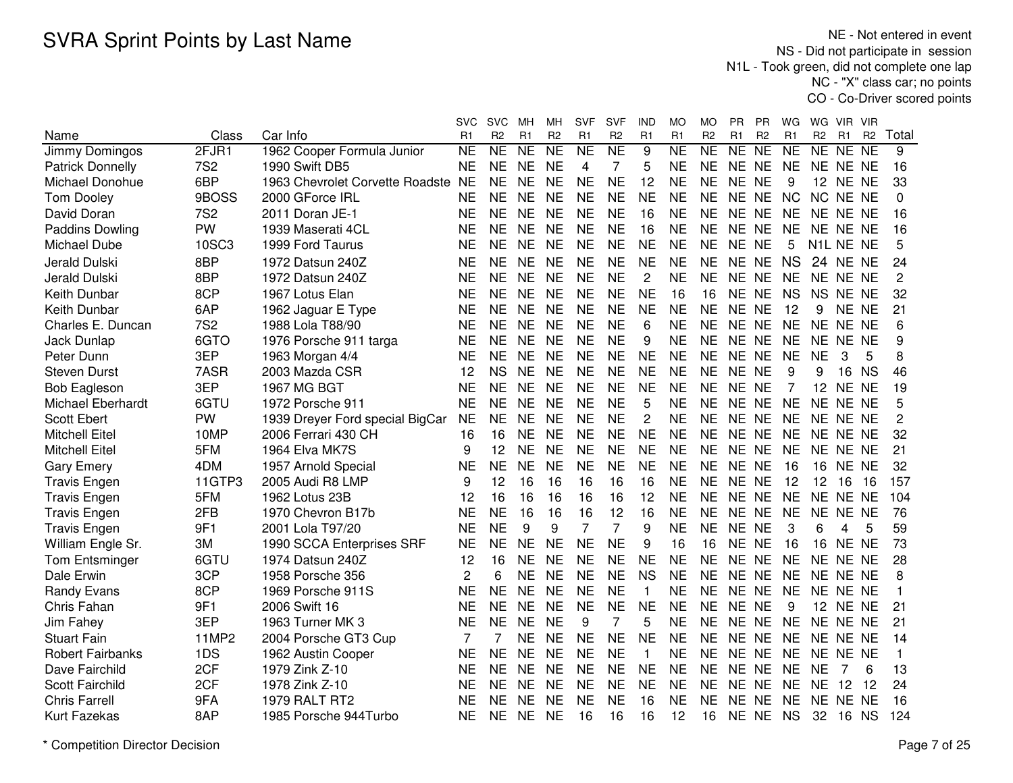NE - Not entered in event NS - Did not participate in session N1L - Took green, did not complete one lap NC - "X" class car; no pointsCO - Co-Driver scored points

|                          |            |                                    | <b>SVC</b> | <b>SVC</b>     | MН             | мн             | SVF            | <b>SVF</b>     | IND            | MO             | МO             | РR        | РR             | WG        | WG                     | VIR.            | - VIR          |                |
|--------------------------|------------|------------------------------------|------------|----------------|----------------|----------------|----------------|----------------|----------------|----------------|----------------|-----------|----------------|-----------|------------------------|-----------------|----------------|----------------|
| Name                     | Class      | Car Info                           | R1         | R <sub>2</sub> | R <sub>1</sub> | R <sub>2</sub> | R <sub>1</sub> | R <sub>2</sub> | R1             | R <sub>1</sub> | R <sub>2</sub> | R1        | R <sub>2</sub> | R1        | R <sub>2</sub>         | R1              | R <sub>2</sub> | Total          |
| Jimmy Domingos           | 2FJR1      | 1962 Cooper Formula Junior         | <b>NE</b>  | <b>NE</b>      | <b>NE</b>      | NE             | <b>NE</b>      | NE             | 9              | N <sub>E</sub> | NE             | NE NE     |                | NE        | NE NE NE               |                 |                | 9              |
| <b>Patrick Donnelly</b>  | <b>7S2</b> | 1990 Swift DB5                     | <b>NE</b>  | <b>NE</b>      | <b>NE</b>      | <b>NE</b>      | 4              | $\overline{7}$ | 5              | <b>NE</b>      | <b>NE</b>      | NE NE     |                | <b>NE</b> | NE NE NE               |                 |                | 16             |
| Michael Donohue          | 6BP        | 1963 Chevrolet Corvette Roadste NE |            | <b>NE</b>      | <b>NE</b>      | <b>NE</b>      | <b>NE</b>      | <b>NE</b>      | 12             | <b>NE</b>      | <b>NE</b>      | NE NE     |                | 9         | 12                     | NE NE           |                | 33             |
| <b>Tom Dooley</b>        | 9BOSS      | 2000 GForce IRL                    | <b>NE</b>  | <b>NE</b>      | <b>NE</b>      | <b>NE</b>      | <b>NE</b>      | <b>NE</b>      | <b>NE</b>      | <b>NE</b>      | <b>NE</b>      | NE NE     |                | <b>NC</b> | NC NE NE               |                 |                | 0              |
| David Doran              | <b>7S2</b> | 2011 Doran JE-1                    | <b>NE</b>  | <b>NE</b>      | <b>NE</b>      | <b>NE</b>      | <b>NE</b>      | <b>NE</b>      | 16             | <b>NE</b>      | <b>NE</b>      | NE NE     |                | <b>NE</b> | NE NE NE               |                 |                | 16             |
| <b>Paddins Dowling</b>   | <b>PW</b>  | 1939 Maserati 4CL                  | NE         | <b>NE</b>      | <b>NE</b>      | <b>NE</b>      | <b>NE</b>      | <b>NE</b>      | 16             | <b>NE</b>      | <b>NE</b>      | NE NE     |                | <b>NE</b> |                        | NE NE NE        |                | 16             |
| Michael Dube             | 10SC3      | 1999 Ford Taurus                   | ΝE         | <b>NE</b>      | <b>NE</b>      | <b>NE</b>      | <b>NE</b>      | <b>NE</b>      | <b>NE</b>      | <b>NE</b>      | NE.            | NE NE     |                | 5         | N <sub>1</sub> L NE NE |                 |                | 5              |
| Jerald Dulski            | 8BP        | 1972 Datsun 240Z                   | <b>NE</b>  | <b>NE</b>      | <b>NE</b>      | <b>NE</b>      | <b>NE</b>      | <b>NE</b>      | <b>NE</b>      | <b>NE</b>      | <b>NE</b>      | NE NE     |                | <b>NS</b> |                        | <b>24 NE NE</b> |                | 24             |
| Jerald Dulski            | 8BP        | 1972 Datsun 240Z                   | <b>NE</b>  | <b>NE</b>      | <b>NE</b>      | <b>NE</b>      | <b>NE</b>      | <b>NE</b>      | $\overline{2}$ | <b>NE</b>      | <b>NE</b>      | NE NE     |                | <b>NE</b> |                        | NE NE NE        |                | $\overline{c}$ |
| Keith Dunbar             | 8CP        | 1967 Lotus Elan                    | NE         | <b>NE</b>      | <b>NE</b>      | <b>NE</b>      | <b>NE</b>      | <b>NE</b>      | <b>NE</b>      | 16             | 16             | NE NE     |                | <b>NS</b> | NS NE NE               |                 |                | 32             |
| Keith Dunbar             | 6AP        | 1962 Jaguar E Type                 | NE         | <b>NE</b>      | <b>NE</b>      | <b>NE</b>      | <b>NE</b>      | <b>NE</b>      | <b>NE</b>      | <b>NE</b>      | <b>NE</b>      | NE NE     |                | 12        | 9                      | NE NE           |                | 21             |
| Charles E. Duncan        | <b>7S2</b> | 1988 Lola T88/90                   | <b>NE</b>  | <b>NE</b>      | <b>NE</b>      | <b>NE</b>      | <b>NE</b>      | <b>NE</b>      | 6              | <b>NE</b>      | <b>NE</b>      | NE NE     |                | <b>NE</b> | NE NE NE               |                 |                | 6              |
| <b>Jack Dunlap</b>       | 6GTO       | 1976 Porsche 911 targa             | <b>NE</b>  | <b>NE</b>      | <b>NE</b>      | <b>NE</b>      | <b>NE</b>      | <b>NE</b>      | 9              | <b>NE</b>      | <b>NE</b>      | NE NE     |                | <b>NE</b> |                        | NE NE NE        |                | 9              |
| Peter Dunn               | 3EP        | 1963 Morgan 4/4                    | <b>NE</b>  | <b>NE</b>      | <b>NE</b>      | <b>NE</b>      | <b>NE</b>      | <b>NE</b>      | <b>NE</b>      | <b>NE</b>      | <b>NE</b>      | NE NE     |                | <b>NE</b> | <b>NE</b>              | 3               | 5              | 8              |
| <b>Steven Durst</b>      | 7ASR       | 2003 Mazda CSR                     | 12         | <b>NS</b>      | <b>NE</b>      | <b>NE</b>      | <b>NE</b>      | <b>NE</b>      | <b>NE</b>      | <b>NE</b>      | <b>NE</b>      | NE NE     |                | 9         | 9                      | 16              | <b>NS</b>      | 46             |
| <b>Bob Eagleson</b>      | 3EP        | 1967 MG BGT                        | <b>NE</b>  | <b>NE</b>      | <b>NE</b>      | <b>NE</b>      | <b>NE</b>      | <b>NE</b>      | <b>NE</b>      | <b>NE</b>      | <b>NE</b>      | <b>NE</b> | <b>NE</b>      | 7         | 12                     | NE NE           |                | 19             |
| <b>Michael Eberhardt</b> | 6GTU       | 1972 Porsche 911                   | <b>NE</b>  | <b>NE</b>      | <b>NE</b>      | <b>NE</b>      | <b>NE</b>      | <b>NE</b>      | 5              | <b>NE</b>      | <b>NE</b>      | NE NE     |                | <b>NE</b> | NE NE NE               |                 |                | 5              |
| <b>Scott Ebert</b>       | <b>PW</b>  | 1939 Dreyer Ford special BigCar    | <b>NE</b>  | <b>NE</b>      | <b>NE</b>      | <b>NE</b>      | <b>NE</b>      | <b>NE</b>      | 2              | <b>NE</b>      | <b>NE</b>      | NE NE     |                | <b>NE</b> | NE NE NE               |                 |                | 2              |
| <b>Mitchell Eitel</b>    | 10MP       | 2006 Ferrari 430 CH                | 16         | 16             | <b>NE</b>      | <b>NE</b>      | <b>NE</b>      | <b>NE</b>      | <b>NE</b>      | <b>NE</b>      | <b>NE</b>      | NE NE     |                | <b>NE</b> | NE NE NE               |                 |                | 32             |
| <b>Mitchell Eitel</b>    | 5FM        | 1964 Elva MK7S                     | 9          | 12             | <b>NE</b>      | <b>NE</b>      | <b>NE</b>      | <b>NE</b>      | <b>NE</b>      | <b>NE</b>      | <b>NE</b>      | NE NE     |                | <b>NE</b> |                        | NE NE NE        |                | 21             |
| <b>Gary Emery</b>        | 4DM        | 1957 Arnold Special                | <b>NE</b>  | <b>NE</b>      | <b>NE</b>      | <b>NE</b>      | <b>NE</b>      | <b>NE</b>      | <b>NE</b>      | <b>NE</b>      | <b>NE</b>      | NE NE     |                | 16        | 16                     | NE NE           |                | 32             |
| <b>Travis Engen</b>      | 11GTP3     | 2005 Audi R8 LMP                   | 9          | 12             | 16             | 16             | 16             | 16             | 16             | <b>NE</b>      | <b>NE</b>      | NE NE     |                | 12        | 12                     | 16              | 16             | 157            |
| <b>Travis Engen</b>      | 5FM        | 1962 Lotus 23B                     | 12         | 16             | 16             | 16             | 16             | 16             | 12             | <b>NE</b>      | <b>NE</b>      | NE NE     |                | <b>NE</b> |                        | NE NE NE        |                | 104            |
| <b>Travis Engen</b>      | 2FB        | 1970 Chevron B17b                  | <b>NE</b>  | <b>NE</b>      | 16             | 16             | 16             | 12             | 16             | <b>NE</b>      | <b>NE</b>      | NE NE     |                | <b>NE</b> |                        | NE NE NE        |                | 76             |
| <b>Travis Engen</b>      | 9F1        | 2001 Lola T97/20                   | NE         | <b>NE</b>      | 9              | 9              | $\overline{7}$ | 7              | 9              | <b>NE</b>      | <b>NE</b>      | NE NE     |                | 3         | 6                      | 4               | 5              | 59             |
| William Engle Sr.        | 3M         | 1990 SCCA Enterprises SRF          | <b>NE</b>  | <b>NE</b>      | <b>NE</b>      | <b>NE</b>      | <b>NE</b>      | <b>NE</b>      | 9              | 16             | 16             | NE NE     |                | 16        | 16                     | NE NE           |                | 73             |
| Tom Entsminger           | 6GTU       | 1974 Datsun 240Z                   | 12         | 16             | <b>NE</b>      | <b>NE</b>      | <b>NE</b>      | <b>NE</b>      | <b>NE</b>      | <b>NE</b>      | <b>NE</b>      | NE NE     |                | <b>NE</b> |                        | NE NE NE        |                | 28             |
| Dale Erwin               | 3CP        | 1958 Porsche 356                   | 2          | 6              | <b>NE</b>      | <b>NE</b>      | <b>NE</b>      | <b>NE</b>      | <b>NS</b>      | <b>NE</b>      | <b>NE</b>      | NE NE     |                | <b>NE</b> |                        | NE NE NE        |                | 8              |
| <b>Randy Evans</b>       | 8CP        | 1969 Porsche 911S                  | <b>NE</b>  | <b>NE</b>      | <b>NE</b>      | <b>NE</b>      | <b>NE</b>      | <b>NE</b>      | 1              | <b>NE</b>      | <b>NE</b>      | NE NE     |                | <b>NE</b> |                        | NE NE NE        |                |                |
| Chris Fahan              | 9F1        | 2006 Swift 16                      | <b>NE</b>  | <b>NE</b>      | <b>NE</b>      | <b>NE</b>      | <b>NE</b>      | <b>NE</b>      | <b>NE</b>      | <b>NE</b>      | <b>NE</b>      | <b>NE</b> | <b>NE</b>      | 9         | 12                     | NE NE           |                | 21             |
| Jim Fahey                | 3EP        | 1963 Turner MK 3                   | <b>NE</b>  | <b>NE</b>      | <b>NE</b>      | <b>NE</b>      | 9              | 7              | 5              | <b>NE</b>      | <b>NE</b>      | <b>NE</b> | <b>NE</b>      | <b>NE</b> |                        | NE NE NE        |                | 21             |
| <b>Stuart Fain</b>       | 11MP2      | 2004 Porsche GT3 Cup               | 7          | 7              | <b>NE</b>      | <b>NE</b>      | <b>NE</b>      | <b>NE</b>      | <b>NE</b>      | <b>NE</b>      | <b>NE</b>      | NE        | <b>NE</b>      | <b>NE</b> | NE NE NE               |                 |                | 14             |
| <b>Robert Fairbanks</b>  | 1DS        | 1962 Austin Cooper                 | NE         | <b>NE</b>      | <b>NE</b>      | <b>NE</b>      | <b>NE</b>      | <b>NE</b>      | 1              | <b>NE</b>      | <b>NE</b>      | NE NE     |                | <b>NE</b> | NE NE NE               |                 |                | 1              |
| Dave Fairchild           | 2CF        | 1979 Zink Z-10                     | <b>NE</b>  | <b>NE</b>      | <b>NE</b>      | <b>NE</b>      | <b>NE</b>      | <b>NE</b>      | <b>NE</b>      | <b>NE</b>      | <b>NE</b>      | <b>NE</b> | NE.            | <b>NE</b> | <b>NE</b>              |                 | 6              | 13             |
| Scott Fairchild          | 2CF        | 1978 Zink Z-10                     | <b>NE</b>  | <b>NE</b>      | <b>NE</b>      | <b>NE</b>      | <b>NE</b>      | <b>NE</b>      | <b>NE</b>      | <b>NE</b>      | <b>NE</b>      | NE NE     |                | <b>NE</b> | <b>NE</b>              | 12              | 12             | 24             |
| <b>Chris Farrell</b>     | 9FA        | 1979 RALT RT2                      | <b>NE</b>  | <b>NE</b>      | <b>NE</b>      | <b>NE</b>      | <b>NE</b>      | <b>NE</b>      | 16             | <b>NE</b>      | <b>NE</b>      | <b>NE</b> | <b>NE</b>      | <b>NE</b> |                        | NE NE NE        |                | 16             |
| Kurt Fazekas             | 8AP        | 1985 Porsche 944Turbo              | <b>NE</b>  | <b>NE</b>      | <b>NE</b>      | <b>NE</b>      | 16             | 16             | 16             | 12             | 16             | NE NE     |                | <b>NS</b> | 32                     | 16 NS           |                | 124            |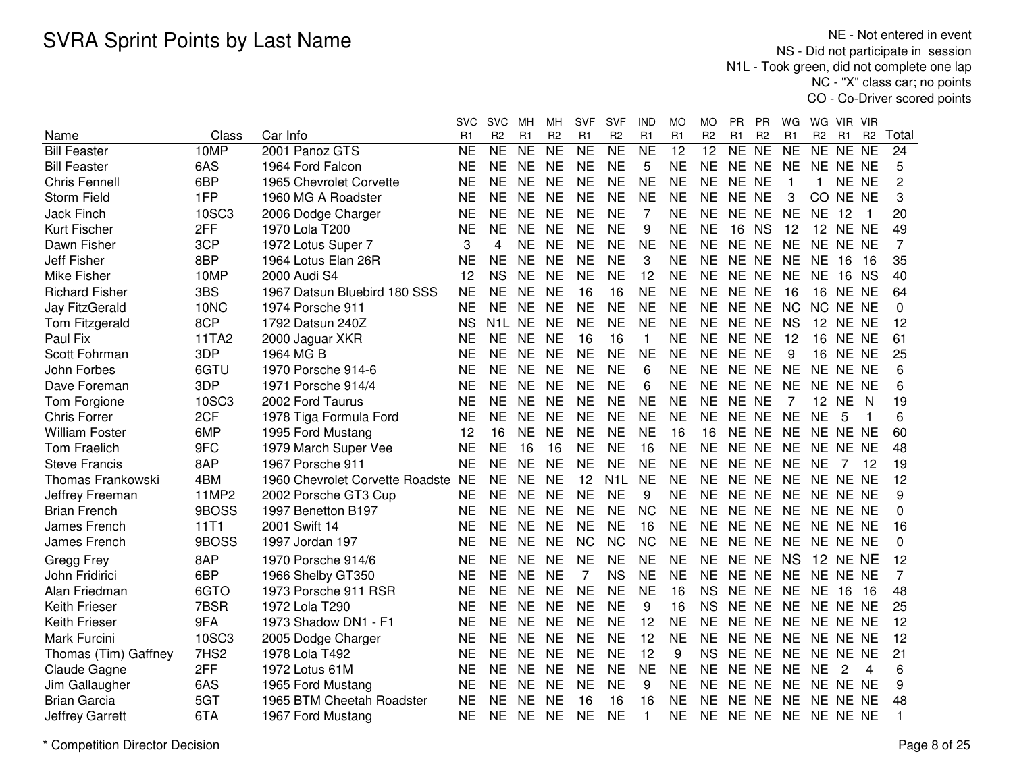NE - Not entered in event NS - Did not participate in session N1L - Took green, did not complete one lap NC - "X" class car; no pointsCO - Co-Driver scored points

|                          |                  |                                 | svc       | <b>SVC</b>     | MН             | MН             | <b>SVF</b>     | <b>SVF</b>          | IND            | МO             | MO              | PR.       | PR                  | WG             | WG.             | VIR .           | - VIR          |                |
|--------------------------|------------------|---------------------------------|-----------|----------------|----------------|----------------|----------------|---------------------|----------------|----------------|-----------------|-----------|---------------------|----------------|-----------------|-----------------|----------------|----------------|
| Name                     | Class            | Car Info                        | R1        | R <sub>2</sub> | R <sub>1</sub> | R <sub>2</sub> | R <sub>1</sub> | R <sub>2</sub>      | R <sub>1</sub> | R <sub>1</sub> | R <sub>2</sub>  | R1        | R <sub>2</sub>      | R <sub>1</sub> | R <sub>2</sub>  | R <sub>1</sub>  | R <sub>2</sub> | Total          |
| <b>Bill Feaster</b>      | 10MP             | 2001 Panoz GTS                  | <b>NE</b> | <b>NE</b>      | <b>NE</b>      | <b>NE</b>      | <b>NE</b>      | $\overline{\sf NE}$ | <b>NE</b>      | 12             | $\overline{12}$ | NE        | $\overline{\sf NE}$ | <b>NE</b>      | NE NE           |                 | <b>NE</b>      | 24             |
| <b>Bill Feaster</b>      | 6AS              | 1964 Ford Falcon                | <b>NE</b> | <b>NE</b>      | <b>NE</b>      | <b>NE</b>      | <b>NE</b>      | <b>NE</b>           | 5              | <b>NE</b>      | <b>NE</b>       | NE NE     |                     | <b>NE</b>      | NE NE NE        |                 |                | 5              |
| <b>Chris Fennell</b>     | 6BP              | 1965 Chevrolet Corvette         | <b>NE</b> | <b>NE</b>      | <b>NE</b>      | <b>NE</b>      | <b>NE</b>      | <b>NE</b>           | <b>NE</b>      | <b>NE</b>      | <b>NE</b>       | NE NE     |                     | $\overline{1}$ | $\mathbf{1}$    | NE NE           |                | $\overline{c}$ |
| <b>Storm Field</b>       | 1FP              | 1960 MG A Roadster              | <b>NE</b> | <b>NE</b>      | <b>NE</b>      | <b>NE</b>      | <b>NE</b>      | <b>NE</b>           | <b>NE</b>      | <b>NE</b>      | <b>NE</b>       | NE NE     |                     | 3              | CO.             | NE NE           |                | 3              |
| <b>Jack Finch</b>        | 10SC3            | 2006 Dodge Charger              | <b>NE</b> | <b>NE</b>      | <b>NE</b>      | <b>NE</b>      | <b>NE</b>      | <b>NE</b>           | $\overline{7}$ | <b>NE</b>      | <b>NE</b>       | NE NE     |                     | <b>NE</b>      | <b>NE</b>       | 12              | -1             | 20             |
| Kurt Fischer             | 2FF              | 1970 Lola T200                  | <b>NE</b> | <b>NE</b>      | <b>NE</b>      | <b>NE</b>      | <b>NE</b>      | <b>NE</b>           | 9              | <b>NE</b>      | <b>NE</b>       | 16        | <b>NS</b>           | 12             |                 | 12 NE NE        |                | 49             |
| Dawn Fisher              | 3CP              | 1972 Lotus Super 7              | 3         | 4              | <b>NE</b>      | <b>NE</b>      | <b>NE</b>      | <b>NE</b>           | <b>NE</b>      | <b>NE</b>      | <b>NE</b>       | NE NE     |                     | <b>NE</b>      | NE NE NE        |                 |                | 7              |
| <b>Jeff Fisher</b>       | 8BP              | 1964 Lotus Elan 26R             | <b>NE</b> | <b>NE</b>      | <b>NE</b>      | <b>NE</b>      | <b>NE</b>      | <b>NE</b>           | 3              | <b>NE</b>      | <b>NE</b>       | NE NE     |                     | <b>NE</b>      | <b>NE</b>       | 16              | - 16           | 35             |
| Mike Fisher              | 10MP             | 2000 Audi S4                    | 12        | <b>NS</b>      | <b>NE</b>      | <b>NE</b>      | <b>NE</b>      | <b>NE</b>           | 12             | <b>NE</b>      | <b>NE</b>       | NE NE     |                     | <b>NE</b>      | <b>NE</b>       | 16 NS           |                | 40             |
| <b>Richard Fisher</b>    | 3BS              | 1967 Datsun Bluebird 180 SSS    | <b>NE</b> | <b>NE</b>      | <b>NE</b>      | <b>NE</b>      | 16             | 16                  | <b>NE</b>      | <b>NE</b>      | <b>NE</b>       | NE NE     |                     | 16             |                 | <b>16 NE NE</b> |                | 64             |
| Jay FitzGerald           | 10NC             | 1974 Porsche 911                | <b>NE</b> | <b>NE</b>      | <b>NE</b>      | <b>NE</b>      | <b>NE</b>      | <b>NE</b>           | <b>NE</b>      | <b>NE</b>      | <b>NE</b>       | NE NE     |                     | <b>NC</b>      | NC NE NE        |                 |                | 0              |
| Tom Fitzgerald           | 8CP              | 1792 Datsun 240Z                | <b>NS</b> | N1L NE         |                | <b>NE</b>      | <b>NE</b>      | <b>NE</b>           | <b>NE</b>      | <b>NE</b>      | <b>NE</b>       | NE NE     |                     | <b>NS</b>      | 12 <sup>°</sup> | NE NE           |                | 12             |
| Paul Fix                 | 11TA2            | 2000 Jaguar XKR                 | <b>NE</b> | <b>NE</b>      | <b>NE</b>      | <b>NE</b>      | 16             | 16                  | $\mathbf{1}$   | <b>NE</b>      | <b>NE</b>       | NE NE     |                     | 12             | 16              | NE NE           |                | 61             |
| Scott Fohrman            | 3DP              | 1964 MG B                       | <b>NE</b> | <b>NE</b>      | <b>NE</b>      | <b>NE</b>      | <b>NE</b>      | <b>NE</b>           | <b>NE</b>      | <b>NE</b>      | <b>NE</b>       | NE NE     |                     | 9              |                 | <b>16 NE NE</b> |                | 25             |
| John Forbes              | 6GTU             | 1970 Porsche 914-6              | <b>NE</b> | <b>NE</b>      | <b>NE</b>      | <b>NE</b>      | <b>NE</b>      | <b>NE</b>           | 6              | <b>NE</b>      | <b>NE</b>       | NE NE     |                     | <b>NE</b>      | NE NE NE        |                 |                | 6              |
| Dave Foreman             | 3DP              | 1971 Porsche 914/4              | <b>NE</b> | <b>NE</b>      | <b>NE</b>      | <b>NE</b>      | <b>NE</b>      | <b>NE</b>           | 6              | <b>NE</b>      | <b>NE</b>       | NE NE     |                     | <b>NE</b>      | NE NE NE        |                 |                | 6              |
| Tom Forgione             | 10SC3            | 2002 Ford Taurus                | <b>NE</b> | <b>NE</b>      | <b>NE</b>      | <b>NE</b>      | <b>NE</b>      | <b>NE</b>           | <b>NE</b>      | <b>NE</b>      | <b>NE</b>       | NE NE     |                     | $\overline{7}$ | 12 NE           |                 | <sub>N</sub>   | 19             |
| <b>Chris Forrer</b>      | 2CF              | 1978 Tiga Formula Ford          | <b>NE</b> | <b>NE</b>      | <b>NE</b>      | <b>NE</b>      | <b>NE</b>      | <b>NE</b>           | <b>NE</b>      | <b>NE</b>      | <b>NE</b>       | NE NE     |                     | <b>NE</b>      | <b>NE</b>       | 5               | 1              | 6              |
| <b>William Foster</b>    | 6MP              | 1995 Ford Mustang               | 12        | 16             | <b>NE</b>      | <b>NE</b>      | <b>NE</b>      | <b>NE</b>           | <b>NE</b>      | 16             | 16              | NE NE     |                     | <b>NE</b>      | NE NE NE        |                 |                | 60             |
| <b>Tom Fraelich</b>      | 9FC              | 1979 March Super Vee            | <b>NE</b> | <b>NE</b>      | 16             | 16             | <b>NE</b>      | <b>NE</b>           | 16             | <b>NE</b>      | <b>NE</b>       | NE NE     |                     | <b>NE</b>      | NE NE NE        |                 |                | 48             |
| <b>Steve Francis</b>     | 8AP              | 1967 Porsche 911                | <b>NE</b> | <b>NE</b>      | <b>NE</b>      | <b>NE</b>      | <b>NE</b>      | <b>NE</b>           | <b>NE</b>      | NE             | <b>NE</b>       | NE NE     |                     | <b>NE</b>      | NE              | 7               | $-12$          | 19             |
| <b>Thomas Frankowski</b> | 4BM              | 1960 Chevrolet Corvette Roadste | <b>NE</b> | <b>NE</b>      | <b>NE</b>      | <b>NE</b>      | 12             | N <sub>1</sub> L    | <b>NE</b>      | <b>NE</b>      | <b>NE</b>       | NE NE     |                     | <b>NE</b>      | NE NE NE        |                 |                | 12             |
| Jeffrey Freeman          | 11MP2            | 2002 Porsche GT3 Cup            | <b>NE</b> | <b>NE</b>      | <b>NE</b>      | <b>NE</b>      | <b>NE</b>      | <b>NE</b>           | 9              | <b>NE</b>      | <b>NE</b>       | NE NE     |                     | <b>NE</b>      | NE NE NE        |                 |                | 9              |
| <b>Brian French</b>      | 9BOSS            | 1997 Benetton B197              | <b>NE</b> | <b>NE</b>      | <b>NE</b>      | <b>NE</b>      | <b>NE</b>      | <b>NE</b>           | <b>NC</b>      | <b>NE</b>      | <b>NE</b>       | NE NE     |                     | <b>NE</b>      | NE NE NE        |                 |                | 0              |
| James French             | 11T1             | 2001 Swift 14                   | <b>NE</b> | <b>NE</b>      | <b>NE</b>      | <b>NE</b>      | <b>NE</b>      | <b>NE</b>           | 16             | <b>NE</b>      | <b>NE</b>       | NE NE     |                     | <b>NE</b>      | NE NE NE        |                 |                | 16             |
| James French             | 9BOSS            | 1997 Jordan 197                 | <b>NE</b> | <b>NE</b>      | <b>NE</b>      | <b>NE</b>      | <b>NC</b>      | <b>NC</b>           | <b>NC</b>      | <b>NE</b>      | <b>NE</b>       | NE NE     |                     | <b>NE</b>      | NE NE NE        |                 |                | 0              |
| Gregg Frey               | 8AP              | 1970 Porsche 914/6              | <b>NE</b> | <b>NE</b>      | <b>NE</b>      | <b>NE</b>      | <b>NE</b>      | <b>NE</b>           | <b>NE</b>      | <b>NE</b>      | <b>NE</b>       | NE NE     |                     | <b>NS</b>      |                 | <b>12 NE NE</b> |                | 12             |
| John Fridirici           | 6BP              | 1966 Shelby GT350               | <b>NE</b> | <b>NE</b>      | <b>NE</b>      | <b>NE</b>      | 7              | <b>NS</b>           | <b>NE</b>      | <b>NE</b>      | <b>NE</b>       | NE NE     |                     | <b>NE</b>      | NE NE NE        |                 |                | 7              |
| Alan Friedman            | 6GTO             | 1973 Porsche 911 RSR            | <b>NE</b> | <b>NE</b>      | <b>NE</b>      | <b>NE</b>      | <b>NE</b>      | <b>NE</b>           | <b>NE</b>      | 16             | <b>NS</b>       | NE NE     |                     | <b>NE</b>      | <b>NE</b>       | 16              | 16             | 48             |
| <b>Keith Frieser</b>     | 7BSR             | 1972 Lola T290                  | <b>NE</b> | <b>NE</b>      | <b>NE</b>      | <b>NE</b>      | <b>NE</b>      | <b>NE</b>           | 9              | 16             | <b>NS</b>       | NE NE     |                     | <b>NE</b>      | NE NE NE        |                 |                | 25             |
| Keith Frieser            | 9FA              | 1973 Shadow DN1 - F1            | <b>NE</b> | <b>NE</b>      | <b>NE</b>      | <b>NE</b>      | <b>NE</b>      | <b>NE</b>           | 12             | <b>NE</b>      | <b>NE</b>       | NE NE     |                     | <b>NE</b>      | NE NE NE        |                 |                | 12             |
| Mark Furcini             | 10SC3            | 2005 Dodge Charger              | <b>NE</b> | <b>NE</b>      | <b>NE</b>      | <b>NE</b>      | <b>NE</b>      | <b>NE</b>           | 12             | <b>NE</b>      | <b>NE</b>       | NE NE     |                     | <b>NE</b>      | NE NE NE        |                 |                | 12             |
| Thomas (Tim) Gaffney     | 7HS <sub>2</sub> | 1978 Lola T492                  | <b>NE</b> | <b>NE</b>      | <b>NE</b>      | <b>NE</b>      | <b>NE</b>      | <b>NE</b>           | 12             | 9              | <b>NS</b>       | NE NE     |                     | <b>NE</b>      | NE NE NE        |                 |                | 21             |
| Claude Gagne             | 2FF              | 1972 Lotus 61M                  | <b>NE</b> | <b>NE</b>      | <b>NE</b>      | <b>NE</b>      | <b>NE</b>      | <b>NE</b>           | <b>NE</b>      | <b>NE</b>      | <b>NE</b>       | NE NE     |                     | <b>NE</b>      | <b>NE</b>       | 2               | 4              | 6              |
| Jim Gallaugher           | 6AS              | 1965 Ford Mustang               | <b>NE</b> | <b>NE</b>      | <b>NE</b>      | <b>NE</b>      | <b>NE</b>      | <b>NE</b>           | 9              | <b>NE</b>      | <b>NE</b>       | NE NE     |                     | <b>NE</b>      | NE NE NE        |                 |                | 9              |
| <b>Brian Garcia</b>      | 5GT              | 1965 BTM Cheetah Roadster       | <b>NE</b> | <b>NE</b>      | <b>NE</b>      | <b>NE</b>      | 16             | 16                  | 16             | <b>NE</b>      | <b>NE</b>       | <b>NE</b> | <b>NE</b>           | <b>NE</b>      | NE NE NE        |                 |                | 48             |
| <b>Jeffrey Garrett</b>   | 6TA              | 1967 Ford Mustang               | <b>NE</b> | <b>NE</b>      | NE             | <b>NE</b>      | <b>NE</b>      | <b>NE</b>           | 1              | ΝE             | NE.             | NE NE     |                     | <b>NE</b>      | NE NE NE        |                 |                | 1              |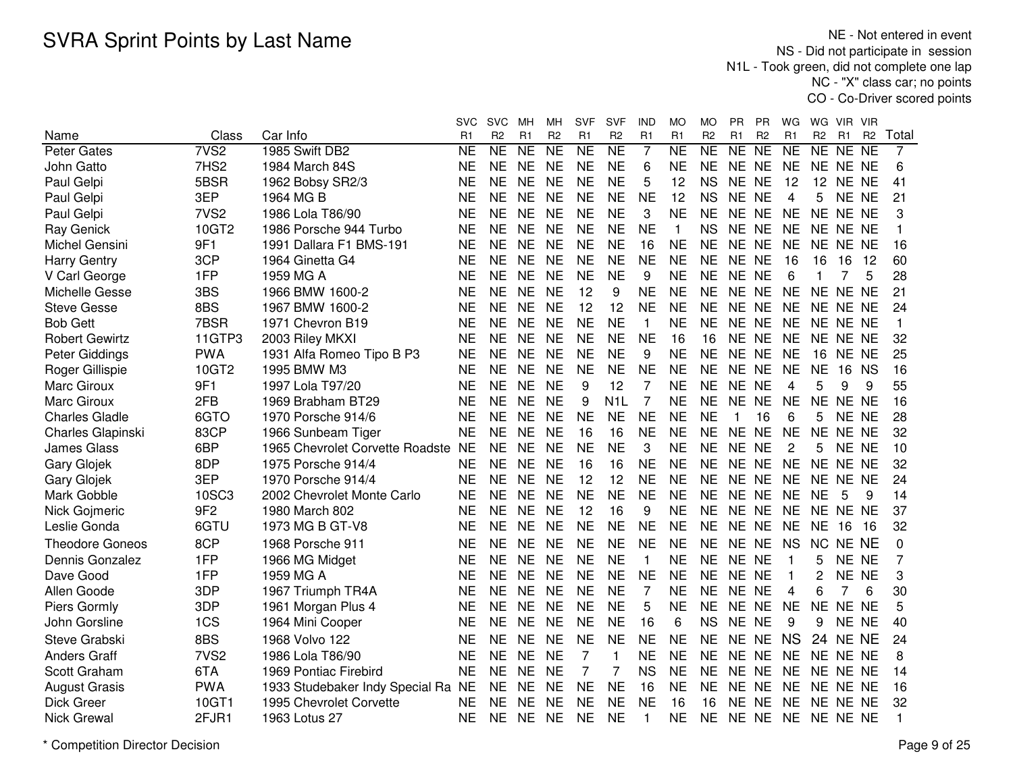NE - Not entered in event NS - Did not participate in session N1L - Took green, did not complete one lap NC - "X" class car; no pointsCO - Co-Driver scored points

|                        |                  |                                    | <b>SVC</b> | <b>SVC</b>          | мн             | MН                     | <b>SVF</b>      | <b>SVF</b>          | IND            | МO                  | MО             | PR             | ΡR             | WG             | WG             | VIR.     | VIR            |       |
|------------------------|------------------|------------------------------------|------------|---------------------|----------------|------------------------|-----------------|---------------------|----------------|---------------------|----------------|----------------|----------------|----------------|----------------|----------|----------------|-------|
| Name                   | Class            | Car Info                           | R1         | R <sub>2</sub>      | R1             | R <sub>2</sub>         | R1              | R <sub>2</sub>      | R1             | R1                  | R <sub>2</sub> | R1             | R <sub>2</sub> | R1             | R <sub>2</sub> | R1       | R <sub>2</sub> | Total |
| <b>Peter Gates</b>     | 7V <sub>S2</sub> | 1985 Swift DB2                     | <b>NE</b>  | $\overline{\sf NE}$ | N <sub>E</sub> | $\overline{\text{NE}}$ | $\overline{NE}$ | $\overline{\sf NE}$ | $\overline{7}$ | $\overline{\sf NE}$ | NE             | N <sub>E</sub> | N <sub>E</sub> | <b>NE</b>      |                | NE NE NE |                | 7     |
| John Gatto             | 7HS2             | 1984 March 84S                     | <b>NE</b>  | <b>NE</b>           | <b>NE</b>      | <b>NE</b>              | <b>NE</b>       | <b>NE</b>           | 6              | <b>NE</b>           | <b>NE</b>      | NE NE          |                | <b>NE</b>      |                | NE NE NE |                | 6     |
| Paul Gelpi             | 5BSR             | 1962 Bobsy SR2/3                   | <b>NE</b>  | <b>NE</b>           | <b>NE</b>      | <b>NE</b>              | <b>NE</b>       | <b>NE</b>           | 5              | 12                  | <b>NS</b>      | NE NE          |                | 12             | 12             | NE NE    |                | 41    |
| Paul Gelpi             | 3EP              | 1964 MG B                          | <b>NE</b>  | <b>NE</b>           | <b>NE</b>      | <b>NE</b>              | <b>NE</b>       | <b>NE</b>           | <b>NE</b>      | 12                  | <b>NS</b>      | NE NE          |                | 4              | 5              | NE NE    |                | 21    |
| Paul Gelpi             | 7VS <sub>2</sub> | 1986 Lola T86/90                   | <b>NE</b>  | <b>NE</b>           | <b>NE</b>      | <b>NE</b>              | <b>NE</b>       | <b>NE</b>           | 3              | <b>NE</b>           | <b>NE</b>      | NE NE          |                | <b>NE</b>      |                | NE NE NE |                | 3     |
| Ray Genick             | 10GT2            | 1986 Porsche 944 Turbo             | <b>NE</b>  | <b>NE</b>           | <b>NE</b>      | <b>NE</b>              | <b>NE</b>       | <b>NE</b>           | <b>NE</b>      | 1                   | <b>NS</b>      | NE NE          |                | <b>NE</b>      |                | NE NE NE |                |       |
| Michel Gensini         | 9F1              | 1991 Dallara F1 BMS-191            | <b>NE</b>  | NE                  | <b>NE</b>      | <b>NE</b>              | <b>NE</b>       | <b>NE</b>           | 16             | <b>NE</b>           | <b>NE</b>      | NE NE          |                | <b>NE</b>      |                | NE NE NE |                | 16    |
| <b>Harry Gentry</b>    | 3CP              | 1964 Ginetta G4                    | <b>NE</b>  | NE                  | <b>NE</b>      | <b>NE</b>              | <b>NE</b>       | <b>NE</b>           | <b>NE</b>      | <b>NE</b>           | <b>NE</b>      | NE NE          |                | 16             | 16             | 16       | -12            | 60    |
| V Carl George          | 1FP              | 1959 MG A                          | <b>NE</b>  | <b>NE</b>           | <b>NE</b>      | <b>NE</b>              | <b>NE</b>       | <b>NE</b>           | 9              | <b>NE</b>           | <b>NE</b>      | NE NE          |                | 6              |                |          | 5              | 28    |
| Michelle Gesse         | 3BS              | 1966 BMW 1600-2                    | <b>NE</b>  | <b>NE</b>           | <b>NE</b>      | <b>NE</b>              | 12              | 9                   | <b>NE</b>      | <b>NE</b>           | <b>NE</b>      | NE NE          |                | <b>NE</b>      | NE NE NE       |          |                | 21    |
| <b>Steve Gesse</b>     | 8BS              | 1967 BMW 1600-2                    | <b>NE</b>  | <b>NE</b>           | <b>NE</b>      | <b>NE</b>              | 12              | 12                  | <b>NE</b>      | <b>NE</b>           | <b>NE</b>      | <b>NE</b>      | <b>NE</b>      | <b>NE</b>      | NE NE NE       |          |                | 24    |
| <b>Bob Gett</b>        | 7BSR             | 1971 Chevron B19                   | <b>NE</b>  | <b>NE</b>           | <b>NE</b>      | <b>NE</b>              | <b>NE</b>       | <b>NE</b>           | $\mathbf{1}$   | <b>NE</b>           | <b>NE</b>      | NE NE          |                | <b>NE</b>      | NE NE NE       |          |                |       |
| <b>Robert Gewirtz</b>  | 11GTP3           | 2003 Riley MKXI                    | <b>NE</b>  | <b>NE</b>           | <b>NE</b>      | <b>NE</b>              | <b>NE</b>       | <b>NE</b>           | <b>NE</b>      | 16                  | 16             | NE NE          |                | <b>NE</b>      |                | NE NE NE |                | 32    |
| Peter Giddings         | <b>PWA</b>       | 1931 Alfa Romeo Tipo B P3          | <b>NE</b>  | <b>NE</b>           | <b>NE</b>      | <b>NE</b>              | <b>NE</b>       | <b>NE</b>           | 9              | <b>NE</b>           | <b>NE</b>      | NE NE          |                | <b>NE</b>      | 16             | NE NE    |                | 25    |
| Roger Gillispie        | 10GT2            | 1995 BMW M3                        | <b>NE</b>  | <b>NE</b>           | <b>NE</b>      | <b>NE</b>              | <b>NE</b>       | <b>NE</b>           | <b>NE</b>      | <b>NE</b>           | <b>NE</b>      | NE NE          |                | <b>NE</b>      | <b>NE</b>      | 16       | <b>NS</b>      | 16    |
| <b>Marc Giroux</b>     | 9F1              | 1997 Lola T97/20                   | <b>NE</b>  | <b>NE</b>           | <b>NE</b>      | <b>NE</b>              | 9               | 12                  | $\overline{7}$ | <b>NE</b>           | <b>NE</b>      | NE NE          |                | 4              | 5              | 9        | 9              | 55    |
| <b>Marc Giroux</b>     | 2FB              | 1969 Brabham BT29                  | <b>NE</b>  | <b>NE</b>           | <b>NE</b>      | <b>NE</b>              | 9               | N <sub>1</sub> L    | $\overline{7}$ | <b>NE</b>           | <b>NE</b>      | NE NE          |                | <b>NE</b>      |                | NE NE NE |                | 16    |
| <b>Charles Gladle</b>  | 6GTO             | 1970 Porsche 914/6                 | <b>NE</b>  | <b>NE</b>           | <b>NE</b>      | <b>NE</b>              | <b>NE</b>       | <b>NE</b>           | <b>NE</b>      | <b>NE</b>           | <b>NE</b>      | 1              | 16             | 6              | 5              | NE NE    |                | 28    |
| Charles Glapinski      | 83CP             | 1966 Sunbeam Tiger                 | <b>NE</b>  | <b>NE</b>           | <b>NE</b>      | <b>NE</b>              | 16              | 16                  | <b>NE</b>      | <b>NE</b>           | <b>NE</b>      | NE NE          |                | <b>NE</b>      |                | NE NE NE |                | 32    |
| <b>James Glass</b>     | 6BP              | 1965 Chevrolet Corvette Roadste    | <b>NE</b>  | NE.                 | <b>NE</b>      | <b>NE</b>              | <b>NE</b>       | <b>NE</b>           | 3              | <b>NE</b>           | <b>NE</b>      | NE NE          |                | 2              | 5              | NE NE    |                | 10    |
| <b>Gary Glojek</b>     | 8DP              | 1975 Porsche 914/4                 | <b>NE</b>  | <b>NE</b>           | <b>NE</b>      | <b>NE</b>              | 16              | 16                  | <b>NE</b>      | <b>NE</b>           | <b>NE</b>      | NE NE          |                | <b>NE</b>      | NE NE NE       |          |                | 32    |
| <b>Gary Glojek</b>     | 3EP              | 1970 Porsche 914/4                 | <b>NE</b>  | <b>NE</b>           | <b>NE</b>      | <b>NE</b>              | 12              | 12                  | <b>NE</b>      | <b>NE</b>           | <b>NE</b>      | NE NE          |                | <b>NE</b>      | NE NE NE       |          |                | 24    |
| Mark Gobble            | 10SC3            | 2002 Chevrolet Monte Carlo         | <b>NE</b>  | <b>NE</b>           | <b>NE</b>      | <b>NE</b>              | <b>NE</b>       | <b>NE</b>           | <b>NE</b>      | <b>NE</b>           | <b>NE</b>      | NE NE          |                | <b>NE</b>      | <b>NE</b>      | 5        | 9              | 14    |
| Nick Gojmeric          | 9F <sub>2</sub>  | 1980 March 802                     | <b>NE</b>  | <b>NE</b>           | <b>NE</b>      | <b>NE</b>              | 12              | 16                  | 9              | <b>NE</b>           | <b>NE</b>      | <b>NE</b>      | <b>NE</b>      | <b>NE</b>      | NE NE NE       |          |                | 37    |
| Leslie Gonda           | 6GTU             | 1973 MG B GT-V8                    | <b>NE</b>  | <b>NE</b>           | <b>NE</b>      | <b>NE</b>              | <b>NE</b>       | <b>NE</b>           | <b>NE</b>      | <b>NE</b>           | <b>NE</b>      | NE NE          |                | <b>NE</b>      | <b>NE</b>      | 16       | 16             | 32    |
| <b>Theodore Goneos</b> | 8CP              | 1968 Porsche 911                   | <b>NE</b>  | <b>NE</b>           | <b>NE</b>      | <b>NE</b>              | <b>NE</b>       | <b>NE</b>           | <b>NE</b>      | <b>NE</b>           | <b>NE</b>      | NE NE          |                | <b>NS</b>      | NC NE NE       |          |                | 0     |
| Dennis Gonzalez        | 1FP              | 1966 MG Midget                     | <b>NE</b>  | <b>NE</b>           | <b>NE</b>      | <b>NE</b>              | <b>NE</b>       | <b>NE</b>           | 1              | <b>NE</b>           | <b>NE</b>      | NE NE          |                | $\overline{1}$ | 5              | NE NE    |                | 7     |
| Dave Good              | 1FP              | 1959 MG A                          | <b>NE</b>  | <b>NE</b>           | <b>NE</b>      | <b>NE</b>              | <b>NE</b>       | <b>NE</b>           | <b>NE</b>      | <b>NE</b>           | <b>NE</b>      | NE NE          |                | $\overline{1}$ | 2              | NE NE    |                | 3     |
| Allen Goode            | 3DP              | 1967 Triumph TR4A                  | <b>NE</b>  | <b>NE</b>           | <b>NE</b>      | <b>NE</b>              | <b>NE</b>       | <b>NE</b>           | $\overline{7}$ | <b>NE</b>           | <b>NE</b>      | NE NE          |                | $\overline{4}$ | 6              | 7        | 6              | 30    |
| Piers Gormly           | 3DP              | 1961 Morgan Plus 4                 | <b>NE</b>  | <b>NE</b>           | <b>NE</b>      | <b>NE</b>              | <b>NE</b>       | <b>NE</b>           | 5              | <b>NE</b>           | <b>NE</b>      | NE NE          |                | <b>NE</b>      |                | NE NE NE |                | 5     |
| John Gorsline          | 1CS              | 1964 Mini Cooper                   | <b>NE</b>  | <b>NE</b>           | <b>NE</b>      | <b>NE</b>              | <b>NE</b>       | <b>NE</b>           | 16             | 6                   | <b>NS</b>      | NE NE          |                | 9              | 9              | NE NE    |                | 40    |
| Steve Grabski          | 8BS              | 1968 Volvo 122                     | NE         | <b>NE</b>           | <b>NE</b>      | <b>NE</b>              | <b>NE</b>       | <b>NE</b>           | <b>NE</b>      | <b>NE</b>           | <b>NE</b>      | NE NE          |                | <b>NS</b>      | 24             | NE NE    |                | 24    |
| <b>Anders Graff</b>    | 7VS <sub>2</sub> | 1986 Lola T86/90                   | <b>NE</b>  | <b>NE</b>           | <b>NE</b>      | <b>NE</b>              | 7               | $\mathbf{1}$        | <b>NE</b>      | <b>NE</b>           | <b>NE</b>      | NE NE          |                | <b>NE</b>      |                | NE NE NE |                | 8     |
| Scott Graham           | 6TA              | 1969 Pontiac Firebird              | <b>NE</b>  | <b>NE</b>           | <b>NE</b>      | <b>NE</b>              | 7               | $\overline{7}$      | <b>NS</b>      | <b>NE</b>           | <b>NE</b>      | NE NE          |                | <b>NE</b>      |                | NE NE NE |                | 14    |
| <b>August Grasis</b>   | <b>PWA</b>       | 1933 Studebaker Indy Special Ra NE |            | <b>NE</b>           | <b>NE</b>      | <b>NE</b>              | <b>NE</b>       | <b>NE</b>           | 16             | <b>NE</b>           | <b>NE</b>      | NE NE          |                | <b>NE</b>      |                | NE NE NE |                | 16    |
| Dick Greer             | 10GT1            | 1995 Chevrolet Corvette            | <b>NE</b>  | <b>NE</b>           | <b>NE</b>      | <b>NE</b>              | <b>NE</b>       | <b>NE</b>           | <b>NE</b>      | 16                  | 16             | NE.            | <b>NE</b>      | <b>NE</b>      |                | NE NE NE |                | 32    |
| <b>Nick Grewal</b>     | 2FJR1            | 1963 Lotus 27                      | <b>NE</b>  | <b>NE</b>           | <b>NE</b>      | <b>NE</b>              | <b>NE</b>       | <b>NE</b>           | 1              | ΝE                  | <b>NE</b>      | NE NE          |                | <b>NE</b>      | NE NE NE       |          |                |       |
|                        |                  |                                    |            |                     |                |                        |                 |                     |                |                     |                |                |                |                |                |          |                |       |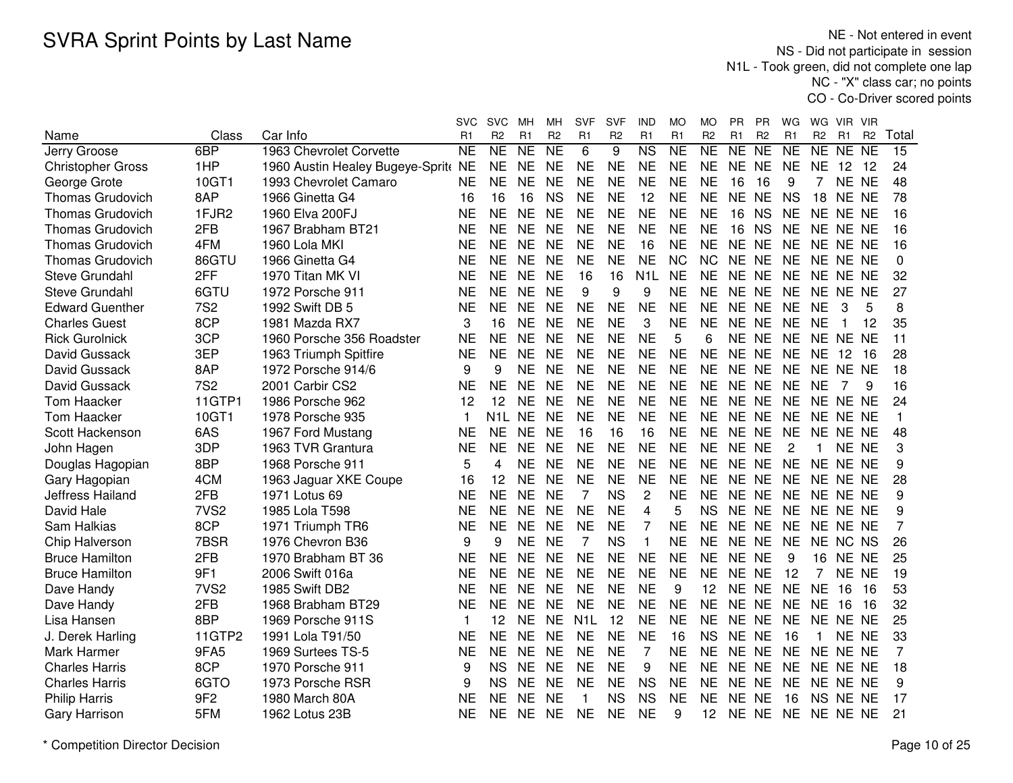NE - Not entered in event NS - Did not participate in session N1L - Took green, did not complete one lap NC - "X" class car; no pointsCO - Co-Driver scored points

|                          |                  |                                  | <b>SVC</b>   | <b>SVC</b>       | MН              | MН              | <b>SVF</b>       | <b>SVF</b>     | <b>IND</b>             | МO                  | МO             | PR        | PR             | WG              | WG             | <b>VIR</b>     | <b>VIR</b>     |                |
|--------------------------|------------------|----------------------------------|--------------|------------------|-----------------|-----------------|------------------|----------------|------------------------|---------------------|----------------|-----------|----------------|-----------------|----------------|----------------|----------------|----------------|
| Name                     | Class            | Car Info                         | R1           | R <sub>2</sub>   | R1              | R <sub>2</sub>  | R <sub>1</sub>   | R <sub>2</sub> | R1                     | R1                  | R <sub>2</sub> | R1        | R <sub>2</sub> | R1              | R <sub>2</sub> | R <sub>1</sub> | R <sub>2</sub> | Total          |
| Jerry Groose             | 6BP              | 1963 Chevrolet Corvette          | <b>NE</b>    | NE               | $\overline{NE}$ | $\overline{NE}$ | 6                | 9              | $\overline{\text{NS}}$ | $\overline{\sf NE}$ | NE             | NE        | <b>NE</b>      | $\overline{NE}$ | <b>NE</b>      | NE NE          |                | 15             |
| <b>Christopher Gross</b> | 1HP              | 1960 Austin Healey Bugeye-Sprite | <b>NE</b>    | NE               | <b>NE</b>       | <b>NE</b>       | <b>NE</b>        | <b>NE</b>      | <b>NE</b>              | <b>NE</b>           | <b>NE</b>      | NE.       | <b>NE</b>      | <b>NE</b>       | <b>NE</b>      | 12             | 12             | 24             |
| George Grote             | 10GT1            | 1993 Chevrolet Camaro            | <b>NE</b>    | NE               | <b>NE</b>       | <b>NE</b>       | <b>NE</b>        | <b>NE</b>      | <b>NE</b>              | <b>NE</b>           | <b>NE</b>      | 16        | 16             | 9               | 7              | NE NE          |                | 48             |
| <b>Thomas Grudovich</b>  | 8AP              | 1966 Ginetta G4                  | 16           | 16               | 16              | <b>NS</b>       | <b>NE</b>        | <b>NE</b>      | 12                     | <b>NE</b>           | <b>NE</b>      | <b>NE</b> | <b>NE</b>      | <b>NS</b>       | 18             | NE NE          |                | 78             |
| <b>Thomas Grudovich</b>  | 1FJR2            | 1960 Elva 200FJ                  | <b>NE</b>    | <b>NE</b>        | <b>NE</b>       | <b>NE</b>       | <b>NE</b>        | <b>NE</b>      | <b>NE</b>              | <b>NE</b>           | <b>NE</b>      | 16        | <b>NS</b>      | <b>NE</b>       |                | NE NE NE       |                | 16             |
| <b>Thomas Grudovich</b>  | 2FB              | 1967 Brabham BT21                | <b>NE</b>    | <b>NE</b>        | <b>NE</b>       | <b>NE</b>       | <b>NE</b>        | <b>NE</b>      | <b>NE</b>              | <b>NE</b>           | <b>NE</b>      | 16        | <b>NS</b>      | <b>NE</b>       |                | NE NE NE       |                | 16             |
| <b>Thomas Grudovich</b>  | 4FM              | 1960 Lola MKI                    | <b>NE</b>    | <b>NE</b>        | <b>NE</b>       | <b>NE</b>       | <b>NE</b>        | <b>NE</b>      | 16                     | <b>NE</b>           | <b>NE</b>      | NE NE     |                | <b>NE</b>       |                | NE NE NE       |                | 16             |
| <b>Thomas Grudovich</b>  | 86GTU            | 1966 Ginetta G4                  | <b>NE</b>    | <b>NE</b>        | <b>NE</b>       | <b>NE</b>       | <b>NE</b>        | <b>NE</b>      | <b>NE</b>              | <b>NC</b>           | <b>NC</b>      | NE NE     |                | <b>NE</b>       |                | NE NE NE       |                | 0              |
| Steve Grundahl           | 2FF              | 1970 Titan MK VI                 | <b>NE</b>    | NE               | <b>NE</b>       | <b>NE</b>       | 16               | 16             | N <sub>1</sub> L       | <b>NE</b>           | <b>NE</b>      | NE NE     |                | NE              |                | NE NE NE       |                | 32             |
| Steve Grundahl           | 6GTU             | 1972 Porsche 911                 | <b>NE</b>    | <b>NE</b>        | <b>NE</b>       | <b>NE</b>       | 9                | 9              | 9                      | <b>NE</b>           | <b>NE</b>      | NE NE     |                | <b>NE</b>       |                | NE NE NE       |                | 27             |
| <b>Edward Guenther</b>   | <b>7S2</b>       | 1992 Swift DB 5                  | <b>NE</b>    | <b>NE</b>        | <b>NE</b>       | <b>NE</b>       | <b>NE</b>        | <b>NE</b>      | <b>NE</b>              | <b>NE</b>           | <b>NE</b>      | NE NE     |                | <b>NE</b>       | <b>NE</b>      | 3              | 5              | 8              |
| <b>Charles Guest</b>     | 8CP              | 1981 Mazda RX7                   | 3            | 16               | <b>NE</b>       | <b>NE</b>       | <b>NE</b>        | <b>NE</b>      | 3                      | <b>NE</b>           | <b>NE</b>      | NE NE     |                | <b>NE</b>       | <b>NE</b>      | $\mathbf 1$    | 12             | 35             |
| <b>Rick Gurolnick</b>    | 3CP              | 1960 Porsche 356 Roadster        | <b>NE</b>    | <b>NE</b>        | <b>NE</b>       | <b>NE</b>       | <b>NE</b>        | <b>NE</b>      | <b>NE</b>              | 5                   | 6              | NE NE     |                | <b>NE</b>       |                | NE NE NE       |                | 11             |
| David Gussack            | 3EP              | 1963 Triumph Spitfire            | <b>NE</b>    | <b>NE</b>        | <b>NE</b>       | <b>NE</b>       | <b>NE</b>        | <b>NE</b>      | <b>NE</b>              | <b>NE</b>           | <b>NE</b>      | NE NE     |                | <b>NE</b>       | <b>NE</b>      | 12             | 16             | 28             |
| David Gussack            | 8AP              | 1972 Porsche 914/6               | 9            | 9                | <b>NE</b>       | <b>NE</b>       | <b>NE</b>        | <b>NE</b>      | <b>NE</b>              | <b>NE</b>           | <b>NE</b>      | NE NE     |                | NE              |                | NE NE NE       |                | 18             |
| David Gussack            | <b>7S2</b>       | 2001 Carbir CS2                  | <b>NE</b>    | <b>NE</b>        | <b>NE</b>       | <b>NE</b>       | <b>NE</b>        | <b>NE</b>      | <b>NE</b>              | <b>NE</b>           | <b>NE</b>      | NE NE     |                | <b>NE</b>       | <b>NE</b>      | 7              | 9              | 16             |
| <b>Tom Haacker</b>       | 11GTP1           | 1986 Porsche 962                 | 12           | 12               | <b>NE</b>       | <b>NE</b>       | <b>NE</b>        | <b>NE</b>      | <b>NE</b>              | <b>NE</b>           | <b>NE</b>      | NE NE     |                | <b>NE</b>       |                | NE NE NE       |                | 24             |
| <b>Tom Haacker</b>       | 10GT1            | 1978 Porsche 935                 | $\mathbf{1}$ | N <sub>1</sub> L | <b>NE</b>       | <b>NE</b>       | <b>NE</b>        | <b>NE</b>      | <b>NE</b>              | <b>NE</b>           | <b>NE</b>      | NE NE     |                | <b>NE</b>       |                | NE NE NE       |                | $\mathbf{1}$   |
| Scott Hackenson          | 6AS              | 1967 Ford Mustang                | <b>NE</b>    | <b>NE</b>        | <b>NE</b>       | <b>NE</b>       | 16               | 16             | 16                     | <b>NE</b>           | <b>NE</b>      | NE NE     |                | <b>NE</b>       |                | NE NE NE       |                | 48             |
| John Hagen               | 3DP              | 1963 TVR Grantura                | <b>NE</b>    | <b>NE</b>        | <b>NE</b>       | <b>NE</b>       | <b>NE</b>        | <b>NE</b>      | <b>NE</b>              | <b>NE</b>           | <b>NE</b>      | NE NE     |                | 2               | 1              | NE NE          |                | 3              |
| Douglas Hagopian         | 8BP              | 1968 Porsche 911                 | 5            | 4                | <b>NE</b>       | <b>NE</b>       | <b>NE</b>        | <b>NE</b>      | <b>NE</b>              | <b>NE</b>           | <b>NE</b>      | NE NE     |                | <b>NE</b>       |                | NE NE NE       |                | 9              |
| Gary Hagopian            | 4CM              | 1963 Jaguar XKE Coupe            | 16           | 12               | <b>NE</b>       | <b>NE</b>       | <b>NE</b>        | <b>NE</b>      | <b>NE</b>              | NE                  | <b>NE</b>      | NE NE     |                | NE              |                | NE NE NE       |                | 28             |
| Jeffress Hailand         | 2FB              | 1971 Lotus 69                    | <b>NE</b>    | <b>NE</b>        | <b>NE</b>       | <b>NE</b>       | 7                | <b>NS</b>      | $\overline{c}$         | <b>NE</b>           | <b>NE</b>      | NE NE     |                | NE              |                | NE NE NE       |                | 9              |
| David Hale               | 7VS <sub>2</sub> | 1985 Lola T598                   | <b>NE</b>    | <b>NE</b>        | <b>NE</b>       | <b>NE</b>       | <b>NE</b>        | <b>NE</b>      | 4                      | 5                   | <b>NS</b>      | NE NE     |                | <b>NE</b>       |                | NE NE NE       |                | 9              |
| Sam Halkias              | 8CP              | 1971 Triumph TR6                 | <b>NE</b>    | <b>NE</b>        | <b>NE</b>       | <b>NE</b>       | <b>NE</b>        | <b>NE</b>      | 7                      | <b>NE</b>           | <b>NE</b>      | NE NE     |                | <b>NE</b>       |                | NE NE NE       |                | $\overline{7}$ |
| Chip Halverson           | 7BSR             | 1976 Chevron B36                 | 9            | 9                | <b>NE</b>       | <b>NE</b>       | 7                | <b>NS</b>      | $\mathbf{1}$           | <b>NE</b>           | <b>NE</b>      | <b>NE</b> | <b>NE</b>      | <b>NE</b>       | <b>NE</b>      | NC NS          |                | 26             |
| <b>Bruce Hamilton</b>    | 2FB              | 1970 Brabham BT 36               | <b>NE</b>    | <b>NE</b>        | <b>NE</b>       | <b>NE</b>       | <b>NE</b>        | <b>NE</b>      | <b>NE</b>              | <b>NE</b>           | <b>NE</b>      | NE NE     |                | 9               | 16             | NE NE          |                | 25             |
| <b>Bruce Hamilton</b>    | 9F1              | 2006 Swift 016a                  | <b>NE</b>    | <b>NE</b>        | <b>NE</b>       | <b>NE</b>       | <b>NE</b>        | <b>NE</b>      | <b>NE</b>              | <b>NE</b>           | <b>NE</b>      | NE.       | <b>NE</b>      | 12              | 7              | NE NE          |                | 19             |
| Dave Handy               | 7VS <sub>2</sub> | 1985 Swift DB2                   | <b>NE</b>    | NE.              | <b>NE</b>       | <b>NE</b>       | <b>NE</b>        | <b>NE</b>      | <b>NE</b>              | 9                   | 12             | NE        | <b>NE</b>      | <b>NE</b>       | <b>NE</b>      | 16             | 16             | 53             |
| Dave Handy               | 2FB              | 1968 Brabham BT29                | <b>NE</b>    | <b>NE</b>        | <b>NE</b>       | <b>NE</b>       | <b>NE</b>        | <b>NE</b>      | <b>NE</b>              | <b>NE</b>           | <b>NE</b>      | NE NE     |                | <b>NE</b>       | <b>NE</b>      | 16             | 16             | 32             |
| Lisa Hansen              | 8BP              | 1969 Porsche 911S                | 1            | 12               | <b>NE</b>       | <b>NE</b>       | N <sub>1</sub> L | 12             | <b>NE</b>              | <b>NE</b>           | <b>NE</b>      | NE NE     |                | <b>NE</b>       |                | NE NE NE       |                | 25             |
| J. Derek Harling         | 11GTP2           | 1991 Lola T91/50                 | <b>NE</b>    | <b>NE</b>        | <b>NE</b>       | <b>NE</b>       | <b>NE</b>        | <b>NE</b>      | <b>NE</b>              | 16                  | <b>NS</b>      | NE NE     |                | 16              | $\mathbf 1$    | NE NE          |                | 33             |
| Mark Harmer              | 9FA5             | 1969 Surtees TS-5                | <b>NE</b>    | <b>NE</b>        | <b>NE</b>       | <b>NE</b>       | <b>NE</b>        | <b>NE</b>      | $\overline{7}$         | <b>NE</b>           | <b>NE</b>      | NE NE     |                | <b>NE</b>       |                | NE NE NE       |                | $\overline{7}$ |
| <b>Charles Harris</b>    | 8CP              | 1970 Porsche 911                 | 9            | <b>NS</b>        | <b>NE</b>       | <b>NE</b>       | <b>NE</b>        | <b>NE</b>      | 9                      | <b>NE</b>           | <b>NE</b>      | NE NE     |                | <b>NE</b>       |                | NE NE NE       |                | 18             |
| <b>Charles Harris</b>    | 6GTO             | 1973 Porsche RSR                 | 9            | <b>NS</b>        | <b>NE</b>       | <b>NE</b>       | <b>NE</b>        | <b>NE</b>      | <b>NS</b>              | NE                  | <b>NE</b>      | NE NE     |                | NE              |                | NE NE NE       |                | 9              |
| <b>Philip Harris</b>     | 9F <sub>2</sub>  | 1980 March 80A                   | <b>NE</b>    | NE.              | <b>NE</b>       | <b>NE</b>       | 1                | <b>NS</b>      | <b>NS</b>              | <b>NE</b>           | NE             | NE        | <b>NE</b>      | 16              |                | NS NE NE       |                | 17             |
| <b>Gary Harrison</b>     | 5FM              | 1962 Lotus 23B                   | <b>NE</b>    | <b>NE</b>        | <b>NE</b>       | <b>NE</b>       | <b>NE</b>        | <b>NE</b>      | <b>NE</b>              | 9                   | 12             | NE NE     |                | <b>NE</b>       |                | NE NE NE       |                | 21             |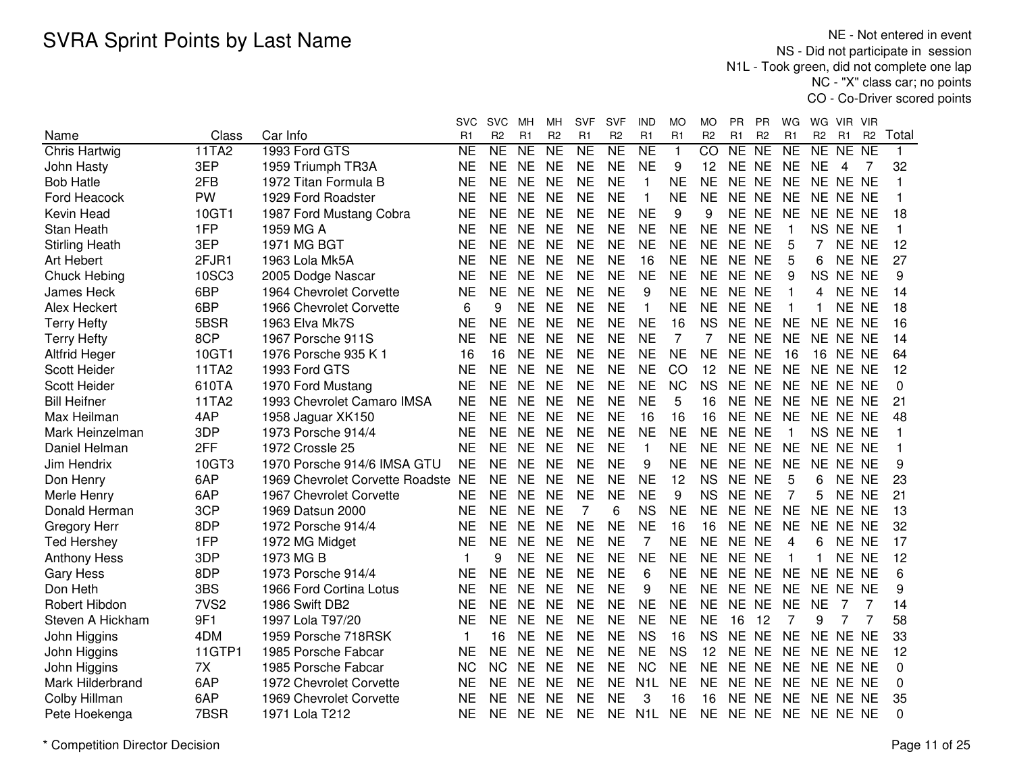|                       |                  |                                 | svc             | <b>SVC</b>     | MН             | MН             | SVF             | SVF            | IND                 | МO             | МO             | PR.            | ΡR             | WG.            | WG             | VIR.     | <b>VIR</b>     |              |
|-----------------------|------------------|---------------------------------|-----------------|----------------|----------------|----------------|-----------------|----------------|---------------------|----------------|----------------|----------------|----------------|----------------|----------------|----------|----------------|--------------|
| Name                  | Class            | Car Info                        | R1              | R <sub>2</sub> | R <sub>1</sub> | R <sub>2</sub> | R <sub>1</sub>  | R <sub>2</sub> | R1                  | R <sub>1</sub> | R <sub>2</sub> | R <sub>1</sub> | R <sub>2</sub> | R1             | R <sub>2</sub> | R1       | R <sub>2</sub> | Total        |
| <b>Chris Hartwig</b>  | 11TA2            | 1993 Ford GTS                   | $\overline{NE}$ | NE             | <b>NE</b>      | NE             | $\overline{NE}$ | NE             | $\overline{\sf NE}$ | 1              | $\overline{C}$ | NE             | N <sub>E</sub> | N <sub>E</sub> | NE             | NE NE    |                | $\mathbf{1}$ |
| John Hasty            | 3EP              | 1959 Triumph TR3A               | <b>NE</b>       | <b>NE</b>      | <b>NE</b>      | <b>NE</b>      | <b>NE</b>       | <b>NE</b>      | <b>NE</b>           | 9              | 12             | NE NE          |                | <b>NE</b>      | <b>NE</b>      | 4        | 7              | 32           |
| <b>Bob Hatle</b>      | 2FB              | 1972 Titan Formula B            | <b>NE</b>       | <b>NE</b>      | <b>NE</b>      | <b>NE</b>      | <b>NE</b>       | <b>NE</b>      | $\mathbf{1}$        | <b>NE</b>      | <b>NE</b>      | NE NE          |                | <b>NE</b>      |                | NE NE NE |                | 1            |
| Ford Heacock          | <b>PW</b>        | 1929 Ford Roadster              | <b>NE</b>       | <b>NE</b>      | <b>NE</b>      | <b>NE</b>      | <b>NE</b>       | <b>NE</b>      | $\mathbf{1}$        | <b>NE</b>      | <b>NE</b>      | NE NE          |                | <b>NE</b>      |                | NE NE NE |                | 1            |
| Kevin Head            | 10GT1            | 1987 Ford Mustang Cobra         | <b>NE</b>       | <b>NE</b>      | <b>NE</b>      | <b>NE</b>      | <b>NE</b>       | <b>NE</b>      | <b>NE</b>           | 9              | 9              | NE NE          |                | <b>NE</b>      |                | NE NE NE |                | 18           |
| Stan Heath            | 1FP              | 1959 MG A                       | <b>NE</b>       | <b>NE</b>      | <b>NE</b>      | <b>NE</b>      | <b>NE</b>       | <b>NE</b>      | <b>NE</b>           | <b>NE</b>      | <b>NE</b>      | NE NE          |                | -1             |                | NS NE NE |                | 1            |
| <b>Stirling Heath</b> | 3EP              | 1971 MG BGT                     | <b>NE</b>       | <b>NE</b>      | <b>NE</b>      | <b>NE</b>      | <b>NE</b>       | <b>NE</b>      | <b>NE</b>           | <b>NE</b>      | <b>NE</b>      | NE NE          |                | 5              | $\overline{7}$ | NE NE    |                | 12           |
| Art Hebert            | 2FJR1            | 1963 Lola Mk5A                  | <b>NE</b>       | <b>NE</b>      | <b>NE</b>      | <b>NE</b>      | <b>NE</b>       | <b>NE</b>      | 16                  | <b>NE</b>      | <b>NE</b>      | NE NE          |                | 5              | 6              | NE NE    |                | 27           |
| Chuck Hebing          | <b>10SC3</b>     | 2005 Dodge Nascar               | NE              | <b>NE</b>      | <b>NE</b>      | <b>NE</b>      | <b>NE</b>       | <b>NE</b>      | <b>NE</b>           | <b>NE</b>      | <b>NE</b>      | NE NE          |                | 9              | <b>NS</b>      | NE NE    |                | 9            |
| <b>James Heck</b>     | 6BP              | 1964 Chevrolet Corvette         | <b>NE</b>       | <b>NE</b>      | <b>NE</b>      | <b>NE</b>      | <b>NE</b>       | <b>NE</b>      | 9                   | <b>NE</b>      | <b>NE</b>      | NE NE          |                | $\mathbf{1}$   | 4              | NE NE    |                | 14           |
| Alex Heckert          | 6BP              | 1966 Chevrolet Corvette         | 6               | 9              | <b>NE</b>      | <b>NE</b>      | <b>NE</b>       | <b>NE</b>      | $\mathbf{1}$        | <b>NE</b>      | <b>NE</b>      | NE NE          |                | $\mathbf{1}$   |                | NE NE    |                | 18           |
| <b>Terry Hefty</b>    | 5BSR             | 1963 Elva Mk7S                  | <b>NE</b>       | <b>NE</b>      | <b>NE</b>      | <b>NE</b>      | <b>NE</b>       | <b>NE</b>      | <b>NE</b>           | 16             | <b>NS</b>      | NE NE          |                | <b>NE</b>      |                | NE NE NE |                | 16           |
| <b>Terry Hefty</b>    | 8CP              | 1967 Porsche 911S               | <b>NE</b>       | <b>NE</b>      | <b>NE</b>      | <b>NE</b>      | <b>NE</b>       | <b>NE</b>      | <b>NE</b>           | 7              |                | <b>NE</b>      | <b>NE</b>      | <b>NE</b>      |                | NE NE NE |                | 14           |
| <b>Altfrid Heger</b>  | 10GT1            | 1976 Porsche 935 K 1            | 16              | 16             | <b>NE</b>      | <b>NE</b>      | <b>NE</b>       | <b>NE</b>      | <b>NE</b>           | <b>NE</b>      | <b>NE</b>      | NE NE          |                | 16             | 16             | NE NE    |                | 64           |
| <b>Scott Heider</b>   | 11TA2            | 1993 Ford GTS                   | <b>NE</b>       | <b>NE</b>      | <b>NE</b>      | <b>NE</b>      | <b>NE</b>       | <b>NE</b>      | <b>NE</b>           | CO             | 12             | NE NE          |                | <b>NE</b>      |                | NE NE NE |                | 12           |
| <b>Scott Heider</b>   | 610TA            | 1970 Ford Mustang               | <b>NE</b>       | <b>NE</b>      | <b>NE</b>      | <b>NE</b>      | <b>NE</b>       | <b>NE</b>      | <b>NE</b>           | <b>NC</b>      | <b>NS</b>      | NE NE          |                | <b>NE</b>      |                | NE NE NE |                | $\Omega$     |
| <b>Bill Heifner</b>   | 11TA2            | 1993 Chevrolet Camaro IMSA      | <b>NE</b>       | <b>NE</b>      | <b>NE</b>      | <b>NE</b>      | <b>NE</b>       | <b>NE</b>      | <b>NE</b>           | 5              | 16             | NE             | <b>NE</b>      | <b>NE</b>      |                | NE NE NE |                | 21           |
| Max Heilman           | 4AP              | 1958 Jaguar XK150               | <b>NE</b>       | <b>NE</b>      | <b>NE</b>      | <b>NE</b>      | <b>NE</b>       | <b>NE</b>      | 16                  | 16             | 16             | <b>NE</b>      | <b>NE</b>      | <b>NE</b>      |                | NE NE NE |                | 48           |
| Mark Heinzelman       | 3DP              | 1973 Porsche 914/4              | <b>NE</b>       | <b>NE</b>      | <b>NE</b>      | <b>NE</b>      | <b>NE</b>       | <b>NE</b>      | <b>NE</b>           | <b>NE</b>      | <b>NE</b>      | NE NE          |                | $\mathbf{1}$   |                | NS NE NE |                | 1            |
| Daniel Helman         | 2FF              | 1972 Crossle 25                 | <b>NE</b>       | <b>NE</b>      | <b>NE</b>      | <b>NE</b>      | <b>NE</b>       | <b>NE</b>      | $\mathbf{1}$        | <b>NE</b>      | <b>NE</b>      | NE NE          |                | <b>NE</b>      |                | NE NE NE |                |              |
| Jim Hendrix           | 10GT3            | 1970 Porsche 914/6 IMSA GTU     | <b>NE</b>       | <b>NE</b>      | <b>NE</b>      | <b>NE</b>      | <b>NE</b>       | <b>NE</b>      | 9                   | <b>NE</b>      | <b>NE</b>      | NE NE          |                | <b>NE</b>      |                | NE NE NE |                | 9            |
| Don Henry             | 6AP              | 1969 Chevrolet Corvette Roadste | <b>NE</b>       | <b>NE</b>      | <b>NE</b>      | <b>NE</b>      | <b>NE</b>       | <b>NE</b>      | <b>NE</b>           | 12             | <b>NS</b>      | NE NE          |                | 5              | 6              | NE NE    |                | 23           |
| Merle Henry           | 6AP              | 1967 Chevrolet Corvette         | <b>NE</b>       | <b>NE</b>      | <b>NE</b>      | <b>NE</b>      | <b>NE</b>       | <b>NE</b>      | <b>NE</b>           | 9              | <b>NS</b>      | NE NE          |                | 7              | 5              | NE NE    |                | 21           |
| Donald Herman         | 3CP              | 1969 Datsun 2000                | <b>NE</b>       | <b>NE</b>      | <b>NE</b>      | <b>NE</b>      | $\overline{7}$  | 6              | <b>NS</b>           | <b>NE</b>      | <b>NE</b>      | NE NE          |                | <b>NE</b>      |                | NE NE NE |                | 13           |
| Gregory Herr          | 8DP              | 1972 Porsche 914/4              | NE              | <b>NE</b>      | <b>NE</b>      | <b>NE</b>      | <b>NE</b>       | <b>NE</b>      | <b>NE</b>           | 16             | 16             | NE NE          |                | <b>NE</b>      |                | NE NE NE |                | 32           |
| <b>Ted Hershey</b>    | 1FP              | 1972 MG Midget                  | <b>NE</b>       | NE.            | <b>NE</b>      | <b>NE</b>      | <b>NE</b>       | <b>NE</b>      | $\overline{7}$      | <b>NE</b>      | <b>NE</b>      | NE NE          |                | 4              | 6              | NE NE    |                | 17           |
| <b>Anthony Hess</b>   | 3DP              | 1973 MG B                       |                 | 9              | <b>NE</b>      | <b>NE</b>      | <b>NE</b>       | <b>NE</b>      | <b>NE</b>           | <b>NE</b>      | <b>NE</b>      | NE NE          |                |                | $\mathbf{1}$   | NE NE    |                | 12           |
| <b>Gary Hess</b>      | 8DP              | 1973 Porsche 914/4              | <b>NE</b>       | <b>NE</b>      | <b>NE</b>      | <b>NE</b>      | <b>NE</b>       | <b>NE</b>      | 6                   | <b>NE</b>      | <b>NE</b>      | NE NE          |                | <b>NE</b>      |                | NE NE NE |                | 6            |
| Don Heth              | 3BS              | 1966 Ford Cortina Lotus         | <b>NE</b>       | <b>NE</b>      | <b>NE</b>      | <b>NE</b>      | <b>NE</b>       | <b>NE</b>      | 9                   | <b>NE</b>      | <b>NE</b>      | NE NE          |                | <b>NE</b>      |                | NE NE NE |                | 9            |
| Robert Hibdon         | 7VS <sub>2</sub> | 1986 Swift DB2                  | <b>NE</b>       | <b>NE</b>      | <b>NE</b>      | <b>NE</b>      | <b>NE</b>       | <b>NE</b>      | <b>NE</b>           | <b>NE</b>      | <b>NE</b>      | NE NE          |                | <b>NE</b>      | <b>NE</b>      |          |                | 14           |
| Steven A Hickham      | 9F1              | 1997 Lola T97/20                | <b>NE</b>       | <b>NE</b>      | <b>NE</b>      | <b>NE</b>      | <b>NE</b>       | <b>NE</b>      | <b>NE</b>           | <b>NE</b>      | <b>NE</b>      | 16             | 12             | 7              | 9              |          |                | 58           |
| John Higgins          | 4DM              | 1959 Porsche 718RSK             | 1               | 16             | <b>NE</b>      | <b>NE</b>      | <b>NE</b>       | <b>NE</b>      | <b>NS</b>           | 16             | <b>NS</b>      | <b>NE</b>      | <b>NE</b>      | <b>NE</b>      |                | NE NE NE |                | 33           |
| John Higgins          | 11GTP1           | 1985 Porsche Fabcar             | <b>NE</b>       | <b>NE</b>      | <b>NE</b>      | <b>NE</b>      | <b>NE</b>       | <b>NE</b>      | <b>NE</b>           | <b>NS</b>      | 12             | NE NE          |                | <b>NE</b>      |                | NE NE NE |                | 12           |
| John Higgins          | 7X               | 1985 Porsche Fabcar             | <b>NC</b>       | <b>NC</b>      | <b>NE</b>      | <b>NE</b>      | <b>NE</b>       | <b>NE</b>      | <b>NC</b>           | <b>NE</b>      | <b>NE</b>      | NE NE          |                | <b>NE</b>      |                | NE NE NE |                | $\Omega$     |
| Mark Hilderbrand      | 6AP              | 1972 Chevrolet Corvette         | <b>NE</b>       | <b>NE</b>      | <b>NE</b>      | <b>NE</b>      | <b>NE</b>       | <b>NE</b>      | N <sub>1</sub> L    | <b>NE</b>      | <b>NE</b>      | NE NE          |                | <b>NE</b>      |                | NE NE NE |                | 0            |
| Colby Hillman         | 6AP              | 1969 Chevrolet Corvette         | <b>NE</b>       | <b>NE</b>      | <b>NE</b>      | <b>NE</b>      | <b>NE</b>       | <b>NE</b>      | 3                   | 16             | 16             | NE NE          |                | <b>NE</b>      |                | NE NE NE |                | 35           |
| Pete Hoekenga         | 7BSR             | 1971 Lola T212                  | <b>NE</b>       | <b>NE</b>      | <b>NE</b>      | <b>NE</b>      | <b>NE</b>       | <b>NE</b>      | N <sub>1</sub> L    | <b>NE</b>      | <b>NE</b>      | NE NE          |                | <b>NE</b>      |                | NE NE NE |                | $\Omega$     |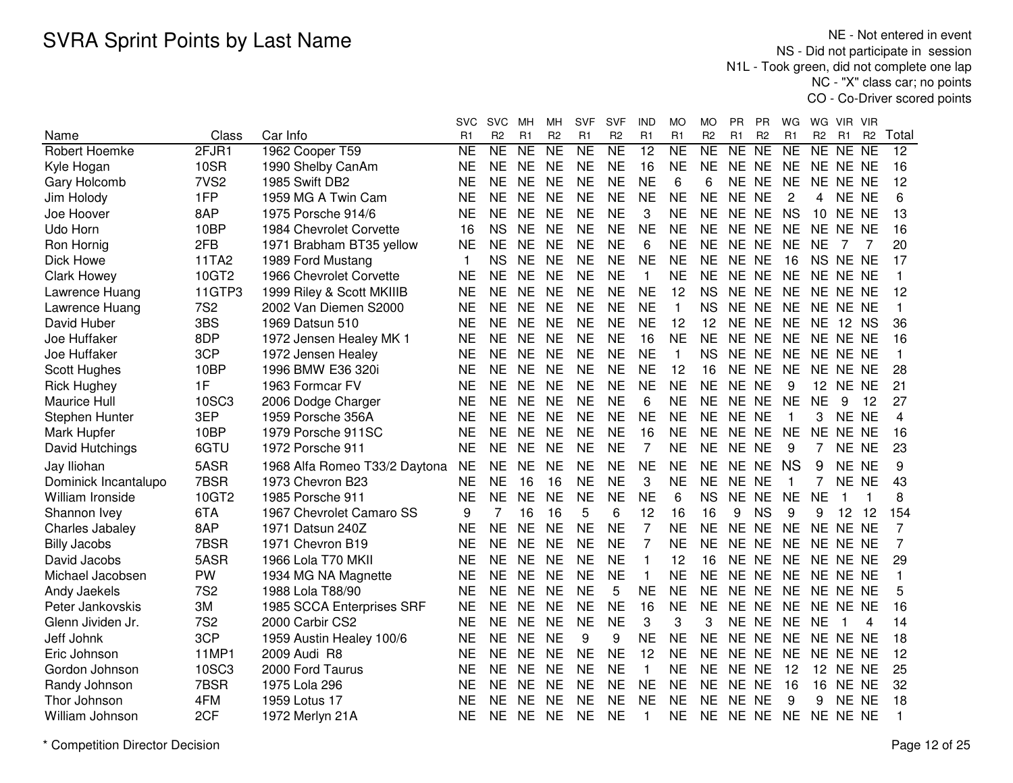NE - Not entered in event NS - Did not participate in session N1L - Took green, did not complete one lap NC - "X" class car; no pointsCO - Co-Driver scored points

|                      |                  |                               | svc       | <b>SVC</b>          | мн        | мн             | <b>SVF</b>     | SVF            | IND                     | МO                  | MO             | PR.   | <b>PR</b>       | WG             | WG             | VIR.           | <b>VIR</b>     |       |
|----------------------|------------------|-------------------------------|-----------|---------------------|-----------|----------------|----------------|----------------|-------------------------|---------------------|----------------|-------|-----------------|----------------|----------------|----------------|----------------|-------|
| Name                 | Class            | Car Info                      | R1        | R <sub>2</sub>      | R1        | R <sub>2</sub> | R <sub>1</sub> | R <sub>2</sub> | R1                      | R1                  | R <sub>2</sub> | R1    | R <sub>2</sub>  | R <sub>1</sub> | R <sub>2</sub> | R <sub>1</sub> | R <sub>2</sub> | Total |
| Robert Hoemke        | 2FJRI            | 1962 Cooper T59               | <b>NE</b> | $\overline{\sf NE}$ | <b>NE</b> | N <sub>E</sub> | <b>NE</b>      | N <sub>E</sub> | 12                      | $\overline{\sf NE}$ | <b>NE</b>      | NE    | $\overline{NE}$ | N <sub>E</sub> | NE NE          |                | <b>NE</b>      | 12    |
| Kyle Hogan           | 10SR             | 1990 Shelby CanAm             | <b>NE</b> | <b>NE</b>           | <b>NE</b> | <b>NE</b>      | <b>NE</b>      | <b>NE</b>      | 16                      | <b>NE</b>           | <b>NE</b>      | NE NE |                 | <b>NE</b>      | NE NE NE       |                |                | 16    |
| Gary Holcomb         | 7VS <sub>2</sub> | 1985 Swift DB2                | <b>NE</b> | <b>NE</b>           | <b>NE</b> | <b>NE</b>      | <b>NE</b>      | <b>NE</b>      | <b>NE</b>               | 6                   | 6              | NE NE |                 | <b>NE</b>      |                | NE NE NE       |                | 12    |
| Jim Holody           | 1FP              | 1959 MG A Twin Cam            | <b>NE</b> | <b>NE</b>           | <b>NE</b> | <b>NE</b>      | <b>NE</b>      | <b>NE</b>      | <b>NE</b>               | <b>NE</b>           | <b>NE</b>      | NE NE |                 | $\overline{2}$ | 4              | NE NE          |                | 6     |
| Joe Hoover           | 8AP              | 1975 Porsche 914/6            | <b>NE</b> | <b>NE</b>           | <b>NE</b> | <b>NE</b>      | <b>NE</b>      | <b>NE</b>      | 3                       | <b>NE</b>           | <b>NE</b>      | NE NE |                 | <b>NS</b>      | 10             | NE NE          |                | 13    |
| Udo Horn             | 10BP             | 1984 Chevrolet Corvette       | 16        | <b>NS</b>           | <b>NE</b> | <b>NE</b>      | <b>NE</b>      | <b>NE</b>      | <b>NE</b>               | <b>NE</b>           | <b>NE</b>      | NE NE |                 | <b>NE</b>      |                | NE NE NE       |                | 16    |
| Ron Hornig           | 2FB              | 1971 Brabham BT35 yellow      | <b>NE</b> | <b>NE</b>           | <b>NE</b> | <b>NE</b>      | <b>NE</b>      | <b>NE</b>      | 6                       | <b>NE</b>           | <b>NE</b>      | NE NE |                 | <b>NE</b>      | <b>NE</b>      | 7              | 7              | 20    |
| Dick Howe            | 11TA2            | 1989 Ford Mustang             | 1         | <b>NS</b>           | <b>NE</b> | <b>NE</b>      | <b>NE</b>      | <b>NE</b>      | <b>NE</b>               | <b>NE</b>           | <b>NE</b>      | NE NE |                 | 16             |                | NS NE NE       |                | 17    |
| <b>Clark Howey</b>   | 10GT2            | 1966 Chevrolet Corvette       | <b>NE</b> | <b>NE</b>           | <b>NE</b> | <b>NE</b>      | <b>NE</b>      | <b>NE</b>      | $\mathbf{1}$            | <b>NE</b>           | <b>NE</b>      | NE NE |                 | <b>NE</b>      | NE NE NE       |                |                | 1     |
| Lawrence Huang       | 11GTP3           | 1999 Riley & Scott MKIIIB     | <b>NE</b> | <b>NE</b>           | <b>NE</b> | <b>NE</b>      | <b>NE</b>      | <b>NE</b>      | <b>NE</b>               | 12                  | <b>NS</b>      | NE NE |                 | <b>NE</b>      | NE NE NE       |                |                | 12    |
| Lawrence Huang       | <b>7S2</b>       | 2002 Van Diemen S2000         | <b>NE</b> | <b>NE</b>           | <b>NE</b> | <b>NE</b>      | <b>NE</b>      | <b>NE</b>      | <b>NE</b>               | $\mathbf{1}$        | <b>NS</b>      | NE NE |                 | <b>NE</b>      | NE NE NE       |                |                | 1     |
| David Huber          | 3BS              | 1969 Datsun 510               | <b>NE</b> | <b>NE</b>           | <b>NE</b> | <b>NE</b>      | <b>NE</b>      | <b>NE</b>      | <b>NE</b>               | 12                  | 12             | NE NE |                 | <b>NE</b>      | <b>NE</b>      | 12 NS          |                | 36    |
| Joe Huffaker         | 8DP              | 1972 Jensen Healey MK 1       | <b>NE</b> | <b>NE</b>           | <b>NE</b> | <b>NE</b>      | <b>NE</b>      | <b>NE</b>      | 16                      | <b>NE</b>           | <b>NE</b>      | NE NE |                 | <b>NE</b>      | NE NE NE       |                |                | 16    |
| Joe Huffaker         | 3CP              | 1972 Jensen Healey            | <b>NE</b> | <b>NE</b>           | <b>NE</b> | <b>NE</b>      | <b>NE</b>      | <b>NE</b>      | <b>NE</b>               | $\mathbf{1}$        | <b>NS</b>      | NE NE |                 | <b>NE</b>      | NE NE NE       |                |                | 1     |
| Scott Hughes         | 10BP             | 1996 BMW E36 320i             | <b>NE</b> | <b>NE</b>           | <b>NE</b> | <b>NE</b>      | <b>NE</b>      | <b>NE</b>      | <b>NE</b>               | 12                  | 16             | NE NE |                 | <b>NE</b>      | NE NE NE       |                |                | 28    |
| <b>Rick Hughey</b>   | 1F               | 1963 Formcar FV               | <b>NE</b> | <b>NE</b>           | <b>NE</b> | <b>NE</b>      | <b>NE</b>      | <b>NE</b>      | <b>NE</b>               | <b>NE</b>           | <b>NE</b>      | NE NE |                 | 9              |                | 12 NE          | <b>NE</b>      | 21    |
| Maurice Hull         | 10SC3            | 2006 Dodge Charger            | <b>NE</b> | <b>NE</b>           | <b>NE</b> | <b>NE</b>      | <b>NE</b>      | <b>NE</b>      | 6                       | <b>NE</b>           | <b>NE</b>      | NE NE |                 | <b>NE</b>      | <b>NE</b>      | 9              | 12             | 27    |
| Stephen Hunter       | 3EP              | 1959 Porsche 356A             | <b>NE</b> | <b>NE</b>           | <b>NE</b> | <b>NE</b>      | <b>NE</b>      | <b>NE</b>      | <b>NE</b>               | <b>NE</b>           | <b>NE</b>      | NE NE |                 | $\mathbf{1}$   | 3              | NE NE          |                | 4     |
| Mark Hupfer          | 10BP             | 1979 Porsche 911SC            | <b>NE</b> | <b>NE</b>           | <b>NE</b> | <b>NE</b>      | <b>NE</b>      | <b>NE</b>      | 16                      | <b>NE</b>           | <b>NE</b>      | NE NE |                 | <b>NE</b>      | <b>NE</b>      | NE NE          |                | 16    |
| David Hutchings      | 6GTU             | 1972 Porsche 911              | <b>NE</b> | <b>NE</b>           | <b>NE</b> | <b>NE</b>      | <b>NE</b>      | <b>NE</b>      | $\overline{7}$          | <b>NE</b>           | <b>NE</b>      | NE NE |                 | 9              | 7              | NE NE          |                | 23    |
| Jay Iliohan          | 5ASR             | 1968 Alfa Romeo T33/2 Daytona | <b>NE</b> | <b>NE</b>           | <b>NE</b> | <b>NE</b>      | <b>NE</b>      | <b>NE</b>      | <b>NE</b>               | <b>NE</b>           | <b>NE</b>      | NE NE |                 | <b>NS</b>      | 9              | NE NE          |                | 9     |
| Dominick Incantalupo | 7BSR             | 1973 Chevron B23              | <b>NE</b> | <b>NE</b>           | 16        | 16             | <b>NE</b>      | <b>NE</b>      | 3                       | <b>NE</b>           | <b>NE</b>      | NE NE |                 | $\mathbf{1}$   | 7              | NE NE          |                | 43    |
| William Ironside     | 10GT2            | 1985 Porsche 911              | <b>NE</b> | <b>NE</b>           | <b>NE</b> | <b>NE</b>      | <b>NE</b>      | <b>NE</b>      | <b>NE</b>               | 6                   | <b>NS</b>      | NE NE |                 | <b>NE</b>      | <b>NE</b>      | 1              | 1              | 8     |
| Shannon Ivey         | 6TA              | 1967 Chevrolet Camaro SS      | 9         | $\overline{7}$      | 16        | 16             | 5              | 6              | 12                      | 16                  | 16             | 9     | <b>NS</b>       | 9              | 9              | 12             | 12             | 154   |
| Charles Jabaley      | 8AP              | 1971 Datsun 240Z              | <b>NE</b> | <b>NE</b>           | <b>NE</b> | <b>NE</b>      | <b>NE</b>      | <b>NE</b>      | $\overline{7}$          | <b>NE</b>           | <b>NE</b>      | NE NE |                 | <b>NE</b>      | NE NE NE       |                |                | 7     |
| <b>Billy Jacobs</b>  | 7BSR             | 1971 Chevron B19              | NE        | <b>NE</b>           | <b>NE</b> | <b>NE</b>      | <b>NE</b>      | <b>NE</b>      | $\overline{7}$          | <b>NE</b>           | <b>NE</b>      | NE NE |                 | <b>NE</b>      |                | NE NE NE       |                | 7     |
| David Jacobs         | 5ASR             | 1966 Lola T70 MKII            | <b>NE</b> | <b>NE</b>           | <b>NE</b> | <b>NE</b>      | <b>NE</b>      | <b>NE</b>      | $\overline{\mathbf{1}}$ | 12                  | 16             | NE NE |                 | <b>NE</b>      | NE NE NE       |                |                | 29    |
| Michael Jacobsen     | PW               | 1934 MG NA Magnette           | <b>NE</b> | <b>NE</b>           | <b>NE</b> | <b>NE</b>      | <b>NE</b>      | <b>NE</b>      | $\mathbf{1}$            | <b>NE</b>           | <b>NE</b>      | NE NE |                 | <b>NE</b>      | NE NE NE       |                |                | 1     |
| Andy Jaekels         | <b>7S2</b>       | 1988 Lola T88/90              | <b>NE</b> | <b>NE</b>           | <b>NE</b> | <b>NE</b>      | <b>NE</b>      | 5              | <b>NE</b>               | <b>NE</b>           | <b>NE</b>      | NE NE |                 | <b>NE</b>      | NE NE NE       |                |                | 5     |
| Peter Jankovskis     | 3M               | 1985 SCCA Enterprises SRF     | <b>NE</b> | <b>NE</b>           | <b>NE</b> | <b>NE</b>      | <b>NE</b>      | <b>NE</b>      | 16                      | <b>NE</b>           | <b>NE</b>      | NE NE |                 | <b>NE</b>      | <b>NE</b>      | NE NE          |                | 16    |
| Glenn Jividen Jr.    | <b>7S2</b>       | 2000 Carbir CS2               | <b>NE</b> | <b>NE</b>           | <b>NE</b> | <b>NE</b>      | <b>NE</b>      | <b>NE</b>      | 3                       | 3                   | 3              | NE NE |                 | <b>NE</b>      | <b>NE</b>      |                | 4              | 14    |
| Jeff Johnk           | 3CP              | 1959 Austin Healey 100/6      | <b>NE</b> | <b>NE</b>           | <b>NE</b> | <b>NE</b>      | 9              | 9              | <b>NE</b>               | <b>NE</b>           | <b>NE</b>      | NE NE |                 | <b>NE</b>      | NE NE NE       |                |                | 18    |
| Eric Johnson         | 11MP1            | 2009 Audi R8                  | <b>NE</b> | <b>NE</b>           | <b>NE</b> | <b>NE</b>      | <b>NE</b>      | <b>NE</b>      | 12                      | <b>NE</b>           | <b>NE</b>      | NE NE |                 | <b>NE</b>      | NE NE NE       |                |                | 12    |
| Gordon Johnson       | 10SC3            | 2000 Ford Taurus              | <b>NE</b> | <b>NE</b>           | <b>NE</b> | <b>NE</b>      | <b>NE</b>      | <b>NE</b>      | $\mathbf{1}$            | <b>NE</b>           | <b>NE</b>      | NE NE |                 | 12             | 12             | <b>NE</b>      | <b>NE</b>      | 25    |
| Randy Johnson        | 7BSR             | 1975 Lola 296                 | <b>NE</b> | <b>NE</b>           | <b>NE</b> | <b>NE</b>      | <b>NE</b>      | <b>NE</b>      | <b>NE</b>               | <b>NE</b>           | <b>NE</b>      | NE NE |                 | 16             | 16             | <b>NE</b>      | <b>NE</b>      | 32    |
| Thor Johnson         | 4FM              | 1959 Lotus 17                 | NE        | <b>NE</b>           | <b>NE</b> | <b>NE</b>      | <b>NE</b>      | <b>NE</b>      | <b>NE</b>               | <b>NE</b>           | <b>NE</b>      | NE NE |                 | 9              | 9              | <b>NE</b>      | <b>NE</b>      | 18    |
| William Johnson      | 2CF              | 1972 Merlyn 21A               | <b>NE</b> | <b>NE</b>           | <b>NE</b> | <b>NE</b>      | <b>NE</b>      | <b>NE</b>      | -1                      | ΝE                  | NE.            | NE NE |                 | <b>NE</b>      | NE NE NE       |                |                | 1     |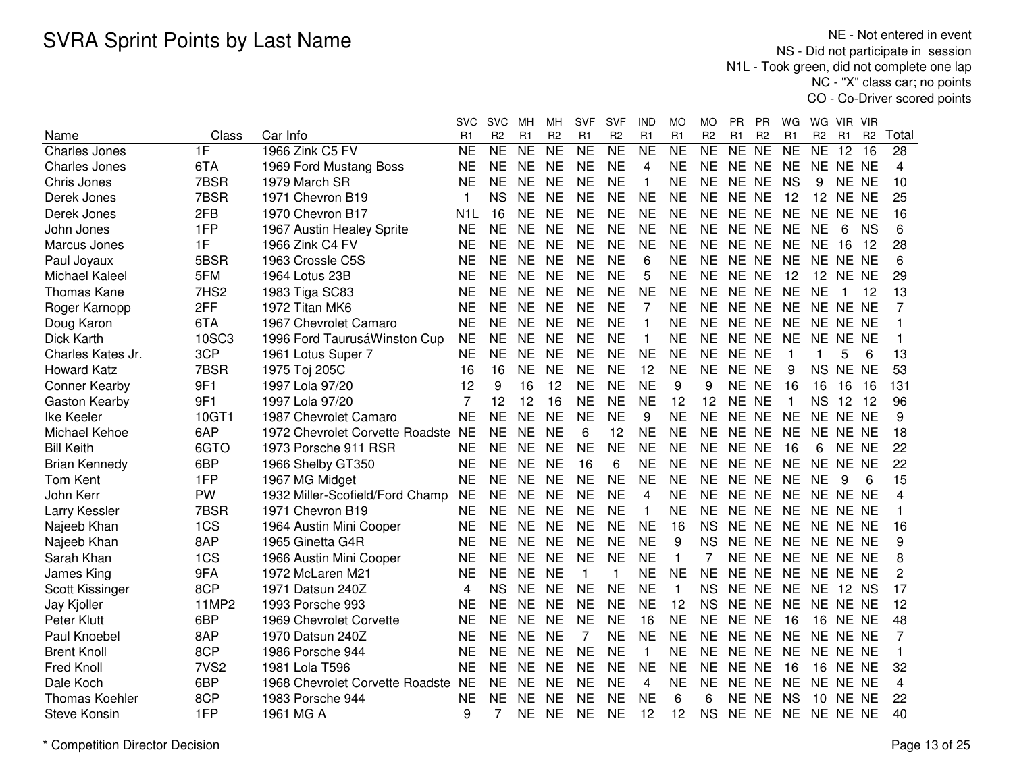NE - Not entered in event NS - Did not participate in session N1L - Took green, did not complete one lap NC - "X" class car; no pointsCO - Co-Driver scored points

|                       |                  |                                 | svc              | <b>SVC</b>          | мн        | MН             | <b>SVF</b>          | SVF            | IND            | МO             | МO             | PR.            | <b>PR</b>      | WG              | WG                  | VIR.            | <b>VIR</b>      |                 |
|-----------------------|------------------|---------------------------------|------------------|---------------------|-----------|----------------|---------------------|----------------|----------------|----------------|----------------|----------------|----------------|-----------------|---------------------|-----------------|-----------------|-----------------|
| Name                  | Class            | Car Info                        | R <sub>1</sub>   | R <sub>2</sub>      | R1        | R <sub>2</sub> | R1                  | R <sub>2</sub> | R1             | R <sub>1</sub> | R <sub>2</sub> | R <sub>1</sub> | R <sub>2</sub> | R <sub>1</sub>  | R <sub>2</sub>      | R <sub>1</sub>  | R <sub>2</sub>  | Total           |
| Charles Jones         | 1F               | 1966 Zink C5 FV                 | <b>NE</b>        | $\overline{\sf NE}$ | NE        | <b>NE</b>      | $\overline{\sf NE}$ | NE             | <b>NE</b>      | N <sub>E</sub> | N <sub>E</sub> | NE             | NE             | $\overline{NE}$ | $\overline{\sf NE}$ | $\overline{12}$ | $\overline{16}$ | $\overline{28}$ |
| <b>Charles Jones</b>  | 6TA              | 1969 Ford Mustang Boss          | <b>NE</b>        | <b>NE</b>           | <b>NE</b> | <b>NE</b>      | <b>NE</b>           | <b>NE</b>      | $\overline{4}$ | <b>NE</b>      | <b>NE</b>      | NE NE          |                | <b>NE</b>       |                     | NE NE NE        |                 | 4               |
| Chris Jones           | 7BSR             | 1979 March SR                   | <b>NE</b>        | <b>NE</b>           | <b>NE</b> | <b>NE</b>      | <b>NE</b>           | <b>NE</b>      | $\mathbf{1}$   | <b>NE</b>      | <b>NE</b>      | <b>NE</b>      | <b>NE</b>      | <b>NS</b>       | 9                   | NE NE           |                 | 10              |
| Derek Jones           | 7BSR             | 1971 Chevron B19                | 1                | <b>NS</b>           | <b>NE</b> | <b>NE</b>      | <b>NE</b>           | <b>NE</b>      | <b>NE</b>      | <b>NE</b>      | <b>NE</b>      | <b>NE</b>      | <b>NE</b>      | 12              | 12                  | NE NE           |                 | 25              |
| Derek Jones           | 2FB              | 1970 Chevron B17                | N <sub>1</sub> L | 16                  | <b>NE</b> | <b>NE</b>      | <b>NE</b>           | <b>NE</b>      | <b>NE</b>      | <b>NE</b>      | <b>NE</b>      | <b>NE</b>      | <b>NE</b>      | <b>NE</b>       | <b>NE</b>           | NE NE           |                 | 16              |
| John Jones            | 1FP              | 1967 Austin Healey Sprite       | <b>NE</b>        | <b>NE</b>           | <b>NE</b> | <b>NE</b>      | <b>NE</b>           | <b>NE</b>      | <b>NE</b>      | <b>NE</b>      | <b>NE</b>      | NE NE          |                | <b>NE</b>       | <b>NE</b>           | 6               | <b>NS</b>       | 6               |
| Marcus Jones          | 1F               | 1966 Zink C4 FV                 | <b>NE</b>        | <b>NE</b>           | <b>NE</b> | <b>NE</b>      | <b>NE</b>           | <b>NE</b>      | <b>NE</b>      | <b>NE</b>      | <b>NE</b>      | NE NE          |                | <b>NE</b>       | <b>NE</b>           | 16              | - 12            | 28              |
| Paul Joyaux           | 5BSR             | 1963 Crossle C5S                | <b>NE</b>        | NE                  | <b>NE</b> | <b>NE</b>      | <b>NE</b>           | <b>NE</b>      | 6              | <b>NE</b>      | <b>NE</b>      | NE NE          |                | <b>NE</b>       |                     | NE NE NE        |                 | 6               |
| <b>Michael Kaleel</b> | 5FM              | 1964 Lotus 23B                  | <b>NE</b>        | <b>NE</b>           | <b>NE</b> | <b>NE</b>      | <b>NE</b>           | <b>NE</b>      | 5              | <b>NE</b>      | <b>NE</b>      | NE NE          |                | 12              |                     | 12 NE NE        |                 | 29              |
| <b>Thomas Kane</b>    | 7HS2             | 1983 Tiga SC83                  | <b>NE</b>        | <b>NE</b>           | <b>NE</b> | <b>NE</b>      | <b>NE</b>           | <b>NE</b>      | <b>NE</b>      | <b>NE</b>      | <b>NE</b>      | NE NE          |                | <b>NE</b>       | <b>NE</b>           | 1               | -12             | 13              |
| Roger Karnopp         | 2FF              | 1972 Titan MK6                  | <b>NE</b>        | <b>NE</b>           | <b>NE</b> | <b>NE</b>      | <b>NE</b>           | <b>NE</b>      | 7              | <b>NE</b>      | <b>NE</b>      | NE NE          |                | <b>NE</b>       |                     | NE NE NE        |                 | 7               |
| Doug Karon            | 6TA              | 1967 Chevrolet Camaro           | <b>NE</b>        | <b>NE</b>           | <b>NE</b> | <b>NE</b>      | <b>NE</b>           | <b>NE</b>      | 1              | <b>NE</b>      | <b>NE</b>      | NE NE          |                | <b>NE</b>       |                     | NE NE NE        |                 | 1               |
| Dick Karth            | 10SC3            | 1996 Ford TaurusáWinston Cup    | <b>NE</b>        | <b>NE</b>           | <b>NE</b> | <b>NE</b>      | <b>NE</b>           | <b>NE</b>      | $\mathbf{1}$   | <b>NE</b>      | <b>NE</b>      | <b>NE</b>      | <b>NE</b>      | <b>NE</b>       | <b>NE</b>           | NE NE           |                 | 1               |
| Charles Kates Jr.     | 3CP              | 1961 Lotus Super 7              | <b>NE</b>        | <b>NE</b>           | <b>NE</b> | <b>NE</b>      | <b>NE</b>           | <b>NE</b>      | <b>NE</b>      | <b>NE</b>      | <b>NE</b>      | <b>NE</b>      | <b>NE</b>      | 1               | -1                  | 5               | 6               | 13              |
| <b>Howard Katz</b>    | 7BSR             | 1975 Toj 205C                   | 16               | 16                  | <b>NE</b> | <b>NE</b>      | <b>NE</b>           | <b>NE</b>      | 12             | <b>NE</b>      | <b>NE</b>      | NE NE          |                | 9               | <b>NS</b>           | NE NE           |                 | 53              |
| <b>Conner Kearby</b>  | 9F1              | 1997 Lola 97/20                 | 12               | 9                   | 16        | 12             | <b>NE</b>           | <b>NE</b>      | <b>NE</b>      | 9              | 9              | <b>NE</b>      | <b>NE</b>      | 16              | 16                  | 16              | 16              | 131             |
| Gaston Kearby         | 9F1              | 1997 Lola 97/20                 | $\overline{7}$   | 12                  | 12        | 16             | <b>NE</b>           | <b>NE</b>      | <b>NE</b>      | 12             | 12             | <b>NE</b>      | <b>NE</b>      | $\mathbf{1}$    | <b>NS</b>           | 12              | 12              | 96              |
| Ike Keeler            | 10GT1            | 1987 Chevrolet Camaro           | <b>NE</b>        | <b>NE</b>           | <b>NE</b> | <b>NE</b>      | <b>NE</b>           | <b>NE</b>      | 9              | <b>NE</b>      | <b>NE</b>      | NE NE          |                | <b>NE</b>       | <b>NE</b>           | NE NE           |                 | 9               |
| Michael Kehoe         | 6AP              | 1972 Chevrolet Corvette Roadste | <b>NE</b>        | <b>NE</b>           | <b>NE</b> | <b>NE</b>      | 6                   | 12             | <b>NE</b>      | <b>NE</b>      | <b>NE</b>      | NE NE          |                | <b>NE</b>       | <b>NE</b>           | NE NE           |                 | 18              |
| <b>Bill Keith</b>     | 6GTO             | 1973 Porsche 911 RSR            | <b>NE</b>        | <b>NE</b>           | <b>NE</b> | <b>NE</b>      | <b>NE</b>           | <b>NE</b>      | <b>NE</b>      | <b>NE</b>      | <b>NE</b>      | NE NE          |                | 16              | 6                   | NE NE           |                 | 22              |
| <b>Brian Kennedy</b>  | 6BP              | 1966 Shelby GT350               | <b>NE</b>        | <b>NE</b>           | <b>NE</b> | <b>NE</b>      | 16                  | 6              | <b>NE</b>      | <b>NE</b>      | <b>NE</b>      | NE NE          |                | <b>NE</b>       |                     | NE NE NE        |                 | 22              |
| <b>Tom Kent</b>       | 1FP              | 1967 MG Midget                  | <b>NE</b>        | <b>NE</b>           | <b>NE</b> | <b>NE</b>      | <b>NE</b>           | <b>NE</b>      | <b>NE</b>      | <b>NE</b>      | <b>NE</b>      | NE NE          |                | <b>NE</b>       | <b>NE</b>           | 9               | 6               | 15              |
| John Kerr             | <b>PW</b>        | 1932 Miller-Scofield/Ford Champ | <b>NE</b>        | NE                  | <b>NE</b> | <b>NE</b>      | <b>NE</b>           | <b>NE</b>      | 4              | <b>NE</b>      | <b>NE</b>      | NE NE          |                | <b>NE</b>       |                     | NE NE NE        |                 | 4               |
| Larry Kessler         | 7BSR             | 1971 Chevron B19                | <b>NE</b>        | ΝE                  | <b>NE</b> | <b>NE</b>      | <b>NE</b>           | <b>NE</b>      | 1              | <b>NE</b>      | <b>NE</b>      | NE NE          |                | <b>NE</b>       |                     | NE NE NE        |                 | 1               |
| Najeeb Khan           | 1CS              | 1964 Austin Mini Cooper         | <b>NE</b>        | <b>NE</b>           | <b>NE</b> | <b>NE</b>      | <b>NE</b>           | <b>NE</b>      | <b>NE</b>      | 16             | <b>NS</b>      | NE NE          |                | <b>NE</b>       |                     | NE NE NE        |                 | 16              |
| Najeeb Khan           | 8AP              | 1965 Ginetta G4R                | <b>NE</b>        | <b>NE</b>           | <b>NE</b> | <b>NE</b>      | <b>NE</b>           | <b>NE</b>      | <b>NE</b>      | 9              | <b>NS</b>      | NE             | <b>NE</b>      | <b>NE</b>       |                     | NE NE NE        |                 | 9               |
| Sarah Khan            | 1CS              | 1966 Austin Mini Cooper         | <b>NE</b>        | <b>NE</b>           | <b>NE</b> | <b>NE</b>      | <b>NE</b>           | <b>NE</b>      | <b>NE</b>      | $\mathbf{1}$   |                | <b>NE</b>      | <b>NE</b>      | <b>NE</b>       |                     | NE NE NE        |                 | 8               |
| James King            | 9FA              | 1972 McLaren M21                | <b>NE</b>        | <b>NE</b>           | <b>NE</b> | <b>NE</b>      | 1                   | 1              | <b>NE</b>      | <b>NE</b>      | <b>NE</b>      | <b>NE</b>      | <b>NE</b>      | <b>NE</b>       | <b>NE</b>           | NE NE           |                 | 2               |
| Scott Kissinger       | 8CP              | 1971 Datsun 240Z                | 4                | <b>NS</b>           | <b>NE</b> | <b>NE</b>      | <b>NE</b>           | <b>NE</b>      | <b>NE</b>      | 1              | <b>NS</b>      | <b>NE</b>      | <b>NE</b>      | <b>NE</b>       | NE                  | 12 NS           |                 | 17              |
| Jay Kjoller           | 11MP2            | 1993 Porsche 993                | NE               | NE.                 | <b>NE</b> | <b>NE</b>      | <b>NE</b>           | <b>NE</b>      | <b>NE</b>      | 12             | <b>NS</b>      | <b>NE</b>      | <b>NE</b>      | <b>NE</b>       |                     | NE NE NE        |                 | 12              |
| Peter Klutt           | 6BP              | 1969 Chevrolet Corvette         | <b>NE</b>        | <b>NE</b>           | <b>NE</b> | <b>NE</b>      | <b>NE</b>           | <b>NE</b>      | 16             | <b>NE</b>      | <b>NE</b>      | <b>NE</b>      | <b>NE</b>      | 16              | 16                  | NE NE           |                 | 48              |
| Paul Knoebel          | 8AP              | 1970 Datsun 240Z                | <b>NE</b>        | <b>NE</b>           | <b>NE</b> | <b>NE</b>      |                     | <b>NE</b>      | <b>NE</b>      | <b>NE</b>      | <b>NE</b>      | NE.            | <b>NE</b>      | <b>NE</b>       | NE.                 | NE NE           |                 | 7               |
| <b>Brent Knoll</b>    | 8CP              | 1986 Porsche 944                | <b>NE</b>        | <b>NE</b>           | <b>NE</b> | <b>NE</b>      | <b>NE</b>           | <b>NE</b>      | $\mathbf{1}$   | <b>NE</b>      | <b>NE</b>      | NE NE          |                | <b>NE</b>       | <b>NE</b>           | NE NE           |                 | 1               |
| Fred Knoll            | 7VS <sub>2</sub> | 1981 Lola T596                  | <b>NE</b>        | <b>NE</b>           | <b>NE</b> | <b>NE</b>      | <b>NE</b>           | <b>NE</b>      | <b>NE</b>      | <b>NE</b>      | <b>NE</b>      | <b>NE</b>      | <b>NE</b>      | 16              | 16                  | NE NE           |                 | 32              |
| Dale Koch             | 6BP              | 1968 Chevrolet Corvette Roadste | <b>NE</b>        | <b>NE</b>           | <b>NE</b> | <b>NE</b>      | <b>NE</b>           | <b>NE</b>      | 4              | <b>NE</b>      | <b>NE</b>      | NE NE          |                | <b>NE</b>       | NE.                 | NE NE           |                 | 4               |
| <b>Thomas Koehler</b> | 8CP              | 1983 Porsche 944                | <b>NE</b>        | <b>NE</b>           | <b>NE</b> | <b>NE</b>      | <b>NE</b>           | <b>NE</b>      | <b>NE</b>      | 6              | 6              | NE NE          |                | <b>NS</b>       | 10                  | NE NE           |                 | 22              |
| <b>Steve Konsin</b>   | 1FP              | 1961 MG A                       | 9                |                     | <b>NE</b> | <b>NE</b>      | <b>NE</b>           | <b>NE</b>      | 12             | 12             | <b>NS</b>      | NE NE          |                | <b>NE</b>       |                     | NE NE NE        |                 | 40              |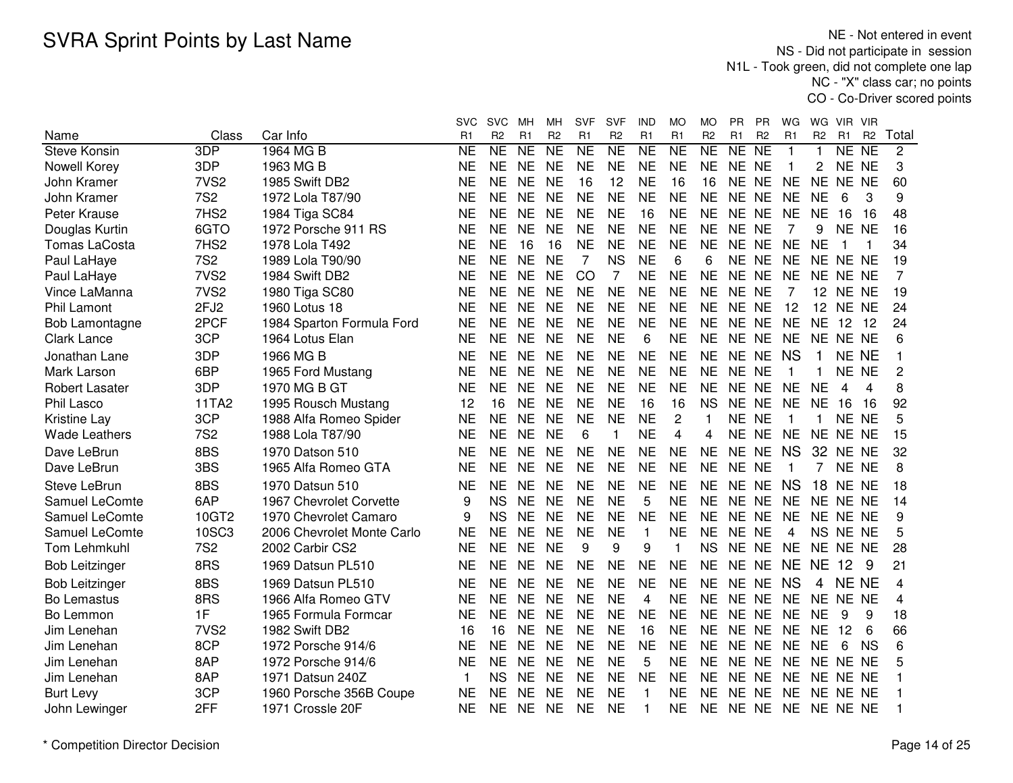NE - Not entered in event NS - Did not participate in session N1L - Took green, did not complete one lap NC - "X" class car; no pointsCO - Co-Driver scored points

|                       |                  |                            | svc            | <b>SVC</b>     | мн             | MН             | <b>SVF</b>      | SVF                      | IND                 | MO                      | МO             | <b>PR</b>      | PR.             | WG                      | WG.            | VIR.              | - VIR           |       |
|-----------------------|------------------|----------------------------|----------------|----------------|----------------|----------------|-----------------|--------------------------|---------------------|-------------------------|----------------|----------------|-----------------|-------------------------|----------------|-------------------|-----------------|-------|
| Name                  | Class            | Car Info                   | R <sub>1</sub> | R <sub>2</sub> | R <sub>1</sub> | R <sub>2</sub> | R1              | R <sub>2</sub>           | R <sub>1</sub>      | R <sub>1</sub>          | R <sub>2</sub> | R <sub>1</sub> | R <sub>2</sub>  | R <sub>1</sub>          | R <sub>2</sub> | R <sub>1</sub>    | R <sub>2</sub>  | Total |
| <b>Steve Konsin</b>   | 3DP              | 1964 MG B                  | <b>NE</b>      | <b>NE</b>      | <b>NE</b>      | N <sub>E</sub> | $\overline{NE}$ | $\overline{\mathsf{NE}}$ | $\overline{\sf NE}$ | $\overline{\sf NE}$     | NE             | NE             | $\overline{NE}$ | $\mathbf{1}$            | 1              | NE                | $\overline{NE}$ | 2     |
| Nowell Korey          | 3DP              | 1963 MG B                  | <b>NE</b>      | <b>NE</b>      | <b>NE</b>      | <b>NE</b>      | <b>NE</b>       | <b>NE</b>                | <b>NE</b>           | <b>NE</b>               | <b>NE</b>      | NE NE          |                 | $\overline{\mathbf{1}}$ | 2              | NE NE             |                 | 3     |
| John Kramer           | 7VS <sub>2</sub> | 1985 Swift DB2             | <b>NE</b>      | <b>NE</b>      | <b>NE</b>      | <b>NE</b>      | 16              | 12                       | <b>NE</b>           | 16                      | 16             | <b>NE</b>      | <b>NE</b>       | <b>NE</b>               | NE.            | NE NE             |                 | 60    |
| John Kramer           | <b>7S2</b>       | 1972 Lola T87/90           | <b>NE</b>      | <b>NE</b>      | <b>NE</b>      | <b>NE</b>      | <b>NE</b>       | <b>NE</b>                | <b>NE</b>           | <b>NE</b>               | <b>NE</b>      | NE NE          |                 | <b>NE</b>               | <b>NE</b>      | 6                 | 3               | 9     |
| Peter Krause          | 7HS2             | 1984 Tiga SC84             | <b>NE</b>      | <b>NE</b>      | <b>NE</b>      | <b>NE</b>      | <b>NE</b>       | <b>NE</b>                | 16                  | <b>NE</b>               | <b>NE</b>      | NE NE          |                 | <b>NE</b>               | <b>NE</b>      | 16                | 16              | 48    |
| Douglas Kurtin        | 6GTO             | 1972 Porsche 911 RS        | <b>NE</b>      | <b>NE</b>      | <b>NE</b>      | <b>NE</b>      | <b>NE</b>       | <b>NE</b>                | <b>NE</b>           | <b>NE</b>               | <b>NE</b>      | <b>NE</b>      | <b>NE</b>       | 7                       | 9              | <b>NE</b>         | <b>NE</b>       | 16    |
| <b>Tomas LaCosta</b>  | 7HS <sub>2</sub> | 1978 Lola T492             | <b>NE</b>      | <b>NE</b>      | 16             | 16             | <b>NE</b>       | <b>NE</b>                | <b>NE</b>           | <b>NE</b>               | <b>NE</b>      |                | NE NE           | <b>NE</b>               | <b>NE</b>      | 1                 | 1               | 34    |
| Paul LaHaye           | <b>7S2</b>       | 1989 Lola T90/90           | <b>NE</b>      | <b>NE</b>      | <b>NE</b>      | <b>NE</b>      | 7               | <b>NS</b>                | <b>NE</b>           | 6                       | 6              |                | NE NE           | <b>NE</b>               |                | NE NE NE          |                 | 19    |
| Paul LaHaye           | 7VS <sub>2</sub> | 1984 Swift DB2             | <b>NE</b>      | <b>NE</b>      | <b>NE</b>      | <b>NE</b>      | CO              | $\overline{7}$           | <b>NE</b>           | <b>NE</b>               | <b>NE</b>      | NE NE          |                 | <b>NE</b>               |                | NE NE NE          |                 | 7     |
| Vince LaManna         | 7VS <sub>2</sub> | 1980 Tiga SC80             | <b>NE</b>      | NE.            | <b>NE</b>      | <b>NE</b>      | <b>NE</b>       | <b>NE</b>                | <b>NE</b>           | <b>NE</b>               | <b>NE</b>      | NE NE          |                 | 7                       |                | <b>12 NE NE</b>   |                 | 19    |
| <b>Phil Lamont</b>    | 2FJ <sub>2</sub> | 1960 Lotus 18              | <b>NE</b>      | <b>NE</b>      | <b>NE</b>      | <b>NE</b>      | <b>NE</b>       | <b>NE</b>                | <b>NE</b>           | <b>NE</b>               | <b>NE</b>      | NE NE          |                 | 12                      |                | <b>12 NE NE</b>   |                 | 24    |
| Bob Lamontagne        | 2PCF             | 1984 Sparton Formula Ford  | <b>NE</b>      | <b>NE</b>      | <b>NE</b>      | <b>NE</b>      | <b>NE</b>       | <b>NE</b>                | <b>NE</b>           | <b>NE</b>               | NE.            | NE NE          |                 | <b>NE</b>               | <b>NE</b>      | $12 \overline{ }$ | - 12            | 24    |
| <b>Clark Lance</b>    | 3CP              | 1964 Lotus Elan            | <b>NE</b>      | <b>NE</b>      | <b>NE</b>      | <b>NE</b>      | <b>NE</b>       | <b>NE</b>                | 6                   | <b>NE</b>               | <b>NE</b>      |                | NE NE           | <b>NE</b>               | NE.            | NE NE             |                 | 6     |
| Jonathan Lane         | 3DP              | 1966 MG B                  | <b>NE</b>      | <b>NE</b>      | <b>NE</b>      | <b>NE</b>      | <b>NE</b>       | <b>NE</b>                | <b>NE</b>           | <b>NE</b>               | <b>NE</b>      |                | NE NE           | <b>NS</b>               |                |                   | NE NE           |       |
| Mark Larson           | 6BP              | 1965 Ford Mustang          | <b>NE</b>      | <b>NE</b>      | <b>NE</b>      | <b>NE</b>      | <b>NE</b>       | <b>NE</b>                | <b>NE</b>           | <b>NE</b>               | <b>NE</b>      | NE NE          |                 | -1                      | $\mathbf{1}$   | NE NE             |                 | 2     |
| <b>Robert Lasater</b> | 3DP              | 1970 MG B GT               | <b>NE</b>      | <b>NE</b>      | <b>NE</b>      | <b>NE</b>      | <b>NE</b>       | <b>NE</b>                | <b>NE</b>           | <b>NE</b>               | <b>NE</b>      | NE NE          |                 | <b>NE</b>               | <b>NE</b>      | 4                 | 4               | 8     |
| Phil Lasco            | 11TA2            | 1995 Rousch Mustang        | 12             | 16             | <b>NE</b>      | <b>NE</b>      | <b>NE</b>       | <b>NE</b>                | 16                  | 16                      | <b>NS</b>      | NE NE          |                 | <b>NE</b>               | <b>NE</b>      | 16                | 16              | 92    |
| Kristine Lay          | 3CP              | 1988 Alfa Romeo Spider     | <b>NE</b>      | <b>NE</b>      | <b>NE</b>      | <b>NE</b>      | <b>NE</b>       | <b>NE</b>                | <b>NE</b>           | $\overline{c}$          | 1              | NE NE          |                 | -1                      | -1             | NE NE             |                 | 5     |
| <b>Wade Leathers</b>  | <b>7S2</b>       | 1988 Lola T87/90           | <b>NE</b>      | <b>NE</b>      | <b>NE</b>      | <b>NE</b>      | 6               | 1                        | <b>NE</b>           | $\overline{\mathbf{4}}$ | 4              |                | NE NE           | <b>NE</b>               |                | NE NE NE          |                 | 15    |
| Dave LeBrun           | 8BS              | 1970 Datson 510            | <b>NE</b>      | <b>NE</b>      | <b>NE</b>      | <b>NE</b>      | <b>NE</b>       | <b>NE</b>                | <b>NE</b>           | <b>NE</b>               | <b>NE</b>      |                | NE NE           | <b>NS</b>               | 32             | NE NE             |                 | 32    |
| Dave LeBrun           | 3BS              | 1965 Alfa Romeo GTA        | <b>NE</b>      | NE.            | <b>NE</b>      | <b>NE</b>      | <b>NE</b>       | <b>NE</b>                | <b>NE</b>           | <b>NE</b>               | <b>NE</b>      | NE NE          |                 |                         | $\overline{7}$ | NE NE             |                 | 8     |
| Steve LeBrun          | 8BS              | 1970 Datsun 510            | <b>NE</b>      | <b>NE</b>      | <b>NE</b>      | <b>NE</b>      | <b>NE</b>       | <b>NE</b>                | <b>NE</b>           | <b>NE</b>               | <b>NE</b>      |                | NE NE           | <b>NS</b>               | 18             | NE NE             |                 | 18    |
| Samuel LeComte        | 6AP              | 1967 Chevrolet Corvette    | 9              | <b>NS</b>      | <b>NE</b>      | <b>NE</b>      | <b>NE</b>       | <b>NE</b>                | 5                   | <b>NE</b>               | <b>NE</b>      | NE NE          |                 | <b>NE</b>               |                | NE NE NE          |                 | 14    |
| Samuel LeComte        | 10GT2            | 1970 Chevrolet Camaro      | 9              | <b>NS</b>      | <b>NE</b>      | <b>NE</b>      | <b>NE</b>       | <b>NE</b>                | <b>NE</b>           | <b>NE</b>               | <b>NE</b>      | NE NE          |                 | <b>NE</b>               |                | NE NE NE          |                 | 9     |
| Samuel LeComte        | 10SC3            | 2006 Chevrolet Monte Carlo | <b>NE</b>      | <b>NE</b>      | <b>NE</b>      | <b>NE</b>      | <b>NE</b>       | <b>NE</b>                | $\mathbf{1}$        | <b>NE</b>               | NE.            | NE NE          |                 | 4                       |                | NS NE NE          |                 | 5     |
| <b>Tom Lehmkuhl</b>   | <b>7S2</b>       | 2002 Carbir CS2            | <b>NE</b>      | <b>NE</b>      | <b>NE</b>      | <b>NE</b>      | 9               | 9                        | 9                   | $\mathbf{1}$            | <b>NS</b>      |                | NE NE           | <b>NE</b>               |                | NE NE NE          |                 | 28    |
| <b>Bob Leitzinger</b> | 8RS              | 1969 Datsun PL510          | <b>NE</b>      | <b>NE</b>      | <b>NE</b>      | <b>NE</b>      | <b>NE</b>       | <b>NE</b>                | <b>NE</b>           | <b>NE</b>               | <b>NE</b>      | NE NE          |                 | <b>NE</b>               | <b>NE</b>      | 12                | 9               | 21    |
| <b>Bob Leitzinger</b> | 8BS              | 1969 Datsun PL510          | <b>NE</b>      | <b>NE</b>      | <b>NE</b>      | <b>NE</b>      | <b>NE</b>       | <b>NE</b>                | <b>NE</b>           | <b>NE</b>               | <b>NE</b>      | NE NE          |                 | <b>NS</b>               | 4              | <b>NE NE</b>      |                 | 4     |
| <b>Bo Lemastus</b>    | 8RS              | 1966 Alfa Romeo GTV        | <b>NE</b>      | <b>NE</b>      | <b>NE</b>      | <b>NE</b>      | <b>NE</b>       | <b>NE</b>                | 4                   | <b>NE</b>               | <b>NE</b>      | NE NE          |                 | <b>NE</b>               |                | NE NE NE          |                 | 4     |
| Bo Lemmon             | 1F               | 1965 Formula Formcar       | <b>NE</b>      | <b>NE</b>      | <b>NE</b>      | <b>NE</b>      | <b>NE</b>       | <b>NE</b>                | <b>NE</b>           | <b>NE</b>               | <b>NE</b>      | NE NE          |                 | <b>NE</b>               | <b>NE</b>      | 9                 | 9               | 18    |
| Jim Lenehan           | 7VS <sub>2</sub> | 1982 Swift DB2             | 16             | 16             | <b>NE</b>      | <b>NE</b>      | <b>NE</b>       | <b>NE</b>                | 16                  | <b>NE</b>               | <b>NE</b>      | NE NE          |                 | <b>NE</b>               | <b>NE</b>      | 12                | 6               | 66    |
| Jim Lenehan           | 8CP              | 1972 Porsche 914/6         | <b>NE</b>      | <b>NE</b>      | <b>NE</b>      | <b>NE</b>      | <b>NE</b>       | <b>NE</b>                | <b>NE</b>           | <b>NE</b>               | <b>NE</b>      | NE NE          |                 | <b>NE</b>               | <b>NE</b>      | 6                 | <b>NS</b>       | 6     |
| Jim Lenehan           | 8AP              | 1972 Porsche 914/6         | <b>NE</b>      | <b>NE</b>      | <b>NE</b>      | <b>NE</b>      | <b>NE</b>       | <b>NE</b>                | 5                   | <b>NE</b>               | <b>NE</b>      | NE NE          |                 | <b>NE</b>               |                | NE NE NE          |                 | 5     |
| Jim Lenehan           | 8AP              | 1971 Datsun 240Z           |                | <b>NS</b>      | <b>NE</b>      | <b>NE</b>      | <b>NE</b>       | <b>NE</b>                | <b>NE</b>           | <b>NE</b>               | <b>NE</b>      | NE NE          |                 | <b>NE</b>               |                | NE NE NE          |                 |       |
| <b>Burt Levy</b>      | 3CP              | 1960 Porsche 356B Coupe    | <b>NE</b>      | <b>NE</b>      | <b>NE</b>      | <b>NE</b>      | <b>NE</b>       | <b>NE</b>                | 1                   | <b>NE</b>               | <b>NE</b>      | NE NE          |                 | <b>NE</b>               |                | NE NE NE          |                 |       |
| John Lewinger         | 2FF              | 1971 Crossle 20F           | <b>NE</b>      | <b>NE</b>      | <b>NE</b>      | <b>NE</b>      | <b>NE</b>       | <b>NE</b>                | 1                   | <b>NE</b>               | NE.            |                | NE NE NE        |                         | NE NE NE       |                   |                 |       |
|                       |                  |                            |                |                |                |                |                 |                          |                     |                         |                |                |                 |                         |                |                   |                 |       |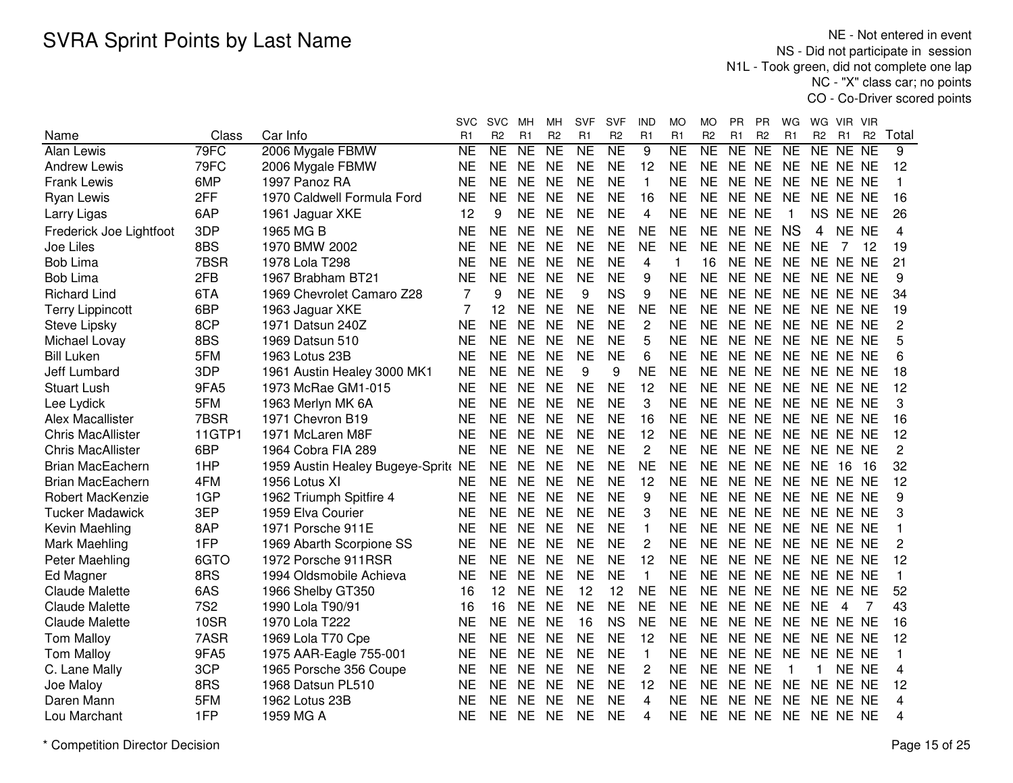NE - Not entered in event NS - Did not participate in session N1L - Took green, did not complete one lap NC - "X" class car; no pointsCO - Co-Driver scored points

|                          |            |                                  | svc       | <b>SVC</b>          | мн              | MН             | <b>SVF</b>          | SVF                 | IND            | МO                  | МO                  | PR.             | PR              | WG             | WG             | VIR.           | - VIR          |                |
|--------------------------|------------|----------------------------------|-----------|---------------------|-----------------|----------------|---------------------|---------------------|----------------|---------------------|---------------------|-----------------|-----------------|----------------|----------------|----------------|----------------|----------------|
| Name                     | Class      | Car Info                         | R1        | R <sub>2</sub>      | R1              | R <sub>2</sub> | R1                  | R <sub>2</sub>      | R <sub>1</sub> | R1                  | R <sub>2</sub>      | R1              | R <sub>2</sub>  | R1             | R <sub>2</sub> | R <sub>1</sub> | R <sub>2</sub> | Total          |
| Alan Lewis               | 79FC       | 2006 Mygale FBMW                 | <b>NE</b> | $\overline{\sf NE}$ | $\overline{NE}$ | NE             | $\overline{\sf NE}$ | $\overline{\sf NE}$ | 9              | $\overline{\sf NE}$ | $\overline{\sf NE}$ | $\overline{NE}$ | $\overline{NE}$ | N <sub>E</sub> | NE             | NE             | <b>NE</b>      | 9              |
| <b>Andrew Lewis</b>      | 79FC       | 2006 Mygale FBMW                 | <b>NE</b> | <b>NE</b>           | <b>NE</b>       | <b>NE</b>      | <b>NE</b>           | <b>NE</b>           | 12             | <b>NE</b>           | <b>NE</b>           | NE NE           |                 | <b>NE</b>      | NE NE NE       |                |                | 12             |
| <b>Frank Lewis</b>       | 6MP        | 1997 Panoz RA                    | <b>NE</b> | <b>NE</b>           | <b>NE</b>       | <b>NE</b>      | <b>NE</b>           | <b>NE</b>           | $\mathbf{1}$   | <b>NE</b>           | <b>NE</b>           | NE NE           |                 | <b>NE</b>      | NE.            | NE NE          |                | 1              |
| Ryan Lewis               | 2FF        | 1970 Caldwell Formula Ford       | <b>NE</b> | <b>NE</b>           | <b>NE</b>       | <b>NE</b>      | <b>NE</b>           | <b>NE</b>           | 16             | <b>NE</b>           | <b>NE</b>           | <b>NE</b>       | <b>NE</b>       | <b>NE</b>      | <b>NE</b>      | NE NE          |                | 16             |
| Larry Ligas              | 6AP        | 1961 Jaguar XKE                  | 12        | 9                   | <b>NE</b>       | <b>NE</b>      | <b>NE</b>           | <b>NE</b>           | 4              | <b>NE</b>           | <b>NE</b>           | NE NE           |                 | $\mathbf{1}$   | <b>NS</b>      | NE NE          |                | 26             |
| Frederick Joe Lightfoot  | 3DP        | 1965 MG B                        | <b>NE</b> | <b>NE</b>           | <b>NE</b>       | <b>NE</b>      | <b>NE</b>           | <b>NE</b>           | <b>NE</b>      | <b>NE</b>           | <b>NE</b>           | NE NE           |                 | <b>NS</b>      | 4              | NE NE          |                | 4              |
| Joe Liles                | 8BS        | 1970 BMW 2002                    | <b>NE</b> | <b>NE</b>           | <b>NE</b>       | <b>NE</b>      | <b>NE</b>           | <b>NE</b>           | <b>NE</b>      | <b>NE</b>           | <b>NE</b>           | NE NE           |                 | <b>NE</b>      | <b>NE</b>      | 7              | 12             | 19             |
| <b>Bob Lima</b>          | 7BSR       | 1978 Lola T298                   | <b>NE</b> | <b>NE</b>           | <b>NE</b>       | <b>NE</b>      | <b>NE</b>           | <b>NE</b>           | 4              | $\mathbf{1}$        | 16                  | NE NE           |                 | <b>NE</b>      |                | NE NE NE       |                | 21             |
| <b>Bob Lima</b>          | 2FB        | 1967 Brabham BT21                | <b>NE</b> | <b>NE</b>           | <b>NE</b>       | <b>NE</b>      | <b>NE</b>           | <b>NE</b>           | 9              | <b>NE</b>           | <b>NE</b>           | NE NE           |                 | <b>NE</b>      |                | NE NE NE       |                | 9              |
| <b>Richard Lind</b>      | 6TA        | 1969 Chevrolet Camaro Z28        | 7         | 9                   | <b>NE</b>       | <b>NE</b>      | 9                   | <b>NS</b>           | 9              | <b>NE</b>           | <b>NE</b>           | NE NE           |                 | <b>NE</b>      |                | NE NE NE       |                | 34             |
| <b>Terry Lippincott</b>  | 6BP        | 1963 Jaguar XKE                  | 7         | 12                  | <b>NE</b>       | <b>NE</b>      | <b>NE</b>           | <b>NE</b>           | <b>NE</b>      | <b>NE</b>           | NE                  | NE NE           |                 | <b>NE</b>      |                | NE NE NE       |                | 19             |
| <b>Steve Lipsky</b>      | 8CP        | 1971 Datsun 240Z                 | <b>NE</b> | <b>NE</b>           | <b>NE</b>       | <b>NE</b>      | <b>NE</b>           | <b>NE</b>           | $\overline{c}$ | <b>NE</b>           | <b>NE</b>           | NE NE           |                 | <b>NE</b>      |                | NE NE NE       |                | 2              |
| Michael Lovay            | 8BS        | 1969 Datsun 510                  | <b>NE</b> | <b>NE</b>           | <b>NE</b>       | <b>NE</b>      | <b>NE</b>           | <b>NE</b>           | 5              | <b>NE</b>           | <b>NE</b>           | <b>NE</b>       | <b>NE</b>       | <b>NE</b>      |                | NE NE NE       |                | 5              |
| <b>Bill Luken</b>        | 5FM        | 1963 Lotus 23B                   | <b>NE</b> | <b>NE</b>           | <b>NE</b>       | <b>NE</b>      | <b>NE</b>           | <b>NE</b>           | 6              | <b>NE</b>           | <b>NE</b>           | NE NE           |                 | <b>NE</b>      |                | NE NE NE       |                | 6              |
| Jeff Lumbard             | 3DP        | 1961 Austin Healey 3000 MK1      | <b>NE</b> | <b>NE</b>           | <b>NE</b>       | <b>NE</b>      | 9                   | 9                   | <b>NE</b>      | <b>NE</b>           | <b>NE</b>           | NE NE           |                 | <b>NE</b>      |                | NE NE NE       |                | 18             |
| <b>Stuart Lush</b>       | 9FA5       | 1973 McRae GM1-015               | <b>NE</b> | <b>NE</b>           | <b>NE</b>       | <b>NE</b>      | <b>NE</b>           | <b>NE</b>           | 12             | <b>NE</b>           | <b>NE</b>           | NE NE           |                 | <b>NE</b>      | NE NE NE       |                |                | 12             |
| Lee Lydick               | 5FM        | 1963 Merlyn MK 6A                | <b>NE</b> | <b>NE</b>           | <b>NE</b>       | <b>NE</b>      | <b>NE</b>           | <b>NE</b>           | 3              | <b>NE</b>           | <b>NE</b>           | NE NE           |                 | <b>NE</b>      | NE NE NE       |                |                | 3              |
| Alex Macallister         | 7BSR       | 1971 Chevron B19                 | <b>NE</b> | <b>NE</b>           | <b>NE</b>       | <b>NE</b>      | <b>NE</b>           | <b>NE</b>           | 16             | <b>NE</b>           | <b>NE</b>           | NE NE           |                 | <b>NE</b>      | NE.            | NE NE          |                | 16             |
| <b>Chris MacAllister</b> | 11GTP1     | 1971 McLaren M8F                 | <b>NE</b> | <b>NE</b>           | <b>NE</b>       | <b>NE</b>      | <b>NE</b>           | <b>NE</b>           | 12             | <b>NE</b>           | <b>NE</b>           | NE NE           |                 | <b>NE</b>      | NE.            | NE NE          |                | 12             |
| <b>Chris MacAllister</b> | 6BP        | 1964 Cobra FIA 289               | <b>NE</b> | <b>NE</b>           | <b>NE</b>       | <b>NE</b>      | <b>NE</b>           | <b>NE</b>           | $\overline{c}$ | <b>NE</b>           | <b>NE</b>           | NE NE           |                 | <b>NE</b>      |                | NE NE NE       |                | $\overline{c}$ |
| <b>Brian MacEachern</b>  | 1HP        | 1959 Austin Healey Bugeye-Sprite | <b>NE</b> | <b>NE</b>           | <b>NE</b>       | <b>NE</b>      | <b>NE</b>           | <b>NE</b>           | <b>NE</b>      | <b>NE</b>           | <b>NE</b>           | NE NE           |                 | <b>NE</b>      | <b>NE</b>      | 16             | 16             | 32             |
| <b>Brian MacEachern</b>  | 4FM        | 1956 Lotus XI                    | <b>NE</b> | <b>NE</b>           | <b>NE</b>       | <b>NE</b>      | <b>NE</b>           | <b>NE</b>           | 12             | <b>NE</b>           | <b>NE</b>           | NE NE           |                 | <b>NE</b>      |                | NE NE NE       |                | 12             |
| Robert MacKenzie         | 1GP        | 1962 Triumph Spitfire 4          | NE        | <b>NE</b>           | <b>NE</b>       | <b>NE</b>      | <b>NE</b>           | <b>NE</b>           | 9              | <b>NE</b>           | NE                  | NE NE           |                 | <b>NE</b>      |                | NE NE NE       |                | 9              |
| <b>Tucker Madawick</b>   | 3EP        | 1959 Elva Courier                | <b>NE</b> | NE                  | <b>NE</b>       | <b>NE</b>      | <b>NE</b>           | <b>NE</b>           | 3              | <b>NE</b>           | NE                  | NE NE           |                 | <b>NE</b>      |                | NE NE NE       |                | 3              |
| Kevin Maehling           | 8AP        | 1971 Porsche 911E                | <b>NE</b> | <b>NE</b>           | <b>NE</b>       | <b>NE</b>      | <b>NE</b>           | <b>NE</b>           | $\mathbf{1}$   | <b>NE</b>           | <b>NE</b>           | NE NE           |                 | <b>NE</b>      |                | NE NE NE       |                | 1              |
| Mark Maehling            | 1FP        | 1969 Abarth Scorpione SS         | <b>NE</b> | <b>NE</b>           | <b>NE</b>       | <b>NE</b>      | <b>NE</b>           | <b>NE</b>           | $\overline{c}$ | <b>NE</b>           | <b>NE</b>           | NE NE           |                 | <b>NE</b>      | <b>NE</b>      | NE NE          |                | 2              |
| Peter Maehling           | 6GTO       | 1972 Porsche 911RSR              | <b>NE</b> | <b>NE</b>           | <b>NE</b>       | <b>NE</b>      | <b>NE</b>           | <b>NE</b>           | 12             | <b>NE</b>           | <b>NE</b>           | <b>NE</b>       | <b>NE</b>       | <b>NE</b>      | <b>NE</b>      | NE NE          |                | 12             |
| Ed Magner                | 8RS        | 1994 Oldsmobile Achieva          | <b>NE</b> | <b>NE</b>           | <b>NE</b>       | <b>NE</b>      | <b>NE</b>           | <b>NE</b>           | $\mathbf{1}$   | <b>NE</b>           | <b>NE</b>           | NE NE           |                 | <b>NE</b>      |                | NE NE NE       |                | 1              |
| <b>Claude Malette</b>    | 6AS        | 1966 Shelby GT350                | 16        | 12                  | <b>NE</b>       | <b>NE</b>      | 12                  | 12                  | <b>NE</b>      | <b>NE</b>           | <b>NE</b>           | NE NE           |                 | <b>NE</b>      |                | NE NE NE       |                | 52             |
| <b>Claude Malette</b>    | <b>7S2</b> | 1990 Lola T90/91                 | 16        | 16                  | <b>NE</b>       | <b>NE</b>      | <b>NE</b>           | <b>NE</b>           | <b>NE</b>      | <b>NE</b>           | <b>NE</b>           | <b>NE</b>       | <b>NE</b>       | <b>NE</b>      | <b>NE</b>      | 4              | 7              | 43             |
| <b>Claude Malette</b>    | 10SR       | 1970 Lola T222                   | <b>NE</b> | <b>NE</b>           | <b>NE</b>       | <b>NE</b>      | 16                  | <b>NS</b>           | <b>NE</b>      | <b>NE</b>           | <b>NE</b>           | NE.             | <b>NE</b>       | <b>NE</b>      | NE.            | NE NE          |                | 16             |
| <b>Tom Malloy</b>        | 7ASR       | 1969 Lola T70 Cpe                | <b>NE</b> | <b>NE</b>           | <b>NE</b>       | <b>NE</b>      | <b>NE</b>           | <b>NE</b>           | 12             | <b>NE</b>           | <b>NE</b>           | NE NE           |                 | <b>NE</b>      | <b>NE</b>      | NE NE          |                | 12             |
| <b>Tom Malloy</b>        | 9FA5       | 1975 AAR-Eagle 755-001           | <b>NE</b> | <b>NE</b>           | <b>NE</b>       | <b>NE</b>      | <b>NE</b>           | <b>NE</b>           | $\mathbf{1}$   | <b>NE</b>           | <b>NE</b>           | <b>NE</b>       | <b>NE</b>       | <b>NE</b>      | NE.            | NE NE          |                | 1              |
| C. Lane Mally            | 3CP        | 1965 Porsche 356 Coupe           | <b>NE</b> | <b>NE</b>           | <b>NE</b>       | <b>NE</b>      | <b>NE</b>           | <b>NE</b>           | 2              | <b>NE</b>           | <b>NE</b>           | NE NE           |                 | -1             | 1              | NE NE          |                | 4              |
| Joe Maloy                | 8RS        | 1968 Datsun PL510                | NE        | <b>NE</b>           | <b>NE</b>       | <b>NE</b>      | NE                  | NE                  | 12             | <b>NE</b>           | <b>NE</b>           | NE NE           |                 | <b>NE</b>      |                | NE NE NE       |                | 12             |
| Daren Mann               | 5FM        | 1962 Lotus 23B                   | NΕ        | <b>NE</b>           | <b>NE</b>       | <b>NE</b>      | <b>NE</b>           | NE                  | 4              | <b>NE</b>           | <b>NE</b>           | <b>NE</b>       | <b>NE</b>       | <b>NE</b>      |                | NE NE NE       |                | 4              |
| Lou Marchant             | 1FP        | 1959 MG A                        | <b>NE</b> | <b>NE</b>           | <b>NE</b>       | <b>NE</b>      | <b>NE</b>           | NE                  | 4              | <b>NE</b>           | <b>NE</b>           | NE NE           |                 | <b>NE</b>      | NE NE NE       |                |                | 4              |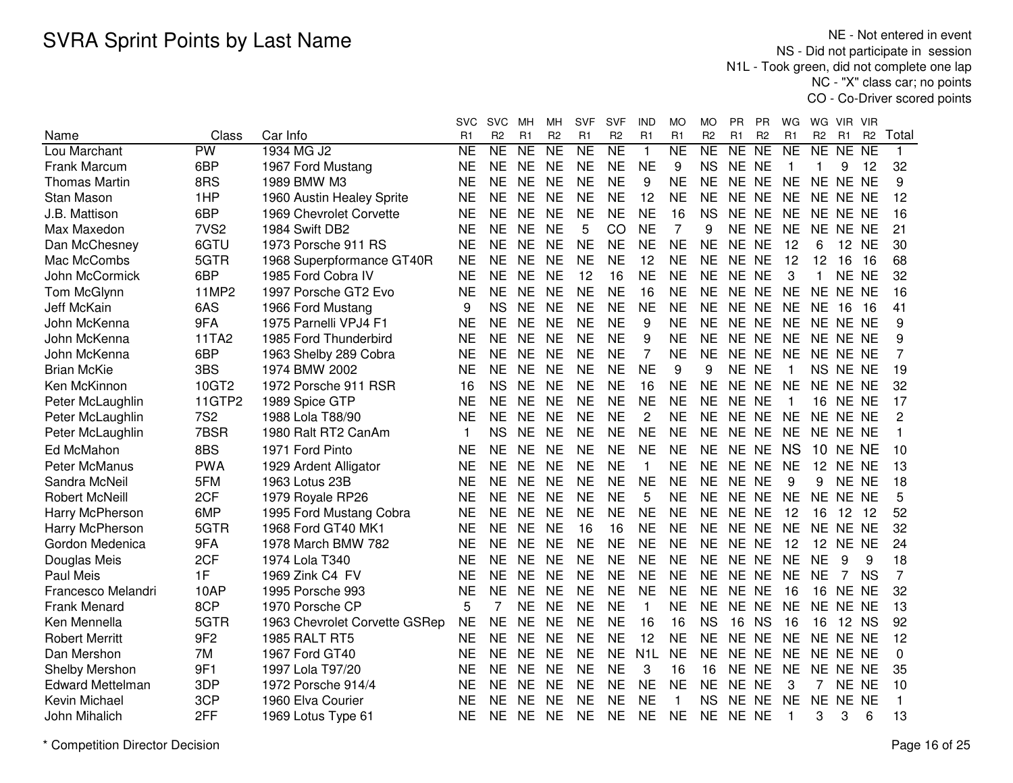NE - Not entered in event NS - Did not participate in session N1L - Took green, did not complete one lap NC - "X" class car; no pointsCO - Co-Driver scored points

|                         |                          |                               | svc       | <b>SVC</b>          | мн              | мн                  | <b>SVF</b>     | SVF                    | IND              | MO                  | МO             | РR        | ΡR              | WG             | WG.            | VIR.            | <b>VIR</b>     |                |
|-------------------------|--------------------------|-------------------------------|-----------|---------------------|-----------------|---------------------|----------------|------------------------|------------------|---------------------|----------------|-----------|-----------------|----------------|----------------|-----------------|----------------|----------------|
| Name                    | Class                    | Car Info                      | R1        | R <sub>2</sub>      | R1              | R <sub>2</sub>      | R <sub>1</sub> | R <sub>2</sub>         | R1               | R1                  | R <sub>2</sub> | R1        | R <sub>2</sub>  | R <sub>1</sub> | R <sub>2</sub> | R <sub>1</sub>  | R <sub>2</sub> | Total          |
| Lou Marchant            | $\overline{\mathsf{PW}}$ | 1934 MG J2                    | <b>NE</b> | $\overline{\sf NE}$ | $\overline{NE}$ | $\overline{\sf NE}$ | <b>NE</b>      | $\overline{\text{NE}}$ | $\mathbf{1}$     | $\overline{\sf NE}$ | NE             | NE        | $\overline{NE}$ | <b>NE</b>      | NE             | NE NE           |                | 1              |
| Frank Marcum            | 6BP                      | 1967 Ford Mustang             | <b>NE</b> | <b>NE</b>           | <b>NE</b>       | <b>NE</b>           | <b>NE</b>      | <b>NE</b>              | <b>NE</b>        | 9                   | <b>NS</b>      | NE NE     |                 | $\overline{1}$ | $\mathbf 1$    | 9               | 12             | 32             |
| <b>Thomas Martin</b>    | 8RS                      | 1989 BMW M3                   | <b>NE</b> | <b>NE</b>           | <b>NE</b>       | <b>NE</b>           | <b>NE</b>      | <b>NE</b>              | 9                | <b>NE</b>           | <b>NE</b>      | NE NE     |                 | <b>NE</b>      | NE NE NE       |                 |                | 9              |
| <b>Stan Mason</b>       | 1HP                      | 1960 Austin Healey Sprite     | <b>NE</b> | <b>NE</b>           | <b>NE</b>       | <b>NE</b>           | <b>NE</b>      | <b>NE</b>              | 12               | <b>NE</b>           | <b>NE</b>      | NE NE     |                 | <b>NE</b>      | NE NE NE       |                 |                | 12             |
| J.B. Mattison           | 6BP                      | 1969 Chevrolet Corvette       | <b>NE</b> | <b>NE</b>           | <b>NE</b>       | <b>NE</b>           | <b>NE</b>      | <b>NE</b>              | <b>NE</b>        | 16                  | <b>NS</b>      | NE NE     |                 | <b>NE</b>      | NE NE NE       |                 |                | 16             |
| Max Maxedon             | 7VS <sub>2</sub>         | 1984 Swift DB2                | <b>NE</b> | <b>NE</b>           | <b>NE</b>       | <b>NE</b>           | 5              | CO                     | <b>NE</b>        | $\overline{7}$      | 9              | NE NE     |                 | <b>NE</b>      | NE NE NE       |                 |                | 21             |
| Dan McChesney           | 6GTU                     | 1973 Porsche 911 RS           | <b>NE</b> | <b>NE</b>           | <b>NE</b>       | <b>NE</b>           | <b>NE</b>      | <b>NE</b>              | <b>NE</b>        | <b>NE</b>           | <b>NE</b>      | NE NE     |                 | 12             | 6              | 12 NE           |                | 30             |
| Mac McCombs             | 5GTR                     | 1968 Superpformance GT40R     | <b>NE</b> | <b>NE</b>           | <b>NE</b>       | <b>NE</b>           | <b>NE</b>      | <b>NE</b>              | 12               | <b>NE</b>           | <b>NE</b>      | NE NE     |                 | 12             | 12             | 16              | -16            | 68             |
| John McCormick          | 6BP                      | 1985 Ford Cobra IV            | <b>NE</b> | NE.                 | <b>NE</b>       | <b>NE</b>           | 12             | 16                     | <b>NE</b>        | <b>NE</b>           | <b>NE</b>      | NE NE     |                 | 3              | 1              | NE NE           |                | 32             |
| Tom McGlynn             | 11MP2                    | 1997 Porsche GT2 Evo          | <b>NE</b> | <b>NE</b>           | <b>NE</b>       | <b>NE</b>           | <b>NE</b>      | <b>NE</b>              | 16               | <b>NE</b>           | <b>NE</b>      | NE NE     |                 | <b>NE</b>      | NE NE NE       |                 |                | 16             |
| Jeff McKain             | 6AS                      | 1966 Ford Mustang             | 9         | <b>NS</b>           | <b>NE</b>       | <b>NE</b>           | <b>NE</b>      | <b>NE</b>              | <b>NE</b>        | <b>NE</b>           | <b>NE</b>      | NE NE     |                 | <b>NE</b>      | NE             | 16              | -16            | 41             |
| John McKenna            | 9FA                      | 1975 Parnelli VPJ4 F1         | <b>NE</b> | <b>NE</b>           | <b>NE</b>       | <b>NE</b>           | <b>NE</b>      | <b>NE</b>              | 9                | <b>NE</b>           | <b>NE</b>      | NE NE     |                 | <b>NE</b>      | NE NE NE       |                 |                | 9              |
| John McKenna            | 11TA2                    | 1985 Ford Thunderbird         | <b>NE</b> | <b>NE</b>           | <b>NE</b>       | <b>NE</b>           | <b>NE</b>      | <b>NE</b>              | 9                | <b>NE</b>           | <b>NE</b>      | NE NE     |                 | <b>NE</b>      | NE NE NE       |                 |                | 9              |
| John McKenna            | 6BP                      | 1963 Shelby 289 Cobra         | <b>NE</b> | <b>NE</b>           | <b>NE</b>       | <b>NE</b>           | <b>NE</b>      | <b>NE</b>              | 7                | <b>NE</b>           | <b>NE</b>      | NE NE     |                 | <b>NE</b>      | NE NE NE       |                 |                | 7              |
| <b>Brian McKie</b>      | 3BS                      | 1974 BMW 2002                 | <b>NE</b> | <b>NE</b>           | <b>NE</b>       | <b>NE</b>           | <b>NE</b>      | <b>NE</b>              | <b>NE</b>        | 9                   | 9              | NE NE     |                 | $\overline{1}$ |                | NS NE NE        |                | 19             |
| Ken McKinnon            | 10GT2                    | 1972 Porsche 911 RSR          | 16        | <b>NS</b>           | <b>NE</b>       | <b>NE</b>           | <b>NE</b>      | <b>NE</b>              | 16               | <b>NE</b>           | <b>NE</b>      | NE NE     |                 | <b>NE</b>      | NE NE NE       |                 |                | 32             |
| Peter McLaughlin        | 11GTP2                   | 1989 Spice GTP                | <b>NE</b> | <b>NE</b>           | <b>NE</b>       | <b>NE</b>           | <b>NE</b>      | <b>NE</b>              | <b>NE</b>        | <b>NE</b>           | <b>NE</b>      | NE NE     |                 | $\overline{1}$ | 16             | NE NE           |                | 17             |
| Peter McLaughlin        | <b>7S2</b>               | 1988 Lola T88/90              | <b>NE</b> | <b>NE</b>           | <b>NE</b>       | <b>NE</b>           | <b>NE</b>      | <b>NE</b>              | $\overline{c}$   | <b>NE</b>           | <b>NE</b>      | NE NE     |                 | <b>NE</b>      | NE NE NE       |                 |                | $\overline{2}$ |
| Peter McLaughlin        | 7BSR                     | 1980 Ralt RT2 CanAm           | 1         | <b>NS</b>           | <b>NE</b>       | <b>NE</b>           | <b>NE</b>      | <b>NE</b>              | <b>NE</b>        | <b>NE</b>           | <b>NE</b>      | NE NE     |                 | <b>NE</b>      | NE NE NE       |                 |                | 1              |
| Ed McMahon              | 8BS                      | 1971 Ford Pinto               | <b>NE</b> | <b>NE</b>           | <b>NE</b>       | <b>NE</b>           | <b>NE</b>      | <b>NE</b>              | <b>NE</b>        | <b>NE</b>           | <b>NE</b>      | NE NE     |                 | <b>NS</b>      | 10             | NE NE           |                | 10             |
| Peter McManus           | <b>PWA</b>               | 1929 Ardent Alligator         | <b>NE</b> | <b>NE</b>           | <b>NE</b>       | <b>NE</b>           | <b>NE</b>      | <b>NE</b>              | $\mathbf{1}$     | <b>NE</b>           | <b>NE</b>      | NE NE     |                 | <b>NE</b>      | 12             | NE NE           |                | 13             |
| Sandra McNeil           | 5FM                      | 1963 Lotus 23B                | <b>NE</b> | <b>NE</b>           | <b>NE</b>       | <b>NE</b>           | <b>NE</b>      | <b>NE</b>              | <b>NE</b>        | <b>NE</b>           | <b>NE</b>      | NE NE     |                 | 9              | 9              | NE NE           |                | 18             |
| <b>Robert McNeill</b>   | 2CF                      | 1979 Royale RP26              | <b>NE</b> | <b>NE</b>           | <b>NE</b>       | <b>NE</b>           | <b>NE</b>      | <b>NE</b>              | 5                | <b>NE</b>           | <b>NE</b>      | NE NE     |                 | <b>NE</b>      | NE NE NE       |                 |                | 5              |
| Harry McPherson         | 6MP                      | 1995 Ford Mustang Cobra       | <b>NE</b> | <b>NE</b>           | <b>NE</b>       | <b>NE</b>           | <b>NE</b>      | <b>NE</b>              | <b>NE</b>        | <b>NE</b>           | <b>NE</b>      | NE NE     |                 | 12             | 16             | 12 12           |                | 52             |
| Harry McPherson         | 5GTR                     | 1968 Ford GT40 MK1            | <b>NE</b> | <b>NE</b>           | <b>NE</b>       | <b>NE</b>           | 16             | 16                     | <b>NE</b>        | <b>NE</b>           | <b>NE</b>      | NE NE     |                 | <b>NE</b>      | NE NE NE       |                 |                | 32             |
| Gordon Medenica         | 9FA                      | 1978 March BMW 782            | <b>NE</b> | <b>NE</b>           | <b>NE</b>       | <b>NE</b>           | <b>NE</b>      | <b>NE</b>              | <b>NE</b>        | <b>NE</b>           | <b>NE</b>      | NE NE     |                 | 12             |                | <b>12 NE NE</b> |                | 24             |
| Douglas Meis            | 2CF                      | 1974 Lola T340                | <b>NE</b> | <b>NE</b>           | <b>NE</b>       | <b>NE</b>           | <b>NE</b>      | <b>NE</b>              | <b>NE</b>        | <b>NE</b>           | <b>NE</b>      | NE NE     |                 | <b>NE</b>      | <b>NE</b>      | 9               | 9              | 18             |
| <b>Paul Meis</b>        | 1F                       | 1969 Zink C4 FV               | <b>NE</b> | <b>NE</b>           | <b>NE</b>       | <b>NE</b>           | <b>NE</b>      | <b>NE</b>              | <b>NE</b>        | <b>NE</b>           | <b>NE</b>      | NE NE     |                 | <b>NE</b>      | <b>NE</b>      | 7               | <b>NS</b>      | $\overline{7}$ |
| Francesco Melandri      | 10AP                     | 1995 Porsche 993              | <b>NE</b> | <b>NE</b>           | <b>NE</b>       | <b>NE</b>           | <b>NE</b>      | <b>NE</b>              | <b>NE</b>        | <b>NE</b>           | <b>NE</b>      | NE NE     |                 | 16             | 16             | NE NE           |                | 32             |
| <b>Frank Menard</b>     | 8CP                      | 1970 Porsche CP               | 5         | 7                   | <b>NE</b>       | <b>NE</b>           | <b>NE</b>      | <b>NE</b>              | $\mathbf{1}$     | <b>NE</b>           | <b>NE</b>      | <b>NE</b> | <b>NE</b>       | <b>NE</b>      | NE NE NE       |                 |                | 13             |
| Ken Mennella            | 5GTR                     | 1963 Chevrolet Corvette GSRep | <b>NE</b> | <b>NE</b>           | <b>NE</b>       | <b>NE</b>           | <b>NE</b>      | <b>NE</b>              | 16               | 16                  | <b>NS</b>      | 16        | <b>NS</b>       | 16             | 16             | 12 NS           |                | 92             |
| <b>Robert Merritt</b>   | 9F <sub>2</sub>          | <b>1985 RALT RT5</b>          | <b>NE</b> | <b>NE</b>           | <b>NE</b>       | <b>NE</b>           | <b>NE</b>      | <b>NE</b>              | 12               | <b>NE</b>           | <b>NE</b>      | NE.       | <b>NE</b>       | <b>NE</b>      | NE.            | NE NE           |                | 12             |
| Dan Mershon             | 7M                       | 1967 Ford GT40                | <b>NE</b> | <b>NE</b>           | <b>NE</b>       | <b>NE</b>           | <b>NE</b>      | <b>NE</b>              | N <sub>1</sub> L | <b>NE</b>           | <b>NE</b>      | NE NE     |                 | <b>NE</b>      | NE NE NE       |                 |                | 0              |
| Shelby Mershon          | 9F1                      | 1997 Lola T97/20              | <b>NE</b> | <b>NE</b>           | <b>NE</b>       | <b>NE</b>           | <b>NE</b>      | <b>NE</b>              | 3                | 16                  | 16             | NE NE     |                 | <b>NE</b>      | NE NE NE       |                 |                | 35             |
| <b>Edward Mettelman</b> | 3DP                      | 1972 Porsche 914/4            | <b>NE</b> | <b>NE</b>           | <b>NE</b>       | <b>NE</b>           | <b>NE</b>      | <b>NE</b>              | <b>NE</b>        | <b>NE</b>           | <b>NE</b>      | NE NE     |                 | 3              | 7              | NE NE           |                | 10             |
| Kevin Michael           | 3CP                      | 1960 Elva Courier             | <b>NE</b> | <b>NE</b>           | <b>NE</b>       | <b>NE</b>           | <b>NE</b>      | <b>NE</b>              | <b>NE</b>        | 1                   | <b>NS</b>      | <b>NE</b> | <b>NE</b>       | <b>NE</b>      | <b>NE</b>      | NE NE           |                | 1              |
| John Mihalich           | 2FF                      | 1969 Lotus Type 61            | <b>NE</b> | <b>NE</b>           | <b>NE</b>       | <b>NE</b>           | <b>NE</b>      | <b>NE</b>              | <b>NE</b>        | <b>NE</b>           | <b>NE</b>      | NE NE     |                 | -1             | 3              | 3               | 6              | 13             |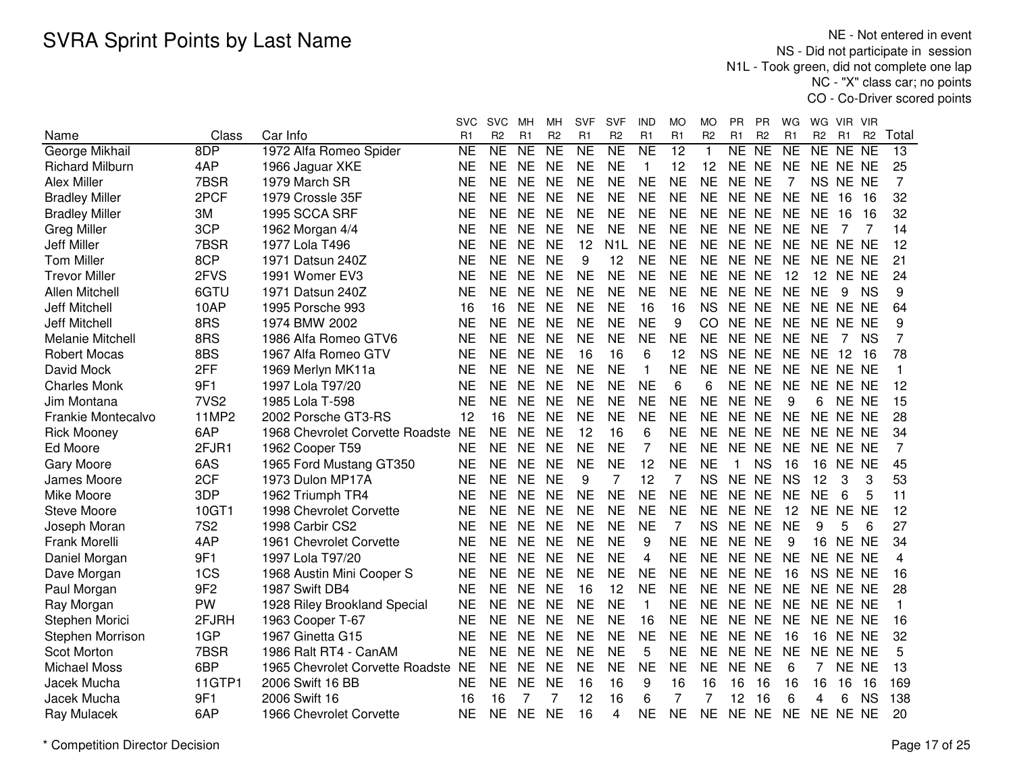|                           |                  |                                    | svc                 | <b>SVC</b>          | мн                  | MН             | <b>SVF</b>      | <b>SVF</b>       | IND                 | MO              | МO             | PR.            | PR             | WG             | WG             | VIR.            | - VIR          |                |
|---------------------------|------------------|------------------------------------|---------------------|---------------------|---------------------|----------------|-----------------|------------------|---------------------|-----------------|----------------|----------------|----------------|----------------|----------------|-----------------|----------------|----------------|
| Name                      | Class            | Car Info                           | R1                  | R <sub>2</sub>      | R <sub>1</sub>      | R <sub>2</sub> | R <sub>1</sub>  | R <sub>2</sub>   | R <sub>1</sub>      | R <sub>1</sub>  | R <sub>2</sub> | R <sub>1</sub> | R <sub>2</sub> | R <sub>1</sub> | R <sub>2</sub> | R1              | R <sub>2</sub> | Total          |
| George Mikhail            | 8DP              | 1972 Alfa Romeo Spider             | $\overline{\sf NE}$ | $\overline{\sf NE}$ | $\overline{\sf NE}$ | NE             | $\overline{NE}$ | NE               | $\overline{\sf NE}$ | $\overline{12}$ | $\mathbf{1}$   | NE             | N <sub>E</sub> | NE             | NE NE NE       |                 |                | 13             |
| <b>Richard Milburn</b>    | 4AP              | 1966 Jaguar XKE                    | <b>NE</b>           | <b>NE</b>           | <b>NE</b>           | <b>NE</b>      | <b>NE</b>       | <b>NE</b>        | $\mathbf{1}$        | 12              | 12             | NE NE          |                | <b>NE</b>      | NE NE NE       |                 |                | 25             |
| Alex Miller               | 7BSR             | 1979 March SR                      | <b>NE</b>           | <b>NE</b>           | <b>NE</b>           | <b>NE</b>      | <b>NE</b>       | <b>NE</b>        | <b>NE</b>           | <b>NE</b>       | <b>NE</b>      | NE NE          |                | 7              |                | NS NE NE        |                | $\overline{7}$ |
| <b>Bradley Miller</b>     | 2PCF             | 1979 Crossle 35F                   | <b>NE</b>           | <b>NE</b>           | <b>NE</b>           | <b>NE</b>      | <b>NE</b>       | <b>NE</b>        | <b>NE</b>           | <b>NE</b>       | <b>NE</b>      | NE NE          |                | <b>NE</b>      | <b>NE</b>      | 16              | 16             | 32             |
| <b>Bradley Miller</b>     | 3M               | 1995 SCCA SRF                      | <b>NE</b>           | <b>NE</b>           | <b>NE</b>           | <b>NE</b>      | <b>NE</b>       | <b>NE</b>        | <b>NE</b>           | <b>NE</b>       | <b>NE</b>      | NE NE          |                | <b>NE</b>      | <b>NE</b>      | 16              | 16             | 32             |
| <b>Greg Miller</b>        | 3CP              | 1962 Morgan 4/4                    | <b>NE</b>           | <b>NE</b>           | <b>NE</b>           | <b>NE</b>      | <b>NE</b>       | <b>NE</b>        | <b>NE</b>           | <b>NE</b>       | <b>NE</b>      | NE NE          |                | <b>NE</b>      | <b>NE</b>      | 7               | 7              | 14             |
| <b>Jeff Miller</b>        | 7BSR             | 1977 Lola T496                     | <b>NE</b>           | <b>NE</b>           | <b>NE</b>           | <b>NE</b>      | 12              | N <sub>1</sub> L | <b>NE</b>           | <b>NE</b>       | <b>NE</b>      | NE NE          |                | <b>NE</b>      | NE NE NE       |                 |                | 12             |
| <b>Tom Miller</b>         | 8CP              | 1971 Datsun 240Z                   | <b>NE</b>           | <b>NE</b>           | <b>NE</b>           | <b>NE</b>      | 9               | 12               | <b>NE</b>           | <b>NE</b>       | <b>NE</b>      | NE NE          |                | <b>NE</b>      |                | NE NE NE        |                | 21             |
| <b>Trevor Miller</b>      | 2FVS             | 1991 Womer EV3                     | NE                  | NE                  | <b>NE</b>           | <b>NE</b>      | NE              | <b>NE</b>        | <b>NE</b>           | <b>NE</b>       | <b>NE</b>      | NE NE          |                | 12             |                | 12 NE NE        |                | 24             |
| Allen Mitchell            | 6GTU             | 1971 Datsun 240Z                   | <b>NE</b>           | <b>NE</b>           | <b>NE</b>           | <b>NE</b>      | <b>NE</b>       | <b>NE</b>        | <b>NE</b>           | <b>NE</b>       | <b>NE</b>      | NE NE          |                | <b>NE</b>      | <b>NE</b>      | 9               | <b>NS</b>      | 9              |
| <b>Jeff Mitchell</b>      | 10AP             | 1995 Porsche 993                   | 16                  | 16                  | <b>NE</b>           | <b>NE</b>      | <b>NE</b>       | <b>NE</b>        | 16                  | 16              | <b>NS</b>      | NE NE          |                | <b>NE</b>      | NE NE NE       |                 |                | 64             |
| <b>Jeff Mitchell</b>      | 8RS              | 1974 BMW 2002                      | <b>NE</b>           | <b>NE</b>           | <b>NE</b>           | <b>NE</b>      | <b>NE</b>       | <b>NE</b>        | <b>NE</b>           | 9               | <b>CO</b>      | NE NE          |                | <b>NE</b>      | NE NE NE       |                 |                | 9              |
| Melanie Mitchell          | 8RS              | 1986 Alfa Romeo GTV6               | <b>NE</b>           | <b>NE</b>           | <b>NE</b>           | <b>NE</b>      | <b>NE</b>       | <b>NE</b>        | <b>NE</b>           | <b>NE</b>       | <b>NE</b>      | NE NE          |                | <b>NE</b>      | <b>NE</b>      | 7               | <b>NS</b>      | 7              |
| <b>Robert Mocas</b>       | 8BS              | 1967 Alfa Romeo GTV                | <b>NE</b>           | <b>NE</b>           | <b>NE</b>           | <b>NE</b>      | 16              | 16               | 6                   | 12              | <b>NS</b>      | NE NE          |                | <b>NE</b>      | <b>NE</b>      | 12              | 16             | 78             |
| David Mock                | 2FF              | 1969 Merlyn MK11a                  | <b>NE</b>           | <b>NE</b>           | <b>NE</b>           | <b>NE</b>      | <b>NE</b>       | <b>NE</b>        | 1                   | <b>NE</b>       | <b>NE</b>      | <b>NE</b>      | <b>NE</b>      | <b>NE</b>      | NE NE NE       |                 |                |                |
| <b>Charles Monk</b>       | 9F1              | 1997 Lola T97/20                   | <b>NE</b>           | <b>NE</b>           | <b>NE</b>           | <b>NE</b>      | <b>NE</b>       | <b>NE</b>        | <b>NE</b>           | 6               | 6              | NE NE          |                | <b>NE</b>      | NE NE NE       |                 |                | 12             |
| Jim Montana               | 7VS <sub>2</sub> | 1985 Lola T-598                    | <b>NE</b>           | <b>NE</b>           | <b>NE</b>           | <b>NE</b>      | <b>NE</b>       | <b>NE</b>        | <b>NE</b>           | <b>NE</b>       | <b>NE</b>      | NE NE          |                | 9              | 6              | NE NE           |                | 15             |
| <b>Frankie Montecalvo</b> | 11MP2            | 2002 Porsche GT3-RS                | 12                  | 16                  | <b>NE</b>           | <b>NE</b>      | <b>NE</b>       | <b>NE</b>        | <b>NE</b>           | <b>NE</b>       | <b>NE</b>      | NE NE          |                | <b>NE</b>      | NE NE NE       |                 |                | 28             |
| <b>Rick Mooney</b>        | 6AP              | 1968 Chevrolet Corvette Roadste NE |                     | <b>NE</b>           | <b>NE</b>           | <b>NE</b>      | 12              | 16               | 6                   | <b>NE</b>       | <b>NE</b>      | NE NE          |                | <b>NE</b>      | NE NE NE       |                 |                | 34             |
| Ed Moore                  | 2FJR1            | 1962 Cooper T59                    | <b>NE</b>           | <b>NE</b>           | <b>NE</b>           | <b>NE</b>      | <b>NE</b>       | <b>NE</b>        | $\overline{7}$      | <b>NE</b>       | <b>NE</b>      | NE NE          |                | <b>NE</b>      | NE NE NE       |                 |                | 7              |
| <b>Gary Moore</b>         | 6AS              | 1965 Ford Mustang GT350            | <b>NE</b>           | <b>NE</b>           | <b>NE</b>           | <b>NE</b>      | <b>NE</b>       | <b>NE</b>        | 12                  | <b>NE</b>       | <b>NE</b>      | $\mathbf 1$    | <b>NS</b>      | 16             | 16             | NE NE           |                | 45             |
| James Moore               | 2CF              | 1973 Dulon MP17A                   | <b>NE</b>           | <b>NE</b>           | <b>NE</b>           | <b>NE</b>      | 9               | 7                | 12                  | 7               | <b>NS</b>      | NE NE          |                | <b>NS</b>      | 12             | 3               | 3              | 53             |
| Mike Moore                | 3DP              | 1962 Triumph TR4                   | <b>NE</b>           | <b>NE</b>           | <b>NE</b>           | <b>NE</b>      | <b>NE</b>       | <b>NE</b>        | <b>NE</b>           | <b>NE</b>       | <b>NE</b>      | NE NE          |                | <b>NE</b>      | <b>NE</b>      | 6               | 5              | 11             |
| <b>Steve Moore</b>        | 10GT1            | 1998 Chevrolet Corvette            | <b>NE</b>           | <b>NE</b>           | <b>NE</b>           | <b>NE</b>      | <b>NE</b>       | <b>NE</b>        | <b>NE</b>           | <b>NE</b>       | <b>NE</b>      | NE NE          |                | 12             |                | NE NE NE        |                | 12             |
| Joseph Moran              | <b>7S2</b>       | 1998 Carbir CS2                    | NE                  | <b>NE</b>           | <b>NE</b>           | <b>NE</b>      | <b>NE</b>       | <b>NE</b>        | <b>NE</b>           | 7               | <b>NS</b>      | NE NE          |                | <b>NE</b>      | 9              | 5               | 6              | 27             |
| Frank Morelli             | 4AP              | 1961 Chevrolet Corvette            | NE                  | NE                  | <b>NE</b>           | <b>NE</b>      | <b>NE</b>       | <b>NE</b>        | 9                   | <b>NE</b>       | <b>NE</b>      | NE NE          |                | 9              |                | <b>16 NE NE</b> |                | 34             |
| Daniel Morgan             | 9F1              | 1997 Lola T97/20                   | <b>NE</b>           | <b>NE</b>           | <b>NE</b>           | <b>NE</b>      | <b>NE</b>       | <b>NE</b>        | 4                   | <b>NE</b>       | <b>NE</b>      | NE NE          |                | <b>NE</b>      | NE NE NE       |                 |                | 4              |
| Dave Morgan               | 1CS              | 1968 Austin Mini Cooper S          | <b>NE</b>           | <b>NE</b>           | <b>NE</b>           | <b>NE</b>      | <b>NE</b>       | <b>NE</b>        | <b>NE</b>           | <b>NE</b>       | <b>NE</b>      | NE NE          |                | 16             |                | NS NE NE        |                | 16             |
| Paul Morgan               | 9F <sub>2</sub>  | 1987 Swift DB4                     | <b>NE</b>           | <b>NE</b>           | <b>NE</b>           | <b>NE</b>      | 16              | 12               | <b>NE</b>           | <b>NE</b>       | <b>NE</b>      | NE NE          |                | <b>NE</b>      | NE NE NE       |                 |                | 28             |
| Ray Morgan                | PW               | 1928 Riley Brookland Special       | <b>NE</b>           | <b>NE</b>           | <b>NE</b>           | <b>NE</b>      | <b>NE</b>       | <b>NE</b>        | $\mathbf{1}$        | <b>NE</b>       | <b>NE</b>      | NE NE          |                | <b>NE</b>      | NE NE NE       |                 |                | 1              |
| Stephen Morici            | 2FJRH            | 1963 Cooper T-67                   | <b>NE</b>           | <b>NE</b>           | <b>NE</b>           | <b>NE</b>      | <b>NE</b>       | <b>NE</b>        | 16                  | <b>NE</b>       | <b>NE</b>      | NE NE          |                | <b>NE</b>      | NE NE NE       |                 |                | 16             |
| Stephen Morrison          | 1GP              | 1967 Ginetta G15                   | <b>NE</b>           | <b>NE</b>           | <b>NE</b>           | <b>NE</b>      | <b>NE</b>       | <b>NE</b>        | <b>NE</b>           | <b>NE</b>       | <b>NE</b>      | NE NE          |                | 16             | 16             | NE NE           |                | 32             |
| Scot Morton               | 7BSR             | 1986 Ralt RT4 - CanAM              | <b>NE</b>           | <b>NE</b>           | <b>NE</b>           | <b>NE</b>      | <b>NE</b>       | <b>NE</b>        | 5                   | <b>NE</b>       | <b>NE</b>      | NE NE          |                | <b>NE</b>      | NE NE NE       |                 |                | 5              |
| <b>Michael Moss</b>       | 6BP              | 1965 Chevrolet Corvette Roadste NE |                     | <b>NE</b>           | <b>NE</b>           | <b>NE</b>      | <b>NE</b>       | <b>NE</b>        | <b>NE</b>           | <b>NE</b>       | <b>NE</b>      | <b>NE</b>      | <b>NE</b>      | 6              | 7              | NE NE           |                | 13             |
| Jacek Mucha               | 11GTP1           | 2006 Swift 16 BB                   | <b>NE</b>           | <b>NE</b>           | <b>NE</b>           | <b>NE</b>      | 16              | 16               | 9                   | 16              | 16             | 16             | 16             | 16             | 16             | 16              | 16             | 169            |
| Jacek Mucha               | 9F1              | 2006 Swift 16                      | 16                  | 16                  | 7                   | 7              | 12              | 16               | 6                   | 7               | 7              | 12             | 16             | 6              | 4              | 6               | <b>NS</b>      | 138            |
| Ray Mulacek               | 6AP              | 1966 Chevrolet Corvette            | <b>NE</b>           | <b>NE</b>           | <b>NE</b>           | <b>NE</b>      | 16              | 4                | <b>NE</b>           | <b>NE</b>       | <b>NE</b>      | NE NE          |                | <b>NE</b>      | NE NE NE       |                 |                | 20             |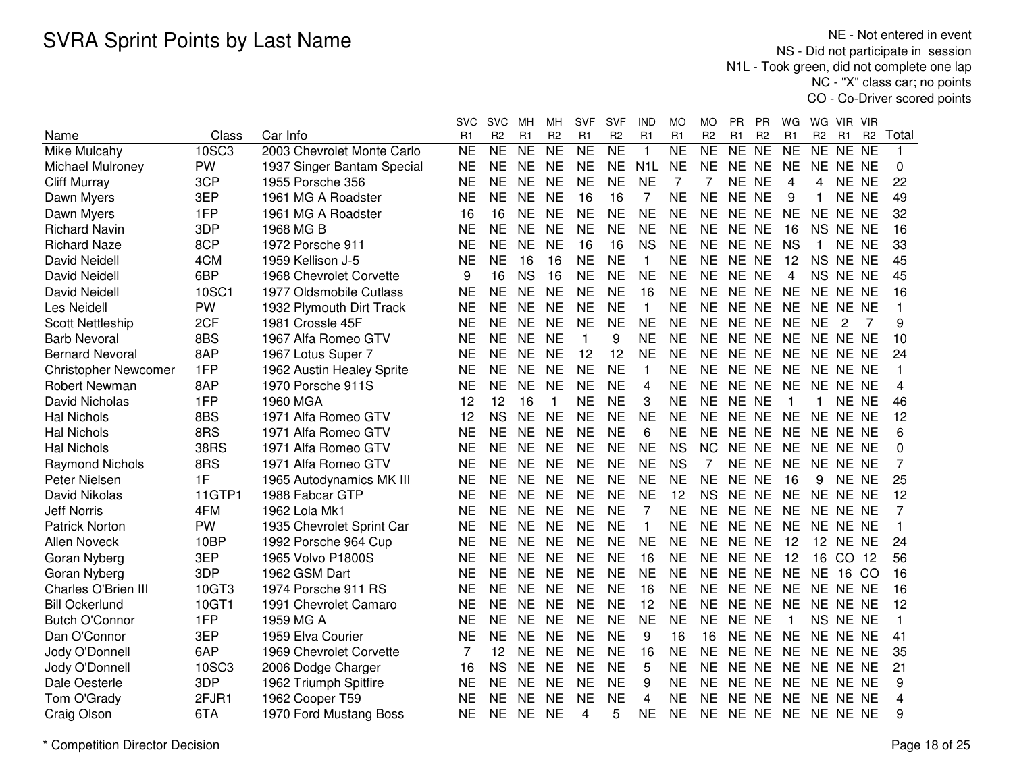NE - Not entered in event NS - Did not participate in session N1L - Took green, did not complete one lap NC - "X" class car; no pointsCO - Co-Driver scored points

|                             |             |                            | svc       | <b>SVC</b>          | мн              | MН             | <b>SVF</b>      | SVF                 | IND              | МO                     | MO             | PR.       | <b>PR</b>      | WG                  | WG             | VIR.           | <b>VIR</b>     |                |
|-----------------------------|-------------|----------------------------|-----------|---------------------|-----------------|----------------|-----------------|---------------------|------------------|------------------------|----------------|-----------|----------------|---------------------|----------------|----------------|----------------|----------------|
| Name                        | Class       | Car Info                   | R1        | R <sub>2</sub>      | R <sub>1</sub>  | R <sub>2</sub> | R <sub>1</sub>  | R <sub>2</sub>      | R <sub>1</sub>   | R <sub>1</sub>         | R <sub>2</sub> | R1        | R <sub>2</sub> | R <sub>1</sub>      | R <sub>2</sub> | R <sub>1</sub> | R <sub>2</sub> | Total          |
| <b>Mike Mulcahy</b>         | 10SC3       | 2003 Chevrolet Monte Carlo | <b>NE</b> | $\overline{\sf NE}$ | $\overline{NE}$ | <b>NE</b>      | $\overline{NE}$ | $\overline{\sf NE}$ | $\mathbf{1}$     | $\overline{\text{NE}}$ | NE             | NE        | NE             | $\overline{\sf NE}$ | NE NE          |                | N <sub>E</sub> | 1              |
| Michael Mulroney            | PW          | 1937 Singer Bantam Special | <b>NE</b> | <b>NE</b>           | <b>NE</b>       | <b>NE</b>      | <b>NE</b>       | <b>NE</b>           | N <sub>1</sub> L | <b>NE</b>              | <b>NE</b>      | NE NE     |                | <b>NE</b>           | NE NE NE       |                |                | 0              |
| <b>Cliff Murray</b>         | 3CP         | 1955 Porsche 356           | <b>NE</b> | <b>NE</b>           | <b>NE</b>       | <b>NE</b>      | <b>NE</b>       | <b>NE</b>           | <b>NE</b>        | 7                      | 7              | <b>NE</b> | <b>NE</b>      | 4                   | 4              | NE NE          |                | 22             |
| Dawn Myers                  | 3EP         | 1961 MG A Roadster         | <b>NE</b> | <b>NE</b>           | <b>NE</b>       | <b>NE</b>      | 16              | 16                  | 7                | <b>NE</b>              | <b>NE</b>      | NE NE     |                | 9                   | $\mathbf{1}$   | <b>NE</b>      | <b>NE</b>      | 49             |
| Dawn Myers                  | 1FP         | 1961 MG A Roadster         | 16        | 16                  | <b>NE</b>       | <b>NE</b>      | <b>NE</b>       | <b>NE</b>           | <b>NE</b>        | <b>NE</b>              | <b>NE</b>      | NE NE     |                | <b>NE</b>           | <b>NE</b>      | NE NE          |                | 32             |
| <b>Richard Navin</b>        | 3DP         | 1968 MG B                  | <b>NE</b> | <b>NE</b>           | <b>NE</b>       | <b>NE</b>      | <b>NE</b>       | <b>NE</b>           | <b>NE</b>        | <b>NE</b>              | <b>NE</b>      | NE NE     |                | 16                  | <b>NS</b>      | NE NE          |                | 16             |
| <b>Richard Naze</b>         | 8CP         | 1972 Porsche 911           | <b>NE</b> | <b>NE</b>           | <b>NE</b>       | <b>NE</b>      | 16              | 16                  | <b>NS</b>        | <b>NE</b>              | <b>NE</b>      | NE NE     |                | <b>NS</b>           | $\mathbf 1$    | NE NE          |                | 33             |
| David Neidell               | 4CM         | 1959 Kellison J-5          | <b>NE</b> | <b>NE</b>           | 16              | 16             | <b>NE</b>       | <b>NE</b>           | $\mathbf{1}$     | <b>NE</b>              | <b>NE</b>      | NE NE     |                | 12                  |                | NS NE NE       |                | 45             |
| David Neidell               | 6BP         | 1968 Chevrolet Corvette    | 9         | 16                  | <b>NS</b>       | 16             | <b>NE</b>       | <b>NE</b>           | <b>NE</b>        | <b>NE</b>              | <b>NE</b>      | NE NE     |                | 4                   | NS NE NE       |                |                | 45             |
| David Neidell               | 10SC1       | 1977 Oldsmobile Cutlass    | <b>NE</b> | <b>NE</b>           | <b>NE</b>       | <b>NE</b>      | <b>NE</b>       | <b>NE</b>           | 16               | <b>NE</b>              | <b>NE</b>      | NE NE     |                | <b>NE</b>           | NE NE NE       |                |                | 16             |
| Les Neidell                 | PW          | 1932 Plymouth Dirt Track   | <b>NE</b> | <b>NE</b>           | <b>NE</b>       | <b>NE</b>      | <b>NE</b>       | <b>NE</b>           | $\mathbf{1}$     | <b>NE</b>              | <b>NE</b>      | NE NE     |                | <b>NE</b>           | NE NE NE       |                |                | 1              |
| <b>Scott Nettleship</b>     | 2CF         | 1981 Crossle 45F           | <b>NE</b> | <b>NE</b>           | <b>NE</b>       | <b>NE</b>      | <b>NE</b>       | <b>NE</b>           | <b>NE</b>        | <b>NE</b>              | <b>NE</b>      | NE NE     |                | <b>NE</b>           | <b>NE</b>      | 2              | 7              | 9              |
| <b>Barb Nevoral</b>         | 8BS         | 1967 Alfa Romeo GTV        | <b>NE</b> | <b>NE</b>           | <b>NE</b>       | <b>NE</b>      | $\mathbf{1}$    | 9                   | <b>NE</b>        | <b>NE</b>              | <b>NE</b>      | NE NE     |                | <b>NE</b>           | NE NE NE       |                |                | 10             |
| <b>Bernard Nevoral</b>      | 8AP         | 1967 Lotus Super 7         | <b>NE</b> | <b>NE</b>           | <b>NE</b>       | <b>NE</b>      | 12              | 12                  | <b>NE</b>        | <b>NE</b>              | <b>NE</b>      | NE NE     |                | <b>NE</b>           | NE NE NE       |                |                | 24             |
| <b>Christopher Newcomer</b> | 1FP         | 1962 Austin Healey Sprite  | <b>NE</b> | <b>NE</b>           | <b>NE</b>       | <b>NE</b>      | <b>NE</b>       | <b>NE</b>           | $\mathbf 1$      | <b>NE</b>              | <b>NE</b>      | NE NE     |                | <b>NE</b>           | NE NE NE       |                |                | 1              |
| <b>Robert Newman</b>        | 8AP         | 1970 Porsche 911S          | <b>NE</b> | <b>NE</b>           | <b>NE</b>       | <b>NE</b>      | <b>NE</b>       | <b>NE</b>           | $\overline{4}$   | <b>NE</b>              | <b>NE</b>      | NE NE     |                | <b>NE</b>           | NE NE NE       |                |                | 4              |
| David Nicholas              | 1FP         | 1960 MGA                   | 12        | 12                  | 16              | $\mathbf{1}$   | <b>NE</b>       | <b>NE</b>           | 3                | <b>NE</b>              | <b>NE</b>      | NE NE     |                | $\overline{1}$      | $\mathbf 1$    | NE NE          |                | 46             |
| <b>Hal Nichols</b>          | 8BS         | 1971 Alfa Romeo GTV        | 12        | <b>NS</b>           | <b>NE</b>       | <b>NE</b>      | <b>NE</b>       | <b>NE</b>           | <b>NE</b>        | <b>NE</b>              | <b>NE</b>      | NE NE     |                | <b>NE</b>           | NE NE NE       |                |                | 12             |
| <b>Hal Nichols</b>          | 8RS         | 1971 Alfa Romeo GTV        | <b>NE</b> | <b>NE</b>           | <b>NE</b>       | <b>NE</b>      | <b>NE</b>       | <b>NE</b>           | 6                | <b>NE</b>              | <b>NE</b>      | NE NE     |                | <b>NE</b>           | NE NE NE       |                |                | 6              |
| <b>Hal Nichols</b>          | <b>38RS</b> | 1971 Alfa Romeo GTV        | <b>NE</b> | <b>NE</b>           | <b>NE</b>       | <b>NE</b>      | <b>NE</b>       | <b>NE</b>           | <b>NE</b>        | <b>NS</b>              | <b>NC</b>      | NE NE     |                | <b>NE</b>           | NE NE NE       |                |                | 0              |
| <b>Raymond Nichols</b>      | 8RS         | 1971 Alfa Romeo GTV        | <b>NE</b> | <b>NE</b>           | <b>NE</b>       | <b>NE</b>      | <b>NE</b>       | <b>NE</b>           | <b>NE</b>        | <b>NS</b>              | 7              | NE NE     |                | <b>NE</b>           | NE NE NE       |                |                | $\overline{7}$ |
| Peter Nielsen               | 1F          | 1965 Autodynamics MK III   | <b>NE</b> | <b>NE</b>           | <b>NE</b>       | <b>NE</b>      | <b>NE</b>       | <b>NE</b>           | <b>NE</b>        | <b>NE</b>              | <b>NE</b>      | NE NE     |                | 16                  | 9              | NE NE          |                | 25             |
| David Nikolas               | 11GTP1      | 1988 Fabcar GTP            | <b>NE</b> | <b>NE</b>           | <b>NE</b>       | <b>NE</b>      | <b>NE</b>       | <b>NE</b>           | <b>NE</b>        | 12                     | <b>NS</b>      | NE NE     |                | <b>NE</b>           | NE NE NE       |                |                | 12             |
| <b>Jeff Norris</b>          | 4FM         | 1962 Lola Mk1              | <b>NE</b> | <b>NE</b>           | <b>NE</b>       | <b>NE</b>      | <b>NE</b>       | <b>NE</b>           | $\overline{7}$   | <b>NE</b>              | <b>NE</b>      | NE NE     |                | <b>NE</b>           | NE NE NE       |                |                | 7              |
| <b>Patrick Norton</b>       | PW          | 1935 Chevrolet Sprint Car  | <b>NE</b> | <b>NE</b>           | <b>NE</b>       | <b>NE</b>      | <b>NE</b>       | <b>NE</b>           | $\mathbf{1}$     | <b>NE</b>              | <b>NE</b>      | NE NE     |                | <b>NE</b>           | NE NE NE       |                |                | 1              |
| <b>Allen Noveck</b>         | 10BP        | 1992 Porsche 964 Cup       | <b>NE</b> | <b>NE</b>           | <b>NE</b>       | <b>NE</b>      | <b>NE</b>       | <b>NE</b>           | <b>NE</b>        | <b>NE</b>              | <b>NE</b>      | NE NE     |                | 12                  |                | 12 NE NE       |                | 24             |
| Goran Nyberg                | 3EP         | 1965 Volvo P1800S          | <b>NE</b> | <b>NE</b>           | <b>NE</b>       | <b>NE</b>      | <b>NE</b>       | <b>NE</b>           | 16               | <b>NE</b>              | <b>NE</b>      | NE NE     |                | 12                  |                | 16 CO 12       |                | 56             |
| Goran Nyberg                | 3DP         | 1962 GSM Dart              | <b>NE</b> | <b>NE</b>           | <b>NE</b>       | <b>NE</b>      | <b>NE</b>       | <b>NE</b>           | <b>NE</b>        | <b>NE</b>              | <b>NE</b>      | NE NE     |                | <b>NE</b>           | <b>NE</b>      | 16 CO          |                | 16             |
| Charles O'Brien III         | 10GT3       | 1974 Porsche 911 RS        | <b>NE</b> | <b>NE</b>           | <b>NE</b>       | <b>NE</b>      | <b>NE</b>       | <b>NE</b>           | 16               | <b>NE</b>              | <b>NE</b>      | NE NE     |                | <b>NE</b>           | NE NE NE       |                |                | 16             |
| <b>Bill Ockerlund</b>       | 10GT1       | 1991 Chevrolet Camaro      | <b>NE</b> | <b>NE</b>           | <b>NE</b>       | <b>NE</b>      | <b>NE</b>       | <b>NE</b>           | 12               | <b>NE</b>              | <b>NE</b>      | <b>NE</b> | <b>NE</b>      | <b>NE</b>           | NE NE NE       |                |                | 12             |
| <b>Butch O'Connor</b>       | 1FP         | 1959 MG A                  | <b>NE</b> | <b>NE</b>           | <b>NE</b>       | <b>NE</b>      | <b>NE</b>       | <b>NE</b>           | <b>NE</b>        | <b>NE</b>              | <b>NE</b>      | NE NE     |                | -1                  |                | NS NE NE       |                | 1              |
| Dan O'Connor                | 3EP         | 1959 Elva Courier          | <b>NE</b> | <b>NE</b>           | <b>NE</b>       | <b>NE</b>      | <b>NE</b>       | <b>NE</b>           | 9                | 16                     | 16             | NE NE     |                | <b>NE</b>           | NE NE NE       |                |                | 41             |
| Jody O'Donnell              | 6AP         | 1969 Chevrolet Corvette    | 7         | 12                  | <b>NE</b>       | <b>NE</b>      | <b>NE</b>       | <b>NE</b>           | 16               | <b>NE</b>              | <b>NE</b>      | NE NE     |                | <b>NE</b>           | NE NE NE       |                |                | 35             |
| Jody O'Donnell              | 10SC3       | 2006 Dodge Charger         | 16        | <b>NS</b>           | <b>NE</b>       | <b>NE</b>      | <b>NE</b>       | <b>NE</b>           | 5                | <b>NE</b>              | <b>NE</b>      | NE NE     |                | <b>NE</b>           | NE NE NE       |                |                | 21             |
| Dale Oesterle               | 3DP         | 1962 Triumph Spitfire      | <b>NE</b> | <b>NE</b>           | <b>NE</b>       | <b>NE</b>      | <b>NE</b>       | <b>NE</b>           | 9                | <b>NE</b>              | <b>NE</b>      | NE NE     |                | <b>NE</b>           | NE NE NE       |                |                | 9              |
| Tom O'Grady                 | 2FJR1       | 1962 Cooper T59            | <b>NE</b> | <b>NE</b>           | <b>NE</b>       | <b>NE</b>      | <b>NE</b>       | <b>NE</b>           | 4                | <b>NE</b>              | <b>NE</b>      | <b>NE</b> | <b>NE</b>      | <b>NE</b>           | NE NE NE       |                |                | 4              |
| Craig Olson                 | 6TA         | 1970 Ford Mustang Boss     | <b>NE</b> | <b>NE</b>           | <b>NE</b>       | <b>NE</b>      | 4               | 5                   | <b>NE</b>        | <b>NE</b>              | <b>NE</b>      | NE NE     |                | <b>NE</b>           | NE NE NE       |                |                | 9              |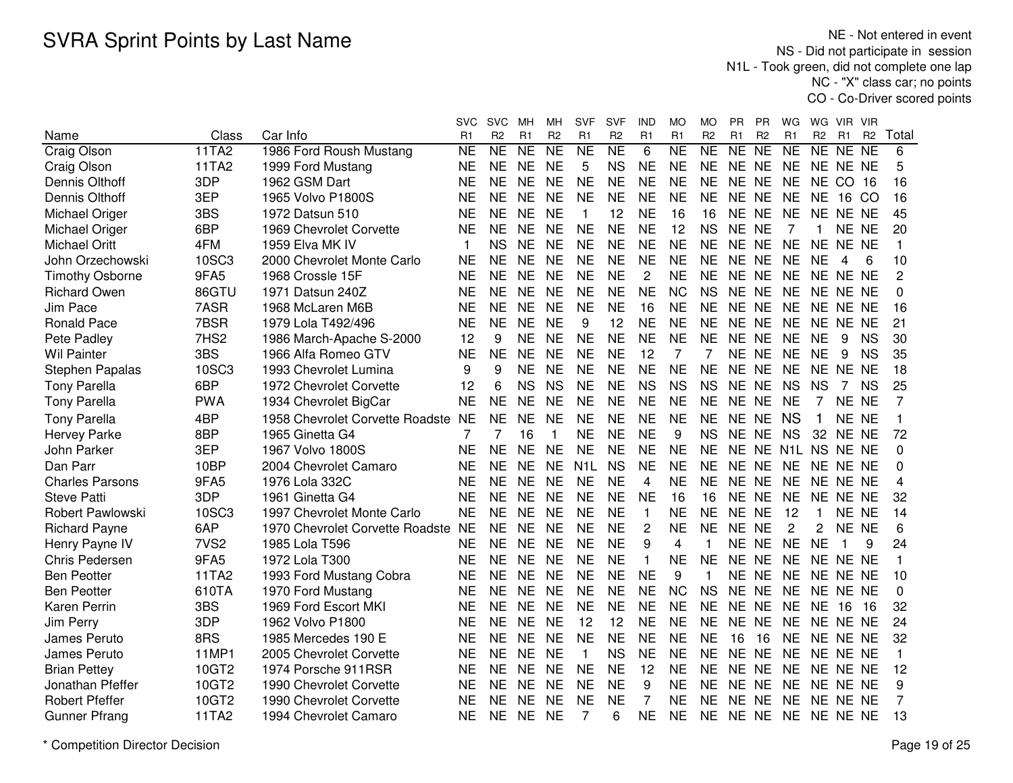|                        |                  |                                    | svc            | <b>SVC</b>     | MН              | MН                  | SVF              | SVF                 | IND            | MO                  | МO             | PR.       | РR             | WG              | WG.            | VIR.           | <b>VIR</b>     |                |
|------------------------|------------------|------------------------------------|----------------|----------------|-----------------|---------------------|------------------|---------------------|----------------|---------------------|----------------|-----------|----------------|-----------------|----------------|----------------|----------------|----------------|
| Name                   | Class            | Car Info                           | R1             | R <sub>2</sub> | R1              | R <sub>2</sub>      | R1               | R <sub>2</sub>      | R1             | R1                  | R <sub>2</sub> | R1        | R <sub>2</sub> | R1              | R <sub>2</sub> | R <sub>1</sub> | R <sub>2</sub> | Total          |
| Craig Olson            | 11TA2            | 1986 Ford Roush Mustang            | <b>NE</b>      | NE             | $\overline{NE}$ | $\overline{\sf NE}$ | $\overline{NE}$  | $\overline{\sf NE}$ | 6              | $\overline{\sf NE}$ | NE             | NE        | N <sub>E</sub> | $\overline{NE}$ | NE             | N <sub>E</sub> | <b>NE</b>      | 6              |
| Craig Olson            | 11TA2            | 1999 Ford Mustang                  | <b>NE</b>      | <b>NE</b>      | <b>NE</b>       | <b>NE</b>           | 5                | <b>NS</b>           | <b>NE</b>      | <b>NE</b>           | <b>NE</b>      | NE NE     |                | <b>NE</b>       | NE NE NE       |                |                | 5              |
| Dennis Olthoff         | 3DP              | 1962 GSM Dart                      | <b>NE</b>      | <b>NE</b>      | <b>NE</b>       | <b>NE</b>           | <b>NE</b>        | <b>NE</b>           | <b>NE</b>      | <b>NE</b>           | <b>NE</b>      | NE NE     |                | <b>NE</b>       | NE CO          |                | 16             | 16             |
| Dennis Olthoff         | 3EP              | 1965 Volvo P1800S                  | <b>NE</b>      | <b>NE</b>      | <b>NE</b>       | <b>NE</b>           | <b>NE</b>        | <b>NE</b>           | <b>NE</b>      | <b>NE</b>           | <b>NE</b>      | NE NE     |                | <b>NE</b>       | NE             | 16             | -CO            | 16             |
| Michael Origer         | 3BS              | 1972 Datsun 510                    | <b>NE</b>      | <b>NE</b>      | <b>NE</b>       | <b>NE</b>           | 1                | 12                  | <b>NE</b>      | 16                  | 16             | NE NE     |                | <b>NE</b>       | NE NE NE       |                |                | 45             |
| Michael Origer         | 6BP              | 1969 Chevrolet Corvette            | <b>NE</b>      | <b>NE</b>      | <b>NE</b>       | <b>NE</b>           | <b>NE</b>        | <b>NE</b>           | <b>NE</b>      | 12                  | <b>NS</b>      | NE NE     |                | 7               | 1.             |                | NE NE          | 20             |
| <b>Michael Oritt</b>   | 4FM              | 1959 Elva MK IV                    |                | <b>NS</b>      | <b>NE</b>       | <b>NE</b>           | <b>NE</b>        | <b>NE</b>           | <b>NE</b>      | <b>NE</b>           | <b>NE</b>      | NE NE     |                | <b>NE</b>       | NE NE NE       |                |                | 1              |
| John Orzechowski       | 10SC3            | 2000 Chevrolet Monte Carlo         | <b>NE</b>      | <b>NE</b>      | <b>NE</b>       | <b>NE</b>           | <b>NE</b>        | <b>NE</b>           | <b>NE</b>      | <b>NE</b>           | <b>NE</b>      | NE NE     |                | <b>NE</b>       | <b>NE</b>      | 4              | 6              | 10             |
| <b>Timothy Osborne</b> | 9FA5             | 1968 Crossle 15F                   | <b>NE</b>      | <b>NE</b>      | <b>NE</b>       | <b>NE</b>           | <b>NE</b>        | <b>NE</b>           | $\overline{c}$ | <b>NE</b>           | <b>NE</b>      | NE NE     |                | <b>NE</b>       | NE NE NE       |                |                | 2              |
| <b>Richard Owen</b>    | 86GTU            | 1971 Datsun 240Z                   | <b>NE</b>      | <b>NE</b>      | <b>NE</b>       | <b>NE</b>           | <b>NE</b>        | <b>NE</b>           | <b>NE</b>      | <b>NC</b>           | <b>NS</b>      | NE NE     |                | <b>NE</b>       | NE NE NE       |                |                | 0              |
| Jim Pace               | 7ASR             | 1968 McLaren M6B                   | <b>NE</b>      | <b>NE</b>      | <b>NE</b>       | <b>NE</b>           | <b>NE</b>        | <b>NE</b>           | 16             | <b>NE</b>           | <b>NE</b>      | NE NE     |                | <b>NE</b>       | NE NE NE       |                |                | 16             |
| <b>Ronald Pace</b>     | 7BSR             | 1979 Lola T492/496                 | <b>NE</b>      | <b>NE</b>      | <b>NE</b>       | <b>NE</b>           | 9                | 12                  | <b>NE</b>      | <b>NE</b>           | <b>NE</b>      | NE NE     |                | <b>NE</b>       | NE.            | NE NE          |                | 21             |
| Pete Padley            | 7HS <sub>2</sub> | 1986 March-Apache S-2000           | 12             | 9              | <b>NE</b>       | <b>NE</b>           | <b>NE</b>        | <b>NE</b>           | <b>NE</b>      | <b>NE</b>           | <b>NE</b>      | NE NE     |                | <b>NE</b>       | <b>NE</b>      | 9              | <b>NS</b>      | 30             |
| <b>Wil Painter</b>     | 3BS              | 1966 Alfa Romeo GTV                | <b>NE</b>      | <b>NE</b>      | <b>NE</b>       | <b>NE</b>           | <b>NE</b>        | <b>NE</b>           | 12             | 7                   | 7              | NE NE     |                | <b>NE</b>       | <b>NE</b>      | 9              | <b>NS</b>      | 35             |
| Stephen Papalas        | 10SC3            | 1993 Chevrolet Lumina              | 9              | 9              | <b>NE</b>       | <b>NE</b>           | <b>NE</b>        | <b>NE</b>           | <b>NE</b>      | <b>NE</b>           | <b>NE</b>      | NE NE     |                | <b>NE</b>       | NE NE          |                | <b>NE</b>      | 18             |
| <b>Tony Parella</b>    | 6BP              | 1972 Chevrolet Corvette            | 12             | 6              | <b>NS</b>       | <b>NS</b>           | <b>NE</b>        | <b>NE</b>           | <b>NS</b>      | <b>NS</b>           | <b>NS</b>      | NE NE     |                | <b>NS</b>       | <b>NS</b>      | 7              | <b>NS</b>      | 25             |
| <b>Tony Parella</b>    | <b>PWA</b>       | 1934 Chevrolet BigCar              | <b>NE</b>      | <b>NE</b>      | <b>NE</b>       | <b>NE</b>           | <b>NE</b>        | <b>NE</b>           | <b>NE</b>      | <b>NE</b>           | <b>NE</b>      | NE NE     |                | <b>NE</b>       | 7              | <b>NE</b>      | <b>NE</b>      | $\overline{7}$ |
| <b>Tony Parella</b>    | 4BP              | 1958 Chevrolet Corvette Roadste NE |                | <b>NE</b>      | <b>NE</b>       | <b>NE</b>           | <b>NE</b>        | <b>NE</b>           | <b>NE</b>      | <b>NE</b>           | <b>NE</b>      | NE NE     |                | <b>NS</b>       | 1              |                | NE NE          | 1              |
| <b>Hervey Parke</b>    | 8BP              | 1965 Ginetta G4                    | $\overline{7}$ | $\overline{7}$ | 16              | 1                   | <b>NE</b>        | <b>NE</b>           | <b>NE</b>      | 9                   | <b>NS</b>      | NE NE     |                | <b>NS</b>       | 32             | <b>NE</b>      | <b>NE</b>      | 72             |
| John Parker            | 3EP              | 1967 Volvo 1800S                   | <b>NE</b>      | <b>NE</b>      | <b>NE</b>       | <b>NE</b>           | <b>NE</b>        | <b>NE</b>           | <b>NE</b>      | <b>NE</b>           | <b>NE</b>      |           |                | NE NE N1L       | <b>NS</b>      | NE NE          |                | $\Omega$       |
| Dan Parr               | 10BP             | 2004 Chevrolet Camaro              | <b>NE</b>      | <b>NE</b>      | <b>NE</b>       | <b>NE</b>           | N <sub>1</sub> L | <b>NS</b>           | <b>NE</b>      | <b>NE</b>           | <b>NE</b>      | NE NE     |                | <b>NE</b>       | NE NE NE       |                |                | 0              |
| <b>Charles Parsons</b> | 9FA5             | 1976 Lola 332C                     | <b>NE</b>      | <b>NE</b>      | <b>NE</b>       | <b>NE</b>           | <b>NE</b>        | <b>NE</b>           | 4              | <b>NE</b>           | <b>NE</b>      | NE NE     |                | <b>NE</b>       | NE NE NE       |                |                | 4              |
| <b>Steve Patti</b>     | 3DP              | 1961 Ginetta G4                    | <b>NE</b>      | <b>NE</b>      | <b>NE</b>       | <b>NE</b>           | <b>NE</b>        | <b>NE</b>           | <b>NE</b>      | 16                  | 16             | NE NE     |                | <b>NE</b>       |                | NE NE NE       |                | 32             |
| Robert Pawlowski       | 10SC3            | 1997 Chevrolet Monte Carlo         | <b>NE</b>      | NE.            | <b>NE</b>       | <b>NE</b>           | <b>NE</b>        | <b>NE</b>           | $\mathbf{1}$   | <b>NE</b>           | <b>NE</b>      | NE NE     |                | 12              | 1              |                | NE NE          | 14             |
| <b>Richard Payne</b>   | 6AP              | 1970 Chevrolet Corvette Roadste    | <b>NE</b>      | <b>NE</b>      | <b>NE</b>       | <b>NE</b>           | <b>NE</b>        | <b>NE</b>           | $\overline{c}$ | <b>NE</b>           | <b>NE</b>      | NE NE     |                | $\overline{2}$  | 2              | NE NE          |                | 6              |
| Henry Payne IV         | 7VS <sub>2</sub> | 1985 Lola T596                     | <b>NE</b>      | <b>NE</b>      | <b>NE</b>       | <b>NE</b>           | <b>NE</b>        | <b>NE</b>           | 9              | 4                   |                | NE NE     |                | <b>NE</b>       | <b>NE</b>      |                | 9              | 24             |
| Chris Pedersen         | 9FA5             | 1972 Lola T300                     | <b>NE</b>      | <b>NE</b>      | <b>NE</b>       | <b>NE</b>           | <b>NE</b>        | <b>NE</b>           | 1              | <b>NE</b>           | <b>NE</b>      | <b>NE</b> | <b>NE</b>      | <b>NE</b>       | <b>NE</b>      | NE NE          |                | 1              |
| <b>Ben Peotter</b>     | 11TA2            | 1993 Ford Mustang Cobra            | <b>NE</b>      | <b>NE</b>      | <b>NE</b>       | <b>NE</b>           | <b>NE</b>        | <b>NE</b>           | <b>NE</b>      | 9                   | 1              | NE NE     |                | <b>NE</b>       | NE NE NE       |                |                | 10             |
| <b>Ben Peotter</b>     | 610TA            | 1970 Ford Mustang                  | <b>NE</b>      | <b>NE</b>      | <b>NE</b>       | <b>NE</b>           | <b>NE</b>        | <b>NE</b>           | <b>NE</b>      | <b>NC</b>           | <b>NS</b>      | NE NE     |                | <b>NE</b>       | NE NE NE       |                |                | 0              |
| <b>Karen Perrin</b>    | 3BS              | 1969 Ford Escort MKI               | <b>NE</b>      | <b>NE</b>      | <b>NE</b>       | <b>NE</b>           | <b>NE</b>        | <b>NE</b>           | <b>NE</b>      | <b>NE</b>           | <b>NE</b>      | NE NE     |                | <b>NE</b>       | <b>NE</b>      | 16             | 16             | 32             |
| Jim Perry              | 3DP              | 1962 Volvo P1800                   | <b>NE</b>      | <b>NE</b>      | <b>NE</b>       | <b>NE</b>           | 12               | 12                  | <b>NE</b>      | <b>NE</b>           | <b>NE</b>      | NE NE     |                | <b>NE</b>       | NE NE NE       |                |                | 24             |
| James Peruto           | 8RS              | 1985 Mercedes 190 E                | <b>NE</b>      | <b>NE</b>      | <b>NE</b>       | <b>NE</b>           | <b>NE</b>        | <b>NE</b>           | <b>NE</b>      | <b>NE</b>           | <b>NE</b>      | 16        | 16             | <b>NE</b>       | NE NE          |                | <b>NE</b>      | 32             |
| James Peruto           | 11MP1            | 2005 Chevrolet Corvette            | <b>NE</b>      | <b>NE</b>      | <b>NE</b>       | <b>NE</b>           | 1                | <b>NS</b>           | <b>NE</b>      | <b>NE</b>           | <b>NE</b>      | NE NE     |                | <b>NE</b>       | NE NE NE       |                |                | 1              |
| <b>Brian Pettey</b>    | 10GT2            | 1974 Porsche 911RSR                | <b>NE</b>      | <b>NE</b>      | <b>NE</b>       | <b>NE</b>           | <b>NE</b>        | <b>NE</b>           | 12             | <b>NE</b>           | <b>NE</b>      | NE NE     |                | <b>NE</b>       |                | NE NE NE       |                | 12             |
| Jonathan Pfeffer       | 10GT2            | 1990 Chevrolet Corvette            | <b>NE</b>      | NE.            | NE              | <b>NE</b>           | <b>NE</b>        | <b>NE</b>           | 9              | NE                  | <b>NE</b>      | NE NE     |                | <b>NE</b>       | NE NE NE       |                |                | 9              |
| <b>Robert Pfeffer</b>  | 10GT2            | 1990 Chevrolet Corvette            | <b>NE</b>      | <b>NE</b>      | <b>NE</b>       | <b>NE</b>           | <b>NE</b>        | <b>NE</b>           | 7              | <b>NE</b>           | ΝE             | NE NE     |                | <b>NE</b>       | NE NE NE       |                |                | 7              |
| <b>Gunner Pfrang</b>   | 11TA2            | 1994 Chevrolet Camaro              | <b>NE</b>      | <b>NE</b>      | <b>NE</b>       | <b>NE</b>           | 7                | 6                   | <b>NE</b>      | <b>NE</b>           | <b>NE</b>      | NE NE     |                | <b>NE</b>       | NE NE NE       |                |                | 13             |
|                        |                  |                                    |                |                |                 |                     |                  |                     |                |                     |                |           |                |                 |                |                |                |                |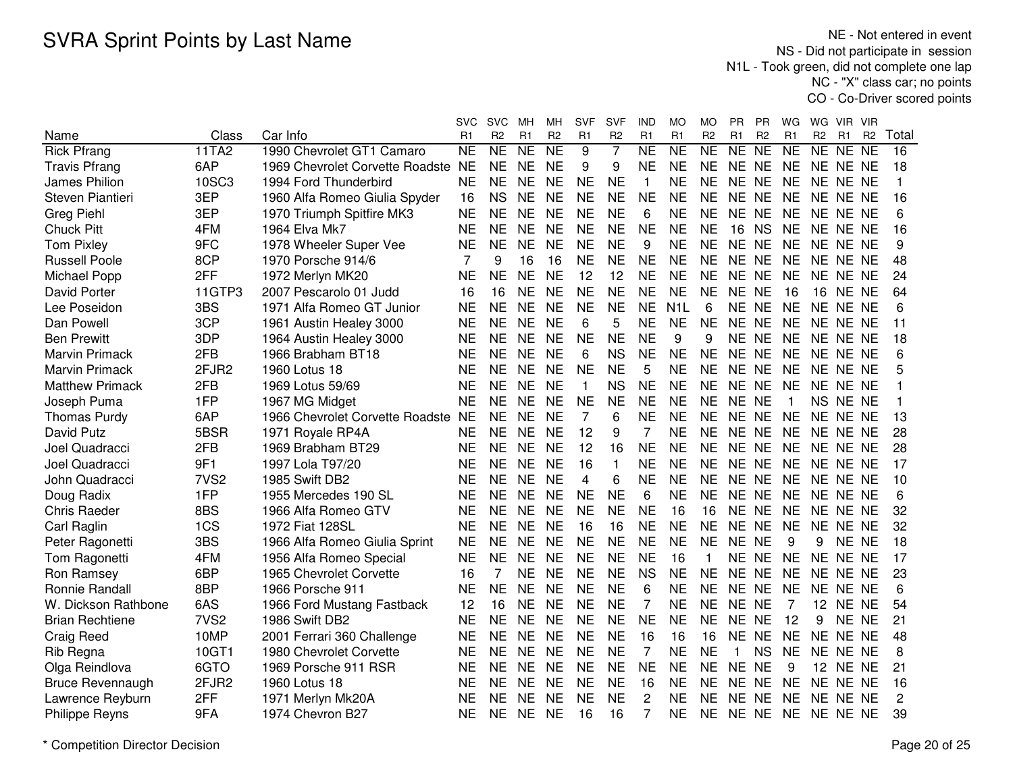NE - Not entered in event NS - Did not participate in session N1L - Took green, did not complete one lap NC - "X" class car; no pointsCO - Co-Driver scored points

|                        |                  |                                    | <b>SVC</b> | <b>SVC</b>     | MН        | MН             | SVF            | <b>SVF</b>     | <b>IND</b>     | MO             | MO             | <b>PR</b>    | <b>PR</b>      | WG        | WG.             | VIR.  | - VIR          |              |
|------------------------|------------------|------------------------------------|------------|----------------|-----------|----------------|----------------|----------------|----------------|----------------|----------------|--------------|----------------|-----------|-----------------|-------|----------------|--------------|
| Name                   | Class            | Car Info                           | R1         | R <sub>2</sub> | R1        | R <sub>2</sub> | R <sub>1</sub> | R <sub>2</sub> | R1             | R <sub>1</sub> | R <sub>2</sub> | R1           | R <sub>2</sub> | R1        | R <sub>2</sub>  | R1    | R <sub>2</sub> | Total        |
| <b>Rick Pfrang</b>     | 11TA2            | 1990 Chevrolet GT1 Camaro          | <b>NE</b>  | <b>NE</b>      | <b>NE</b> | <b>NE</b>      | 9              | 7              | <b>NE</b>      | <b>NE</b>      | <b>NE</b>      | <b>NE</b>    | <b>NE</b>      | <b>NE</b> | <b>NE</b>       | NE.   | <b>NE</b>      | 16           |
| <b>Travis Pfrang</b>   | 6AP              | 1969 Chevrolet Corvette Roadste NE |            | <b>NE</b>      | <b>NE</b> | <b>NE</b>      | 9              | 9              | <b>NE</b>      | <b>NE</b>      | <b>NE</b>      | NE NE        |                | <b>NE</b> | NE NE NE        |       |                | 18           |
| James Philion          | 10SC3            | 1994 Ford Thunderbird              | <b>NE</b>  | <b>NE</b>      | <b>NE</b> | <b>NE</b>      | <b>NE</b>      | <b>NE</b>      | $\mathbf{1}$   | <b>NE</b>      | <b>NE</b>      | NE NE        |                | <b>NE</b> | NE NE NE        |       |                | $\mathbf{1}$ |
| Steven Piantieri       | 3EP              | 1960 Alfa Romeo Giulia Spyder      | 16         | <b>NS</b>      | <b>NE</b> | <b>NE</b>      | <b>NE</b>      | <b>NE</b>      | <b>NE</b>      | <b>NE</b>      | <b>NE</b>      | NE NE        |                | <b>NE</b> | NE NE NE        |       |                | 16           |
| Greg Piehl             | 3EP              | 1970 Triumph Spitfire MK3          | <b>NE</b>  | <b>NE</b>      | <b>NE</b> | <b>NE</b>      | <b>NE</b>      | <b>NE</b>      | 6              | <b>NE</b>      | <b>NE</b>      | NE NE        |                | <b>NE</b> | NE NE NE        |       |                | 6            |
| <b>Chuck Pitt</b>      | 4FM              | 1964 Elva Mk7                      | <b>NE</b>  | <b>NE</b>      | <b>NE</b> | <b>NE</b>      | <b>NE</b>      | <b>NE</b>      | <b>NE</b>      | <b>NE</b>      | <b>NE</b>      | 16           | <b>NS</b>      | <b>NE</b> | NE NE NE        |       |                | 16           |
| <b>Tom Pixley</b>      | 9FC              | 1978 Wheeler Super Vee             | <b>NE</b>  | <b>NE</b>      | <b>NE</b> | <b>NE</b>      | <b>NE</b>      | <b>NE</b>      | 9              | <b>NE</b>      | <b>NE</b>      | NE NE        |                | <b>NE</b> | NE NE NE        |       |                | 9            |
| <b>Russell Poole</b>   | 8CP              | 1970 Porsche 914/6                 | 7          | 9              | 16        | 16             | <b>NE</b>      | <b>NE</b>      | <b>NE</b>      | <b>NE</b>      | <b>NE</b>      | NE NE        |                | <b>NE</b> | NE NE NE        |       |                | 48           |
| Michael Popp           | 2FF              | 1972 Merlyn MK20                   | <b>NE</b>  | <b>NE</b>      | <b>NE</b> | <b>NE</b>      | 12             | 12             | <b>NE</b>      | <b>NE</b>      | <b>NE</b>      | NE NE        |                | <b>NE</b> | NE NE NE        |       |                | 24           |
| David Porter           | 11GTP3           | 2007 Pescarolo 01 Judd             | 16         | 16             | <b>NE</b> | <b>NE</b>      | <b>NE</b>      | <b>NE</b>      | <b>NE</b>      | <b>NE</b>      | <b>NE</b>      | NE NE        |                | 16        | <b>16 NE NE</b> |       |                | 64           |
| Lee Poseidon           | 3BS              | 1971 Alfa Romeo GT Junior          | <b>NE</b>  | <b>NE</b>      | <b>NE</b> | <b>NE</b>      | <b>NE</b>      | <b>NE</b>      | <b>NE</b>      | N1L            | 6              | NE NE        |                | <b>NE</b> | NE NE NE        |       |                | 6            |
| Dan Powell             | 3CP              | 1961 Austin Healey 3000            | <b>NE</b>  | <b>NE</b>      | <b>NE</b> | <b>NE</b>      | 6              | 5              | <b>NE</b>      | <b>NE</b>      | <b>NE</b>      | NE NE        |                | <b>NE</b> | NE NE NE        |       |                | 11           |
| <b>Ben Prewitt</b>     | 3DP              | 1964 Austin Healey 3000            | <b>NE</b>  | <b>NE</b>      | <b>NE</b> | <b>NE</b>      | <b>NE</b>      | <b>NE</b>      | <b>NE</b>      | 9              | 9              | NE NE        |                | <b>NE</b> | NE NE NE        |       |                | 18           |
| <b>Marvin Primack</b>  | 2FB              | 1966 Brabham BT18                  | <b>NE</b>  | <b>NE</b>      | <b>NE</b> | <b>NE</b>      | 6              | <b>NS</b>      | <b>NE</b>      | <b>NE</b>      | <b>NE</b>      | NE NE        |                | <b>NE</b> | NE NE NE        |       |                | 6            |
| <b>Marvin Primack</b>  | 2FJR2            | 1960 Lotus 18                      | <b>NE</b>  | <b>NE</b>      | <b>NE</b> | <b>NE</b>      | <b>NE</b>      | <b>NE</b>      | 5              | <b>NE</b>      | <b>NE</b>      | NE NE        |                | <b>NE</b> | NE NE NE        |       |                | 5            |
| <b>Matthew Primack</b> | 2FB              | 1969 Lotus 59/69                   | <b>NE</b>  | <b>NE</b>      | <b>NE</b> | <b>NE</b>      | $\mathbf{1}$   | <b>NS</b>      | <b>NE</b>      | <b>NE</b>      | <b>NE</b>      | NE NE        |                | <b>NE</b> | NE NE NE        |       |                |              |
| Joseph Puma            | 1FP              | 1967 MG Midget                     | <b>NE</b>  | <b>NE</b>      | <b>NE</b> | <b>NE</b>      | <b>NE</b>      | <b>NE</b>      | <b>NE</b>      | <b>NE</b>      | <b>NE</b>      | NE NE        |                | 1         | NS NE NE        |       |                |              |
| <b>Thomas Purdy</b>    | 6AP              | 1966 Chevrolet Corvette Roadste NE |            | <b>NE</b>      | <b>NE</b> | <b>NE</b>      | $\overline{7}$ | 6              | <b>NE</b>      | <b>NE</b>      | <b>NE</b>      | NE NE        |                | <b>NE</b> | NE NE NE        |       |                | 13           |
| David Putz             | 5BSR             | 1971 Royale RP4A                   | <b>NE</b>  | <b>NE</b>      | <b>NE</b> | <b>NE</b>      | 12             | 9              | 7              | <b>NE</b>      | <b>NE</b>      | NE NE        |                | <b>NE</b> | NE NE NE        |       |                | 28           |
| Joel Quadracci         | 2FB              | 1969 Brabham BT29                  | <b>NE</b>  | <b>NE</b>      | <b>NE</b> | <b>NE</b>      | 12             | 16             | <b>NE</b>      | <b>NE</b>      | <b>NE</b>      | NE NE        |                | <b>NE</b> | NE NE NE        |       |                | 28           |
| Joel Quadracci         | 9F1              | 1997 Lola T97/20                   | <b>NE</b>  | <b>NE</b>      | <b>NE</b> | <b>NE</b>      | 16             | $\mathbf{1}$   | <b>NE</b>      | <b>NE</b>      | <b>NE</b>      | NE NE        |                | <b>NE</b> | NE NE NE        |       |                | 17           |
| John Quadracci         | 7VS <sub>2</sub> | 1985 Swift DB2                     | <b>NE</b>  | <b>NE</b>      | <b>NE</b> | <b>NE</b>      | 4              | 6              | <b>NE</b>      | <b>NE</b>      | <b>NE</b>      | NE NE        |                | <b>NE</b> | NE NE NE        |       |                | 10           |
| Doug Radix             | 1FP              | 1955 Mercedes 190 SL               | <b>NE</b>  | <b>NE</b>      | <b>NE</b> | <b>NE</b>      | <b>NE</b>      | <b>NE</b>      | 6              | <b>NE</b>      | <b>NE</b>      | NE NE        |                | <b>NE</b> | NE NE NE        |       |                | 6            |
| <b>Chris Raeder</b>    | 8BS              | 1966 Alfa Romeo GTV                | <b>NE</b>  | <b>NE</b>      | <b>NE</b> | <b>NE</b>      | <b>NE</b>      | <b>NE</b>      | <b>NE</b>      | 16             | 16             | NE NE        |                | <b>NE</b> | NE NE NE        |       |                | 32           |
| Carl Raglin            | 1CS              | 1972 Fiat 128SL                    | NE         | <b>NE</b>      | <b>NE</b> | <b>NE</b>      | 16             | 16             | <b>NE</b>      | <b>NE</b>      | <b>NE</b>      | NE NE        |                | <b>NE</b> | NE NE NE        |       |                | 32           |
| Peter Ragonetti        | 3BS              | 1966 Alfa Romeo Giulia Sprint      | <b>NE</b>  | <b>NE</b>      | <b>NE</b> | <b>NE</b>      | <b>NE</b>      | <b>NE</b>      | <b>NE</b>      | <b>NE</b>      | <b>NE</b>      | NE NE        |                | 9         | 9               | NE NE |                | 18           |
| Tom Ragonetti          | 4FM              | 1956 Alfa Romeo Special            | <b>NE</b>  | <b>NE</b>      | <b>NE</b> | <b>NE</b>      | <b>NE</b>      | <b>NE</b>      | <b>NE</b>      | 16             |                | NE NE        |                | <b>NE</b> | NE NE NE        |       |                | 17           |
| Ron Ramsey             | 6BP              | 1965 Chevrolet Corvette            | 16         |                | <b>NE</b> | <b>NE</b>      | <b>NE</b>      | <b>NE</b>      | <b>NS</b>      | <b>NE</b>      | <b>NE</b>      | <b>NE</b>    | <b>NE</b>      | <b>NE</b> | NE NE NE        |       |                | 23           |
| Ronnie Randall         | 8BP              | 1966 Porsche 911                   | <b>NE</b>  | <b>NE</b>      | <b>NE</b> | <b>NE</b>      | <b>NE</b>      | <b>NE</b>      | 6              | <b>NE</b>      | <b>NE</b>      | NE NE        |                | <b>NE</b> | NE NE NE        |       |                | 6            |
| W. Dickson Rathbone    | 6AS              | 1966 Ford Mustang Fastback         | 12         | 16             | <b>NE</b> | <b>NE</b>      | <b>NE</b>      | <b>NE</b>      | 7              | <b>NE</b>      | <b>NE</b>      | NE NE        |                | 7         | 12              | NE NE |                | 54           |
| <b>Brian Rechtiene</b> | 7VS <sub>2</sub> | 1986 Swift DB2                     | <b>NE</b>  | <b>NE</b>      | <b>NE</b> | <b>NE</b>      | <b>NE</b>      | <b>NE</b>      | <b>NE</b>      | <b>NE</b>      | <b>NE</b>      | NE NE        |                | 12        | 9               | NE NE |                | 21           |
| <b>Craig Reed</b>      | 10MP             | 2001 Ferrari 360 Challenge         | <b>NE</b>  | <b>NE</b>      | <b>NE</b> | <b>NE</b>      | <b>NE</b>      | <b>NE</b>      | 16             | 16             | 16             | <b>NE</b>    | <b>NE</b>      | <b>NE</b> | NE NE NE        |       |                | 48           |
| Rib Regna              | 10GT1            | 1980 Chevrolet Corvette            | <b>NE</b>  | <b>NE</b>      | <b>NE</b> | <b>NE</b>      | <b>NE</b>      | <b>NE</b>      | $\overline{7}$ | <b>NE</b>      | <b>NE</b>      | $\mathbf{1}$ | <b>NS</b>      | <b>NE</b> | NE NE NE        |       |                | 8            |
| Olga Reindlova         | 6GTO             | 1969 Porsche 911 RSR               | <b>NE</b>  | <b>NE</b>      | <b>NE</b> | <b>NE</b>      | <b>NE</b>      | <b>NE</b>      | <b>NE</b>      | <b>NE</b>      | <b>NE</b>      | NE NE        |                | 9         | 12              | NE NE |                | 21           |
| Bruce Revennaugh       | 2FJR2            | 1960 Lotus 18                      | <b>NE</b>  | <b>NE</b>      | <b>NE</b> | <b>NE</b>      | <b>NE</b>      | <b>NE</b>      | 16             | <b>NE</b>      | <b>NE</b>      | NE NE        |                | <b>NE</b> | NE NE NE        |       |                | 16           |
| Lawrence Reyburn       | 2FF              | 1971 Merlyn Mk20A                  | <b>NE</b>  | <b>NE</b>      | <b>NE</b> | <b>NE</b>      | <b>NE</b>      | <b>NE</b>      | 2              | <b>NE</b>      | <b>NE</b>      | <b>NE</b>    | <b>NE</b>      | <b>NE</b> | NE NE NE        |       |                | 2            |
| <b>Philippe Reyns</b>  | 9FA              | 1974 Chevron B27                   | <b>NE</b>  | <b>NE</b>      | <b>NE</b> | <b>NE</b>      | 16             | 16             | 7              | <b>NE</b>      | <b>NE</b>      | NE NE        |                | <b>NE</b> | NE NE NE        |       |                | 39           |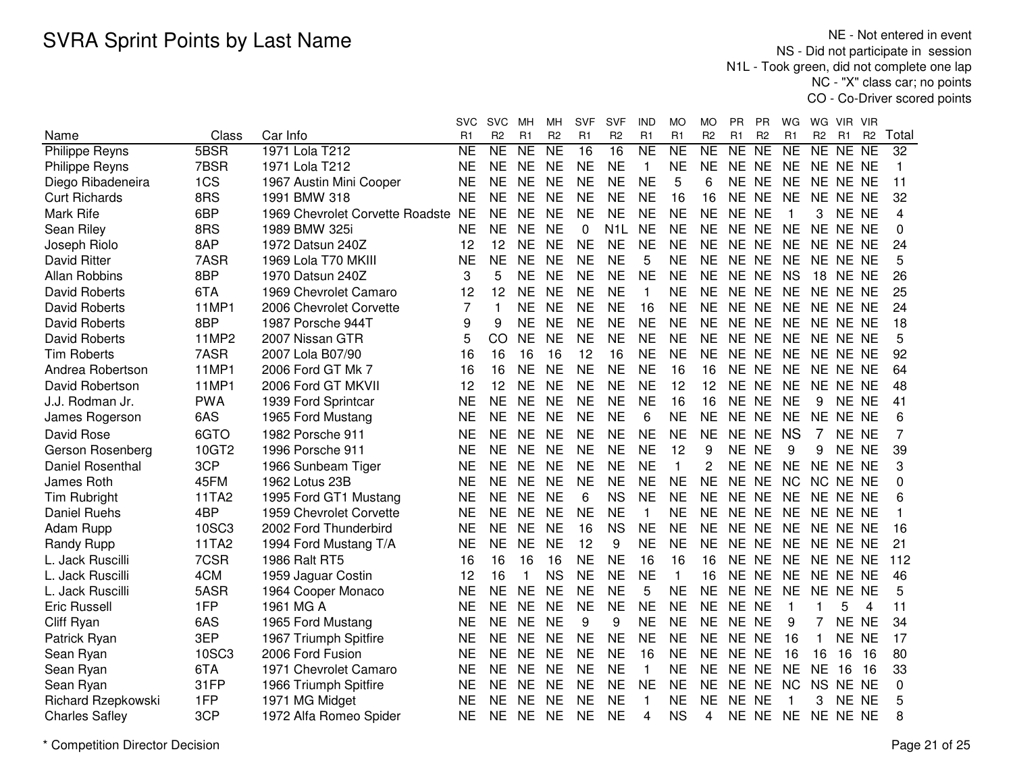NE - Not entered in event NS - Did not participate in session N1L - Took green, did not complete one lap NC - "X" class car; no pointsCO - Co-Driver scored points

|                           |            |                                 | svc       | <b>SVC</b>              | мн        | MН                     | <b>SVF</b> | <b>SVF</b>       | IND                 | MO           | MO             | PR        | PR             | WG              | WG             | VIR.            | VIR       |              |
|---------------------------|------------|---------------------------------|-----------|-------------------------|-----------|------------------------|------------|------------------|---------------------|--------------|----------------|-----------|----------------|-----------------|----------------|-----------------|-----------|--------------|
| Name                      | Class      | Car Info                        | R1        | R <sub>2</sub>          | R1        | R <sub>2</sub>         | R1         | R <sub>2</sub>   | R1                  | R1           | R <sub>2</sub> | R1        | R <sub>2</sub> | R1              | R <sub>2</sub> | R <sub>1</sub>  | <b>R2</b> | Total        |
| <b>Philippe Reyns</b>     | 5BSR       | 1971 Lola T212                  | <b>NE</b> | $\overline{\sf NE}$     | <b>NE</b> | $\overline{\text{NE}}$ | 16         | 16               | $\overline{\sf NE}$ | <b>NE</b>    | NE             | NE        | N <sub>E</sub> | $\overline{NE}$ | NE NE NE       |                 |           | 32           |
| <b>Philippe Reyns</b>     | 7BSR       | 1971 Lola T212                  | <b>NE</b> | <b>NE</b>               | <b>NE</b> | <b>NE</b>              | <b>NE</b>  | <b>NE</b>        | $\mathbf{1}$        | <b>NE</b>    | <b>NE</b>      | NE NE     |                | <b>NE</b>       | NE NE NE       |                 |           | $\mathbf{1}$ |
| Diego Ribadeneira         | 1CS        | 1967 Austin Mini Cooper         | <b>NE</b> | <b>NE</b>               | <b>NE</b> | <b>NE</b>              | <b>NE</b>  | <b>NE</b>        | <b>NE</b>           | 5            | 6              | NE NE     |                | <b>NE</b>       | NE NE NE       |                 |           | 11           |
| <b>Curt Richards</b>      | 8RS        | 1991 BMW 318                    | <b>NE</b> | <b>NE</b>               | <b>NE</b> | <b>NE</b>              | <b>NE</b>  | <b>NE</b>        | <b>NE</b>           | 16           | 16             | NE NE     |                | <b>NE</b>       | NE NE NE       |                 |           | 32           |
| Mark Rife                 | 6BP        | 1969 Chevrolet Corvette Roadste | <b>NE</b> | <b>NE</b>               | <b>NE</b> | <b>NE</b>              | <b>NE</b>  | <b>NE</b>        | <b>NE</b>           | <b>NE</b>    | <b>NE</b>      | NE NE     |                | -1              | 3              | NE NE           |           | 4            |
| Sean Riley                | 8RS        | 1989 BMW 325i                   | <b>NE</b> | <b>NE</b>               | <b>NE</b> | <b>NE</b>              | 0          | N <sub>1</sub> L | <b>NE</b>           | <b>NE</b>    | <b>NE</b>      | NE NE     |                | <b>NE</b>       | NE NE NE       |                 |           | $\Omega$     |
| Joseph Riolo              | 8AP        | 1972 Datsun 240Z                | 12        | 12                      | <b>NE</b> | <b>NE</b>              | <b>NE</b>  | <b>NE</b>        | <b>NE</b>           | <b>NE</b>    | <b>NE</b>      | NE NE     |                | <b>NE</b>       | NE NE NE       |                 |           | 24           |
| <b>David Ritter</b>       | 7ASR       | 1969 Lola T70 MKIII             | <b>NE</b> | <b>NE</b>               | <b>NE</b> | <b>NE</b>              | <b>NE</b>  | <b>NE</b>        | 5                   | <b>NE</b>    | <b>NE</b>      | NE NE     |                | <b>NE</b>       | NE NE NE       |                 |           | 5            |
| Allan Robbins             | 8BP        | 1970 Datsun 240Z                | 3         | 5                       | <b>NE</b> | <b>NE</b>              | <b>NE</b>  | <b>NE</b>        | <b>NE</b>           | <b>NE</b>    | <b>NE</b>      | NE NE     |                | <b>NS</b>       |                | <b>18 NE NE</b> |           | 26           |
| <b>David Roberts</b>      | 6TA        | 1969 Chevrolet Camaro           | 12        | 12                      | <b>NE</b> | <b>NE</b>              | <b>NE</b>  | <b>NE</b>        | $\mathbf{1}$        | <b>NE</b>    | <b>NE</b>      | NE NE     |                | <b>NE</b>       | NE NE NE       |                 |           | 25           |
| <b>David Roberts</b>      | 11MP1      | 2006 Chevrolet Corvette         | 7         | $\overline{\mathbf{1}}$ | <b>NE</b> | <b>NE</b>              | <b>NE</b>  | <b>NE</b>        | 16                  | <b>NE</b>    | <b>NE</b>      | NE NE     |                | <b>NE</b>       | NE NE NE       |                 |           | 24           |
| <b>David Roberts</b>      | 8BP        | 1987 Porsche 944T               | 9         | 9                       | <b>NE</b> | <b>NE</b>              | <b>NE</b>  | <b>NE</b>        | <b>NE</b>           | <b>NE</b>    | <b>NE</b>      | NE NE     |                | <b>NE</b>       | NE NE NE       |                 |           | 18           |
| David Roberts             | 11MP2      | 2007 Nissan GTR                 | 5         | CO                      | <b>NE</b> | <b>NE</b>              | <b>NE</b>  | <b>NE</b>        | <b>NE</b>           | <b>NE</b>    | <b>NE</b>      | NE NE     |                | <b>NE</b>       | NE NE NE       |                 |           | 5            |
| <b>Tim Roberts</b>        | 7ASR       | 2007 Lola B07/90                | 16        | 16                      | 16        | 16                     | 12         | 16               | <b>NE</b>           | <b>NE</b>    | <b>NE</b>      | NE NE     |                | <b>NE</b>       | NE NE NE       |                 |           | 92           |
| Andrea Robertson          | 11MP1      | 2006 Ford GT Mk 7               | 16        | 16                      | <b>NE</b> | <b>NE</b>              | <b>NE</b>  | <b>NE</b>        | <b>NE</b>           | 16           | 16             | NE NE     |                | <b>NE</b>       | NE NE NE       |                 |           | 64           |
| David Robertson           | 11MP1      | 2006 Ford GT MKVII              | 12        | 12                      | <b>NE</b> | <b>NE</b>              | <b>NE</b>  | <b>NE</b>        | <b>NE</b>           | 12           | 12             | NE NE     |                | <b>NE</b>       | NE NE NE       |                 |           | 48           |
| J.J. Rodman Jr.           | <b>PWA</b> | 1939 Ford Sprintcar             | <b>NE</b> | <b>NE</b>               | <b>NE</b> | <b>NE</b>              | <b>NE</b>  | <b>NE</b>        | <b>NE</b>           | 16           | 16             | NE NE     |                | <b>NE</b>       | 9              | NE NE           |           | 41           |
| James Rogerson            | 6AS        | 1965 Ford Mustang               | <b>NE</b> | <b>NE</b>               | <b>NE</b> | <b>NE</b>              | <b>NE</b>  | <b>NE</b>        | 6                   | <b>NE</b>    | <b>NE</b>      | NE NE     |                | <b>NE</b>       | NE NE NE       |                 |           | 6            |
| David Rose                | 6GTO       | 1982 Porsche 911                | <b>NE</b> | <b>NE</b>               | <b>NE</b> | <b>NE</b>              | <b>NE</b>  | <b>NE</b>        | <b>NE</b>           | <b>NE</b>    | <b>NE</b>      | NE NE     |                | <b>NS</b>       | 7              | NE NE           |           | 7            |
| Gerson Rosenberg          | 10GT2      | 1996 Porsche 911                | <b>NE</b> | <b>NE</b>               | <b>NE</b> | <b>NE</b>              | <b>NE</b>  | <b>NE</b>        | <b>NE</b>           | 12           | 9              | NE NE     |                | 9               | 9              | NE NE           |           | 39           |
| <b>Daniel Rosenthal</b>   | 3CP        | 1966 Sunbeam Tiger              | <b>NE</b> | <b>NE</b>               | <b>NE</b> | <b>NE</b>              | <b>NE</b>  | <b>NE</b>        | <b>NE</b>           | 1            | $\overline{c}$ | NE NE     |                | <b>NE</b>       | NE NE NE       |                 |           | 3            |
| James Roth                | 45FM       | 1962 Lotus 23B                  | <b>NE</b> | <b>NE</b>               | <b>NE</b> | <b>NE</b>              | <b>NE</b>  | <b>NE</b>        | <b>NE</b>           | <b>NE</b>    | <b>NE</b>      | NE NE     |                | <b>NC</b>       | NC NE NE       |                 |           | 0            |
| <b>Tim Rubright</b>       | 11TA2      | 1995 Ford GT1 Mustang           | NE        | NE                      | <b>NE</b> | <b>NE</b>              | 6          | <b>NS</b>        | <b>NE</b>           | <b>NE</b>    | <b>NE</b>      | NE NE     |                | <b>NE</b>       | NE NE NE       |                 |           | 6            |
| <b>Daniel Ruehs</b>       | 4BP        | 1959 Chevrolet Corvette         | NE        | NE                      | <b>NE</b> | <b>NE</b>              | <b>NE</b>  | <b>NE</b>        | $\mathbf{1}$        | <b>NE</b>    | <b>NE</b>      | NE NE     |                | <b>NE</b>       | NE NE NE       |                 |           |              |
| Adam Rupp                 | 10SC3      | 2002 Ford Thunderbird           | <b>NE</b> | <b>NE</b>               | <b>NE</b> | <b>NE</b>              | 16         | <b>NS</b>        | <b>NE</b>           | <b>NE</b>    | <b>NE</b>      | NE NE     |                | <b>NE</b>       | NE NE NE       |                 |           | 16           |
| <b>Randy Rupp</b>         | 11TA2      | 1994 Ford Mustang T/A           | <b>NE</b> | <b>NE</b>               | <b>NE</b> | <b>NE</b>              | 12         | 9                | <b>NE</b>           | <b>NE</b>    | <b>NE</b>      | NE NE     |                | <b>NE</b>       | NE NE NE       |                 |           | 21           |
| L. Jack Ruscilli          | 7CSR       | 1986 Ralt RT5                   | 16        | 16                      | 16        | 16                     | <b>NE</b>  | <b>NE</b>        | 16                  | 16           | 16             | <b>NE</b> | <b>NE</b>      | <b>NE</b>       | NE NE NE       |                 |           | 112          |
| L. Jack Ruscilli          | 4CM        | 1959 Jaguar Costin              | 12        | 16                      | 1         | <b>NS</b>              | <b>NE</b>  | <b>NE</b>        | <b>NE</b>           | $\mathbf{1}$ | 16             | <b>NE</b> | <b>NE</b>      | <b>NE</b>       | NE NE NE       |                 |           | 46           |
| L. Jack Ruscilli          | 5ASR       | 1964 Cooper Monaco              | <b>NE</b> | <b>NE</b>               | <b>NE</b> | <b>NE</b>              | <b>NE</b>  | <b>NE</b>        | 5                   | <b>NE</b>    | <b>NE</b>      | NE NE     |                | <b>NE</b>       | NE NE NE       |                 |           | 5            |
| <b>Eric Russell</b>       | 1FP        | 1961 MG A                       | <b>NE</b> | <b>NE</b>               | <b>NE</b> | <b>NE</b>              | <b>NE</b>  | <b>NE</b>        | <b>NE</b>           | <b>NE</b>    | <b>NE</b>      | NE NE     |                | $\overline{1}$  | 1              | 5               | 4         | 11           |
| Cliff Ryan                | 6AS        | 1965 Ford Mustang               | <b>NE</b> | <b>NE</b>               | <b>NE</b> | <b>NE</b>              | 9          | 9                | <b>NE</b>           | <b>NE</b>    | <b>NE</b>      | NE NE     |                | 9               | 7              | NE NE           |           | 34           |
| Patrick Ryan              | 3EP        | 1967 Triumph Spitfire           | <b>NE</b> | <b>NE</b>               | <b>NE</b> | <b>NE</b>              | <b>NE</b>  | <b>NE</b>        | <b>NE</b>           | <b>NE</b>    | <b>NE</b>      | NE NE     |                | 16              | 1              | <b>NE</b>       | <b>NE</b> | 17           |
| Sean Ryan                 | 10SC3      | 2006 Ford Fusion                | <b>NE</b> | <b>NE</b>               | <b>NE</b> | <b>NE</b>              | <b>NE</b>  | <b>NE</b>        | 16                  | <b>NE</b>    | <b>NE</b>      | NE NE     |                | 16              | 16             | 16              | 16        | 80           |
| Sean Ryan                 | 6TA        | 1971 Chevrolet Camaro           | <b>NE</b> | <b>NE</b>               | <b>NE</b> | <b>NE</b>              | <b>NE</b>  | <b>NE</b>        | $\mathbf{1}$        | <b>NE</b>    | <b>NE</b>      | NE NE     |                | <b>NE</b>       | <b>NE</b>      | 16              | 16        | 33           |
| Sean Ryan                 | 31FP       | 1966 Triumph Spitfire           | <b>NE</b> | <b>NE</b>               | <b>NE</b> | <b>NE</b>              | <b>NE</b>  | <b>NE</b>        | NE                  | NE           | NE.            | NE NE     |                | <b>NC</b>       | NS NE NE       |                 |           | 0            |
| <b>Richard Rzepkowski</b> | 1FP        | 1971 MG Midget                  | <b>NE</b> | <b>NE</b>               | <b>NE</b> | <b>NE</b>              | <b>NE</b>  | <b>NE</b>        | 1                   | <b>NE</b>    | <b>NE</b>      | NE NE     |                |                 | 3              | NE NE           |           | 5            |
| <b>Charles Safley</b>     | 3CP        | 1972 Alfa Romeo Spider          | <b>NE</b> | <b>NE</b>               | <b>NE</b> | <b>NE</b>              | <b>NE</b>  | ΝF               | 4                   | <b>NS</b>    | 4              | NE NE     |                | <b>NE</b>       | NE NE NE       |                 |           | 8            |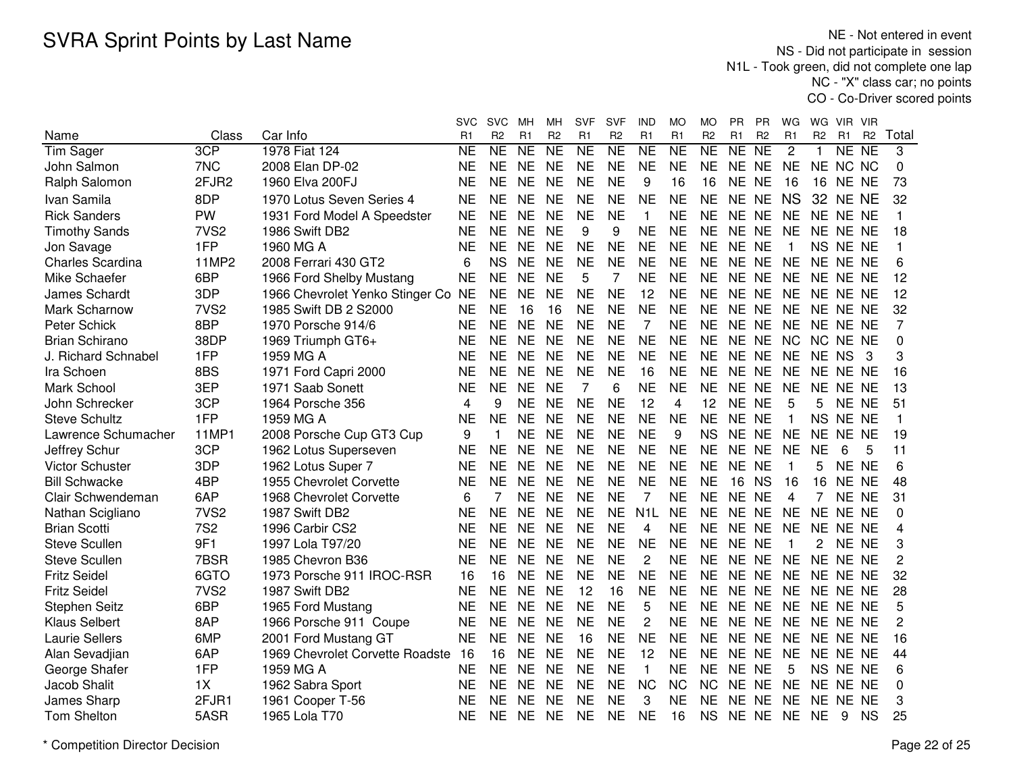NE - Not entered in event NS - Did not participate in session N1L - Took green, did not complete one lap NC - "X" class car; no pointsCO - Co-Driver scored points

|                         |                  |                                    | svc       | <b>SVC</b>     | MН        | MН             | SVF            | SVF            | IND              | MO        | МO             | PR        | РR             | WG             | WG.            | VIR.                | <b>VIR</b>     |              |
|-------------------------|------------------|------------------------------------|-----------|----------------|-----------|----------------|----------------|----------------|------------------|-----------|----------------|-----------|----------------|----------------|----------------|---------------------|----------------|--------------|
| Name                    | Class            | Car Info                           | R1        | R <sub>2</sub> | R1        | R <sub>2</sub> | R <sub>1</sub> | R <sub>2</sub> | R1               | R1        | R <sub>2</sub> | R1        | R <sub>2</sub> | R <sub>1</sub> | R <sub>2</sub> | R <sub>1</sub>      | R <sub>2</sub> | Total        |
| <b>Tim Sager</b>        | 3CP              | 1978 Fiat 124                      | <b>NE</b> | NE             | <b>NE</b> | NE             | <b>NE</b>      | NE             | <b>NE</b>        | <b>NE</b> | NE             | NE        | $N_{E}$        | $\overline{c}$ | $\mathbf{1}$   | $\overline{\sf NE}$ | NE             | 3            |
| John Salmon             | 7NC              | 2008 Elan DP-02                    | <b>NE</b> | <b>NE</b>      | <b>NE</b> | <b>NE</b>      | <b>NE</b>      | <b>NE</b>      | <b>NE</b>        | <b>NE</b> | <b>NE</b>      | NE NE     |                | <b>NE</b>      | NE NC NC       |                     |                | 0            |
| Ralph Salomon           | 2FJR2            | 1960 Elva 200FJ                    | <b>NE</b> | <b>NE</b>      | <b>NE</b> | <b>NE</b>      | <b>NE</b>      | <b>NE</b>      | 9                | 16        | 16             | NE NE     |                | 16             | 16             |                     | NE NE          | 73           |
| Ivan Samila             | 8DP              | 1970 Lotus Seven Series 4          | <b>NE</b> | <b>NE</b>      | <b>NE</b> | <b>NE</b>      | <b>NE</b>      | <b>NE</b>      | <b>NE</b>        | <b>NE</b> | <b>NE</b>      | NE NE     |                | <b>NS</b>      | 32             |                     | NE NE          | 32           |
| <b>Rick Sanders</b>     | PW               | 1931 Ford Model A Speedster        | <b>NE</b> | <b>NE</b>      | <b>NE</b> | <b>NE</b>      | <b>NE</b>      | <b>NE</b>      | $\mathbf{1}$     | <b>NE</b> | <b>NE</b>      | NE NE     |                | <b>NE</b>      | NE NE NE       |                     |                | $\mathbf{1}$ |
| <b>Timothy Sands</b>    | 7VS <sub>2</sub> | 1986 Swift DB2                     | <b>NE</b> | <b>NE</b>      | <b>NE</b> | <b>NE</b>      | 9              | 9              | <b>NE</b>        | <b>NE</b> | <b>NE</b>      | NE NE     |                | <b>NE</b>      | NE NE NE       |                     |                | 18           |
| Jon Savage              | 1FP              | 1960 MG A                          | <b>NE</b> | <b>NE</b>      | <b>NE</b> | <b>NE</b>      | <b>NE</b>      | <b>NE</b>      | <b>NE</b>        | <b>NE</b> | <b>NE</b>      | NE NE     |                | $\mathbf{1}$   |                | NS NE NE            |                | 1            |
| <b>Charles Scardina</b> | 11MP2            | 2008 Ferrari 430 GT2               | 6         | <b>NS</b>      | <b>NE</b> | <b>NE</b>      | <b>NE</b>      | <b>NE</b>      | <b>NE</b>        | <b>NE</b> | <b>NE</b>      | NE NE     |                | <b>NE</b>      | NE NE NE       |                     |                | 6            |
| Mike Schaefer           | 6BP              | 1966 Ford Shelby Mustang           | <b>NE</b> | <b>NE</b>      | <b>NE</b> | <b>NE</b>      | 5              | $\overline{7}$ | <b>NE</b>        | <b>NE</b> | <b>NE</b>      | NE NE     |                | <b>NE</b>      | NE NE NE       |                     |                | 12           |
| James Schardt           | 3DP              | 1966 Chevrolet Yenko Stinger Co NE |           | <b>NE</b>      | <b>NE</b> | <b>NE</b>      | <b>NE</b>      | <b>NE</b>      | 12               | <b>NE</b> | <b>NE</b>      | NE NE     |                | <b>NE</b>      | NE NE NE       |                     |                | 12           |
| Mark Scharnow           | 7VS <sub>2</sub> | 1985 Swift DB 2 S2000              | <b>NE</b> | <b>NE</b>      | 16        | 16             | <b>NE</b>      | <b>NE</b>      | <b>NE</b>        | NE        | <b>NE</b>      | NE NE     |                | <b>NE</b>      | NE NE NE       |                     |                | 32           |
| Peter Schick            | 8BP              | 1970 Porsche 914/6                 | <b>NE</b> | <b>NE</b>      | <b>NE</b> | <b>NE</b>      | <b>NE</b>      | <b>NE</b>      | $\overline{7}$   | <b>NE</b> | <b>NE</b>      | NE NE     |                | <b>NE</b>      | NE NE NE       |                     |                | 7            |
| <b>Brian Schirano</b>   | 38DP             | 1969 Triumph GT6+                  | <b>NE</b> | <b>NE</b>      | <b>NE</b> | <b>NE</b>      | <b>NE</b>      | <b>NE</b>      | <b>NE</b>        | <b>NE</b> | <b>NE</b>      | NE NE     |                | <b>NC</b>      | NC NE NE       |                     |                | 0            |
| J. Richard Schnabel     | 1FP              | 1959 MG A                          | <b>NE</b> | <b>NE</b>      | <b>NE</b> | <b>NE</b>      | <b>NE</b>      | <b>NE</b>      | <b>NE</b>        | <b>NE</b> | <b>NE</b>      | NE NE     |                | <b>NE</b>      | NE NS          |                     | 3              | 3            |
| Ira Schoen              | 8BS              | 1971 Ford Capri 2000               | <b>NE</b> | <b>NE</b>      | <b>NE</b> | <b>NE</b>      | <b>NE</b>      | <b>NE</b>      | 16               | <b>NE</b> | <b>NE</b>      | NE NE     |                | <b>NE</b>      | NE NE NE       |                     |                | 16           |
| Mark School             | 3EP              | 1971 Saab Sonett                   | <b>NE</b> | <b>NE</b>      | <b>NE</b> | <b>NE</b>      | 7              | 6              | <b>NE</b>        | <b>NE</b> | <b>NE</b>      | NE NE     |                | <b>NE</b>      | <b>NE</b>      | NE NE               |                | 13           |
| John Schrecker          | 3CP              | 1964 Porsche 356                   | 4         | 9              | <b>NE</b> | <b>NE</b>      | <b>NE</b>      | <b>NE</b>      | 12               | 4         | 12             | NE NE     |                | 5              | 5              |                     | NE NE          | 51           |
| <b>Steve Schultz</b>    | 1FP              | 1959 MG A                          | <b>NE</b> | <b>NE</b>      | <b>NE</b> | <b>NE</b>      | <b>NE</b>      | <b>NE</b>      | <b>NE</b>        | <b>NE</b> | <b>NE</b>      | NE NE     |                | $\mathbf 1$    | <b>NS</b>      | NE NE               |                | 1            |
| Lawrence Schumacher     | 11MP1            | 2008 Porsche Cup GT3 Cup           | 9         | 1              | <b>NE</b> | <b>NE</b>      | <b>NE</b>      | <b>NE</b>      | <b>NE</b>        | 9         | <b>NS</b>      | NE NE     |                | <b>NE</b>      | <b>NE</b>      | NE NE               |                | 19           |
| Jeffrey Schur           | 3CP              | 1962 Lotus Superseven              | <b>NE</b> | <b>NE</b>      | <b>NE</b> | <b>NE</b>      | <b>NE</b>      | <b>NE</b>      | <b>NE</b>        | <b>NE</b> | <b>NE</b>      | NE NE     |                | <b>NE</b>      | <b>NE</b>      | 6                   | 5              | 11           |
| <b>Victor Schuster</b>  | 3DP              | 1962 Lotus Super 7                 | <b>NE</b> | <b>NE</b>      | <b>NE</b> | <b>NE</b>      | <b>NE</b>      | <b>NE</b>      | <b>NE</b>        | <b>NE</b> | <b>NE</b>      | NE NE     |                | $\overline{1}$ | 5              |                     | NE NE          | 6            |
| <b>Bill Schwacke</b>    | 4BP              | 1955 Chevrolet Corvette            | <b>NE</b> | <b>NE</b>      | <b>NE</b> | <b>NE</b>      | <b>NE</b>      | <b>NE</b>      | <b>NE</b>        | <b>NE</b> | <b>NE</b>      | 16        | <b>NS</b>      | 16             | 16             |                     | NE NE          | 48           |
| Clair Schwendeman       | 6AP              | 1968 Chevrolet Corvette            | 6         | 7              | <b>NE</b> | <b>NE</b>      | <b>NE</b>      | <b>NE</b>      | 7                | <b>NE</b> | <b>NE</b>      | NE NE     |                | 4              | 7              |                     | NE NE          | 31           |
| Nathan Scigliano        | 7VS <sub>2</sub> | 1987 Swift DB2                     | <b>NE</b> | <b>NE</b>      | <b>NE</b> | <b>NE</b>      | <b>NE</b>      | <b>NE</b>      | N <sub>1</sub> L | <b>NE</b> | <b>NE</b>      | NE NE     |                | <b>NE</b>      | NE NE NE       |                     |                | 0            |
| <b>Brian Scotti</b>     | <b>7S2</b>       | 1996 Carbir CS2                    | NE        | <b>NE</b>      | <b>NE</b> | <b>NE</b>      | <b>NE</b>      | <b>NE</b>      | 4                | <b>NE</b> | <b>NE</b>      | NE NE     |                | <b>NE</b>      | NE NE NE       |                     |                | 4            |
| <b>Steve Scullen</b>    | 9F1              | 1997 Lola T97/20                   | NE        | <b>NE</b>      | <b>NE</b> | <b>NE</b>      | <b>NE</b>      | <b>NE</b>      | <b>NE</b>        | <b>NE</b> | <b>NE</b>      | NE NE     |                | -1             | $\overline{2}$ | NE NE               |                | 3            |
| <b>Steve Scullen</b>    | 7BSR             | 1985 Chevron B36                   | <b>NE</b> | <b>NE</b>      | <b>NE</b> | <b>NE</b>      | <b>NE</b>      | <b>NE</b>      | $\overline{c}$   | <b>NE</b> | <b>NE</b>      | NE NE     |                | <b>NE</b>      | NE NE NE       |                     |                | 2            |
| <b>Fritz Seidel</b>     | 6GTO             | 1973 Porsche 911 IROC-RSR          | 16        | 16             | <b>NE</b> | <b>NE</b>      | <b>NE</b>      | <b>NE</b>      | <b>NE</b>        | <b>NE</b> | <b>NE</b>      | NE NE     |                | <b>NE</b>      | NE NE NE       |                     |                | 32           |
| <b>Fritz Seidel</b>     | 7VS <sub>2</sub> | 1987 Swift DB2                     | <b>NE</b> | <b>NE</b>      | <b>NE</b> | <b>NE</b>      | 12             | 16             | <b>NE</b>        | <b>NE</b> | <b>NE</b>      | NE NE     |                | <b>NE</b>      | NE NE          |                     | <b>NE</b>      | 28           |
| <b>Stephen Seitz</b>    | 6BP              | 1965 Ford Mustang                  | <b>NE</b> | <b>NE</b>      | <b>NE</b> | <b>NE</b>      | <b>NE</b>      | <b>NE</b>      | 5                | <b>NE</b> | <b>NE</b>      | NE NE     |                | <b>NE</b>      | NE NE NE       |                     |                | 5            |
| <b>Klaus Selbert</b>    | 8AP              | 1966 Porsche 911 Coupe             | <b>NE</b> | <b>NE</b>      | <b>NE</b> | <b>NE</b>      | <b>NE</b>      | <b>NE</b>      | $\overline{c}$   | <b>NE</b> | <b>NE</b>      | NE NE     |                | <b>NE</b>      | NE NE NE       |                     |                | 2            |
| <b>Laurie Sellers</b>   | 6MP              | 2001 Ford Mustang GT               | <b>NE</b> | <b>NE</b>      | <b>NE</b> | <b>NE</b>      | 16             | <b>NE</b>      | <b>NE</b>        | <b>NE</b> | <b>NE</b>      | NE NE     |                | <b>NE</b>      | NE NE NE       |                     |                | 16           |
| Alan Sevadjian          | 6AP              | 1969 Chevrolet Corvette Roadste    | 16        | 16             | <b>NE</b> | <b>NE</b>      | <b>NE</b>      | <b>NE</b>      | 12               | <b>NE</b> | <b>NE</b>      | NE NE     |                | <b>NE</b>      | NE NE NE       |                     |                | 44           |
| George Shafer           | 1FP              | 1959 MG A                          | <b>NE</b> | <b>NE</b>      | <b>NE</b> | <b>NE</b>      | <b>NE</b>      | <b>NE</b>      | $\mathbf{1}$     | <b>NE</b> | <b>NE</b>      | NE NE     |                | 5              | NS NE NE       |                     |                | 6            |
| Jacob Shalit            | 1X               | 1962 Sabra Sport                   | <b>NE</b> | <b>NE</b>      | <b>NE</b> | <b>NE</b>      | <b>NE</b>      | <b>NE</b>      | <b>NC</b>        | <b>NC</b> | <b>NC</b>      | NE NE     |                | <b>NE</b>      | NE NE NE       |                     |                | 0            |
| James Sharp             | 2FJR1            | 1961 Cooper T-56                   | <b>NE</b> | <b>NE</b>      | <b>NE</b> | <b>NE</b>      | <b>NE</b>      | <b>NE</b>      | 3                | <b>NE</b> | <b>NE</b>      | <b>NE</b> | <b>NE</b>      | <b>NE</b>      | <b>NE</b>      | <b>NE</b>           | <b>NE</b>      | 3            |
| <b>Tom Shelton</b>      | 5ASR             | 1965 Lola T70                      | <b>NE</b> | <b>NE</b>      | <b>NE</b> | <b>NE</b>      | <b>NE</b>      | <b>NE</b>      | <b>NE</b>        | 16        | <b>NS</b>      | NE NE     |                | <b>NE</b>      | <b>NE</b>      | 9                   | <b>NS</b>      | 25           |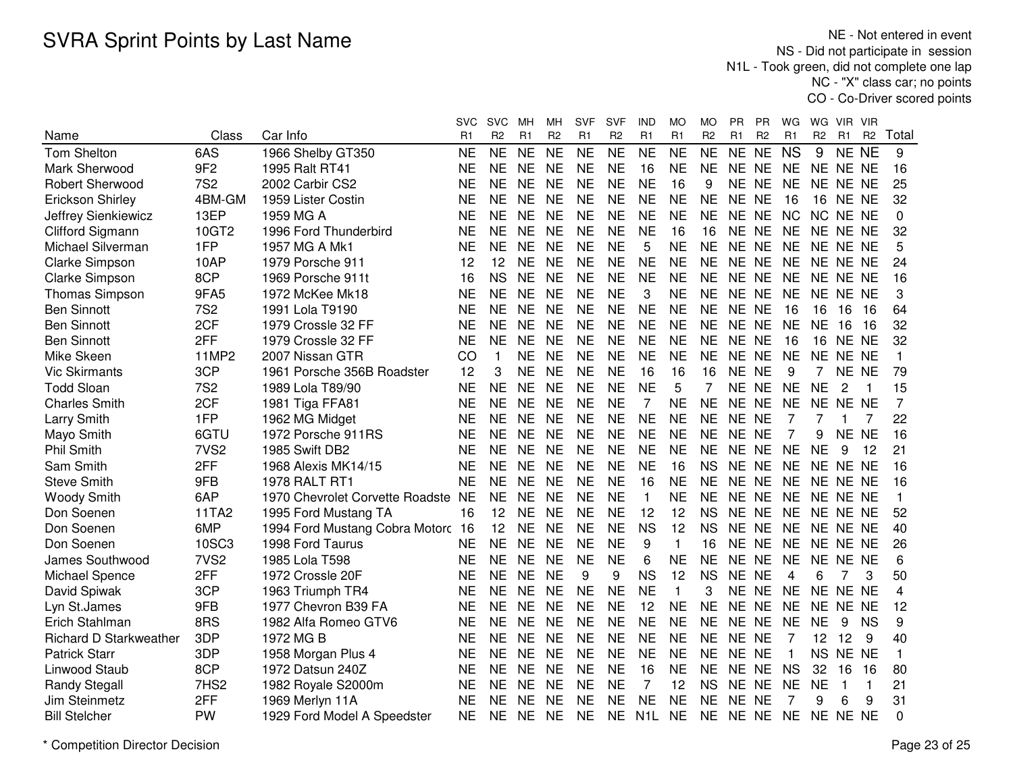NE - Not entered in event NS - Did not participate in session N1L - Took green, did not complete one lap NC - "X" class car; no pointsCO - Co-Driver scored points

|                               |                  |                                 | svc       | <b>SVC</b>     | Mн        | MН             | <b>SVF</b>     | SVF            | IND              | MO             | MO             | <b>PR</b> | PR.            | WG             | WG.            | VIR.            | <b>VIR</b>     |          |
|-------------------------------|------------------|---------------------------------|-----------|----------------|-----------|----------------|----------------|----------------|------------------|----------------|----------------|-----------|----------------|----------------|----------------|-----------------|----------------|----------|
| Name                          | Class            | Car Info                        | R1        | R <sub>2</sub> | R1        | R <sub>2</sub> | R <sub>1</sub> | R <sub>2</sub> | R1               | R <sub>1</sub> | R <sub>2</sub> | R1        | R <sub>2</sub> | R1             | R <sub>2</sub> | R <sub>1</sub>  | R <sub>2</sub> | Total    |
| Tom Shelton                   | 6AS              | 1966 Shelby GT350               | <b>NE</b> | <b>NE</b>      | <b>NE</b> | <b>NE</b>      | <b>NE</b>      | <b>NE</b>      | <b>NE</b>        | <b>NE</b>      | <b>NE</b>      | <b>NE</b> | <b>NE</b>      | <b>NS</b>      | 9              | NE NE           |                | 9        |
| Mark Sherwood                 | 9F <sub>2</sub>  | 1995 Ralt RT41                  | <b>NE</b> | <b>NE</b>      | <b>NE</b> | <b>NE</b>      | <b>NE</b>      | <b>NE</b>      | 16               | <b>NE</b>      | <b>NE</b>      | <b>NE</b> | <b>NE</b>      | <b>NE</b>      | NE NE NE       |                 |                | 16       |
| <b>Robert Sherwood</b>        | <b>7S2</b>       | 2002 Carbir CS2                 | <b>NE</b> | <b>NE</b>      | <b>NE</b> | <b>NE</b>      | <b>NE</b>      | <b>NE</b>      | <b>NE</b>        | 16             | 9              | <b>NE</b> | <b>NE</b>      | <b>NE</b>      | NE NE NE       |                 |                | 25       |
| Erickson Shirley              | 4BM-GM           | 1959 Lister Costin              | <b>NE</b> | <b>NE</b>      | <b>NE</b> | <b>NE</b>      | <b>NE</b>      | <b>NE</b>      | <b>NE</b>        | <b>NE</b>      | <b>NE</b>      | NE NE     |                | 16             |                | <b>16 NE NE</b> |                | 32       |
| Jeffrey Sienkiewicz           | 13EP             | 1959 MG A                       | <b>NE</b> | <b>NE</b>      | <b>NE</b> | <b>NE</b>      | <b>NE</b>      | <b>NE</b>      | <b>NE</b>        | <b>NE</b>      | <b>NE</b>      | <b>NE</b> | <b>NE</b>      | <b>NC</b>      | NC.            | NE NE           |                | $\Omega$ |
| Clifford Sigmann              | 10GT2            | 1996 Ford Thunderbird           | <b>NE</b> | <b>NE</b>      | <b>NE</b> | <b>NE</b>      | <b>NE</b>      | <b>NE</b>      | <b>NE</b>        | 16             | 16             | <b>NE</b> | <b>NE</b>      | <b>NE</b>      | NE.            | NE NE           |                | 32       |
| Michael Silverman             | 1FP              | 1957 MG A Mk1                   | <b>NE</b> | <b>NE</b>      | <b>NE</b> | <b>NE</b>      | <b>NE</b>      | <b>NE</b>      | 5                | <b>NE</b>      | <b>NE</b>      | NE NE     |                | <b>NE</b>      | NE NE NE       |                 |                | 5        |
| <b>Clarke Simpson</b>         | 10AP             | 1979 Porsche 911                | 12        | 12             | <b>NE</b> | <b>NE</b>      | <b>NE</b>      | <b>NE</b>      | <b>NE</b>        | <b>NE</b>      | <b>NE</b>      | <b>NE</b> | <b>NE</b>      | <b>NE</b>      |                | NE NE NE        |                | 24       |
| Clarke Simpson                | 8CP              | 1969 Porsche 911t               | 16        | <b>NS</b>      | <b>NE</b> | <b>NE</b>      | <b>NE</b>      | <b>NE</b>      | <b>NE</b>        | <b>NE</b>      | <b>NE</b>      | NE NE     |                | <b>NE</b>      |                | NE NE NE        |                | 16       |
| Thomas Simpson                | 9FA5             | 1972 McKee Mk18                 | <b>NE</b> | <b>NE</b>      | <b>NE</b> | <b>NE</b>      | <b>NE</b>      | <b>NE</b>      | 3                | <b>NE</b>      | <b>NE</b>      | NE NE     |                | <b>NE</b>      |                | NE NE NE        |                | 3        |
| <b>Ben Sinnott</b>            | <b>7S2</b>       | 1991 Lola T9190                 | <b>NE</b> | <b>NE</b>      | <b>NE</b> | <b>NE</b>      | <b>NE</b>      | <b>NE</b>      | <b>NE</b>        | <b>NE</b>      | <b>NE</b>      | NE NE     |                | 16             | 16             | 16              | 16             | 64       |
| <b>Ben Sinnott</b>            | 2CF              | 1979 Crossle 32 FF              | <b>NE</b> | <b>NE</b>      | <b>NE</b> | <b>NE</b>      | <b>NE</b>      | <b>NE</b>      | <b>NE</b>        | <b>NE</b>      | <b>NE</b>      | NE NE     |                | <b>NE</b>      | <b>NE</b>      | 16              | 16             | 32       |
| <b>Ben Sinnott</b>            | 2FF              | 1979 Crossle 32 FF              | <b>NE</b> | <b>NE</b>      | <b>NE</b> | <b>NE</b>      | <b>NE</b>      | <b>NE</b>      | <b>NE</b>        | <b>NE</b>      | <b>NE</b>      | NE NE     |                | 16             |                | <b>16 NE NE</b> |                | 32       |
| Mike Skeen                    | <b>11MP2</b>     | 2007 Nissan GTR                 | CO        |                | <b>NE</b> | <b>NE</b>      | <b>NE</b>      | <b>NE</b>      | <b>NE</b>        | <b>NE</b>      | <b>NE</b>      | NE NE     |                | <b>NE</b>      | NE.            | NE NE           |                | 1        |
| <b>Vic Skirmants</b>          | 3CP              | 1961 Porsche 356B Roadster      | 12        | 3              | <b>NE</b> | <b>NE</b>      | <b>NE</b>      | <b>NE</b>      | 16               | 16             | 16             | <b>NE</b> | <b>NE</b>      | 9              | $\overline{7}$ | NE NE           |                | 79       |
| <b>Todd Sloan</b>             | <b>7S2</b>       | 1989 Lola T89/90                | <b>NE</b> | <b>NE</b>      | <b>NE</b> | <b>NE</b>      | <b>NE</b>      | <b>NE</b>      | <b>NE</b>        | 5              |                | NE NE     |                | <b>NE</b>      | <b>NE</b>      | 2               | -1             | 15       |
| <b>Charles Smith</b>          | 2CF              | 1981 Tiga FFA81                 | <b>NE</b> | <b>NE</b>      | <b>NE</b> | <b>NE</b>      | <b>NE</b>      | <b>NE</b>      | 7                | <b>NE</b>      | <b>NE</b>      | NE NE     |                | <b>NE</b>      | NE NE NE       |                 |                | 7        |
| <b>Larry Smith</b>            | 1FP              | 1962 MG Midget                  | <b>NE</b> | <b>NE</b>      | <b>NE</b> | <b>NE</b>      | <b>NE</b>      | <b>NE</b>      | <b>NE</b>        | <b>NE</b>      | <b>NE</b>      | NE NE     |                | 7              | 7              |                 | 7              | 22       |
| Mayo Smith                    | 6GTU             | 1972 Porsche 911RS              | <b>NE</b> | <b>NE</b>      | <b>NE</b> | <b>NE</b>      | <b>NE</b>      | <b>NE</b>      | <b>NE</b>        | <b>NE</b>      | <b>NE</b>      | <b>NE</b> | <b>NE</b>      | 7              | 9              | ΝF              | <b>NE</b>      | 16       |
| <b>Phil Smith</b>             | 7VS <sub>2</sub> | 1985 Swift DB2                  | <b>NE</b> | <b>NE</b>      | <b>NE</b> | <b>NE</b>      | <b>NE</b>      | <b>NE</b>      | <b>NE</b>        | <b>NE</b>      | <b>NE</b>      | NE NE     |                | <b>NE</b>      | <b>NE</b>      | 9               | 12             | 21       |
| Sam Smith                     | 2FF              | 1968 Alexis MK14/15             | <b>NE</b> | <b>NE</b>      | <b>NE</b> | <b>NE</b>      | <b>NE</b>      | <b>NE</b>      | <b>NE</b>        | 16             | <b>NS</b>      | NE NE     |                | <b>NE</b>      | <b>NE</b>      | NE NE           |                | 16       |
| <b>Steve Smith</b>            | 9FB              | <b>1978 RALT RT1</b>            | <b>NE</b> | <b>NE</b>      | <b>NE</b> | <b>NE</b>      | <b>NE</b>      | <b>NE</b>      | 16               | <b>NE</b>      | <b>NE</b>      | NE NE     |                | <b>NE</b>      |                | NE NE NE        |                | 16       |
| <b>Woody Smith</b>            | 6AP              | 1970 Chevrolet Corvette Roadste | <b>NE</b> | <b>NE</b>      | <b>NE</b> | <b>NE</b>      | <b>NE</b>      | <b>NE</b>      | $\mathbf{1}$     | <b>NE</b>      | <b>NE</b>      | NE NE     |                | <b>NE</b>      |                | NE NE NE        |                | 1        |
| Don Soenen                    | 11TA2            | 1995 Ford Mustang TA            | 16        | 12             | <b>NE</b> | <b>NE</b>      | <b>NE</b>      | <b>NE</b>      | 12               | 12             | <b>NS</b>      | NE NE     |                | <b>NE</b>      | NE NE NE       |                 |                | 52       |
| Don Soenen                    | 6MP              | 1994 Ford Mustang Cobra Motorc  | 16        | 12             | <b>NE</b> | <b>NE</b>      | <b>NE</b>      | <b>NE</b>      | <b>NS</b>        | 12             | <b>NS</b>      | NE NE     |                | <b>NE</b>      | NE NE NE       |                 |                | 40       |
| Don Soenen                    | 10SC3            | 1998 Ford Taurus                | NE        | <b>NE</b>      | <b>NE</b> | <b>NE</b>      | <b>NE</b>      | <b>NE</b>      | 9                | $\mathbf{1}$   | 16             | NE NE     |                | <b>NE</b>      |                | NE NE NE        |                | 26       |
| James Southwood               | 7VS <sub>2</sub> | 1985 Lola T598                  | <b>NE</b> | <b>NE</b>      | <b>NE</b> | <b>NE</b>      | <b>NE</b>      | <b>NE</b>      | 6                | <b>NE</b>      | <b>NE</b>      | NE NE     |                | <b>NE</b>      | NE.            | NE NE           |                | 6        |
| Michael Spence                | 2FF              | 1972 Crossle 20F                | <b>NE</b> | <b>NE</b>      | <b>NE</b> | <b>NE</b>      | 9              | 9              | <b>NS</b>        | 12             | <b>NS</b>      | <b>NE</b> | <b>NE</b>      | $\overline{4}$ | 6              |                 | 3              | 50       |
| David Spiwak                  | 3CP              | 1963 Triumph TR4                | <b>NE</b> | <b>NE</b>      | <b>NE</b> | <b>NE</b>      | <b>NE</b>      | <b>NE</b>      | <b>NE</b>        | $\mathbf{1}$   | 3              | <b>NE</b> | <b>NE</b>      | <b>NE</b>      | <b>NE</b>      | NE NE           |                | 4        |
| Lyn St.James                  | 9FB              | 1977 Chevron B39 FA             | <b>NE</b> | <b>NE</b>      | <b>NE</b> | <b>NE</b>      | <b>NE</b>      | <b>NE</b>      | 12               | <b>NE</b>      | <b>NE</b>      | <b>NE</b> | <b>NE</b>      | <b>NE</b>      | NE             | NE NE           |                | 12       |
| Erich Stahlman                | 8RS              | 1982 Alfa Romeo GTV6            | <b>NE</b> | <b>NE</b>      | <b>NE</b> | <b>NE</b>      | <b>NE</b>      | <b>NE</b>      | <b>NE</b>        | <b>NE</b>      | <b>NE</b>      | NE NE     |                | <b>NE</b>      | <b>NE</b>      | 9               | <b>NS</b>      | 9        |
| <b>Richard D Starkweather</b> | 3DP              | 1972 MG B                       | <b>NE</b> | <b>NE</b>      | <b>NE</b> | <b>NE</b>      | <b>NE</b>      | <b>NE</b>      | <b>NE</b>        | <b>NE</b>      | <b>NE</b>      | NE NE     |                | 7              | 12             | 12              | 9              | 40       |
| <b>Patrick Starr</b>          | 3DP              | 1958 Morgan Plus 4              | <b>NE</b> | <b>NE</b>      | <b>NE</b> | <b>NE</b>      | <b>NE</b>      | <b>NE</b>      | <b>NE</b>        | <b>NE</b>      | <b>NE</b>      | NE NE     |                | $\overline{1}$ | <b>NS</b>      | NE NE           |                | 1        |
| Linwood Staub                 | 8CP              | 1972 Datsun 240Z                | <b>NE</b> | <b>NE</b>      | <b>NE</b> | <b>NE</b>      | <b>NE</b>      | <b>NE</b>      | 16               | <b>NE</b>      | <b>NE</b>      | NE NE     |                | <b>NS</b>      | 32             | 16              | 16             | 80       |
| <b>Randy Stegall</b>          | 7HS <sub>2</sub> | 1982 Royale S2000m              | <b>NE</b> | <b>NE</b>      | <b>NE</b> | <b>NE</b>      | <b>NE</b>      | <b>NE</b>      | 7                | 12             | <b>NS</b>      | NE NE     |                | <b>NE</b>      | <b>NE</b>      | $\mathbf{1}$    | $\mathbf{1}$   | 21       |
| Jim Steinmetz                 | 2FF              | 1969 Merlyn 11A                 | <b>NE</b> | <b>NE</b>      | <b>NE</b> | <b>NE</b>      | <b>NE</b>      | <b>NE</b>      | <b>NE</b>        | <b>NE</b>      | <b>NE</b>      | <b>NE</b> | <b>NE</b>      | 7              | 9              | 6               | 9              | 31       |
| <b>Bill Stelcher</b>          | <b>PW</b>        | 1929 Ford Model A Speedster     | <b>NE</b> | <b>NE</b>      | NE.       | <b>NE</b>      | <b>NE</b>      | <b>NE</b>      | N <sub>1</sub> L | <b>NE</b>      | <b>NE</b>      | NE NE     |                | <b>NE</b>      | NE NE NE       |                 |                | 0        |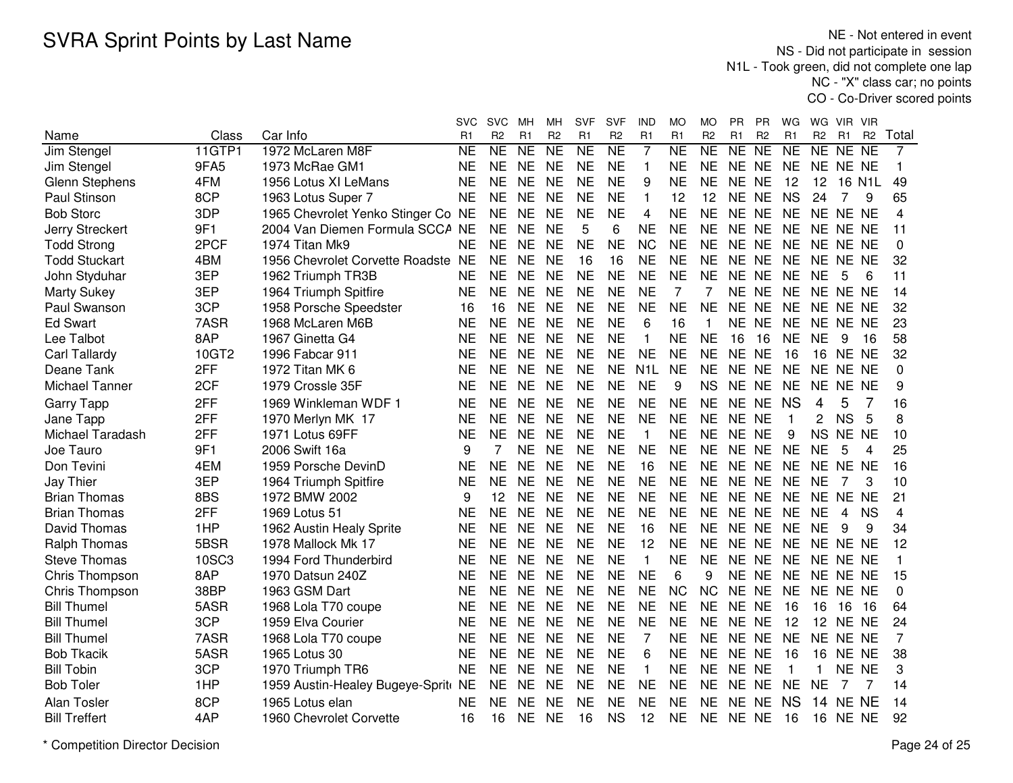NE - Not entered in event NS - Did not participate in session N1L - Took green, did not complete one lap NC - "X" class car; no pointsCO - Co-Driver scored points

|                       |               |                                    | <b>SVC</b> | <b>SVC</b>     | MН                  | MН                  | SVF             | <b>SVF</b>      | IND              | МO                  | МO                  | <b>PR</b> | <b>PR</b>       | WG           | WG             | VIR            | - VIR          |                |
|-----------------------|---------------|------------------------------------|------------|----------------|---------------------|---------------------|-----------------|-----------------|------------------|---------------------|---------------------|-----------|-----------------|--------------|----------------|----------------|----------------|----------------|
| Name                  | Class         | Car Info                           | R1         | R <sub>2</sub> | R1                  | R <sub>2</sub>      | R1              | R <sub>2</sub>  | R1               | R1                  | R <sub>2</sub>      | R1        | R <sub>2</sub>  | R1           | R <sub>2</sub> | R <sub>1</sub> | R <sub>2</sub> | Total          |
| Jim Stengel           | <b>11GTP1</b> | 1972 McLaren M8F                   | <b>NE</b>  | <b>NE</b>      | $\overline{\sf NE}$ | $\overline{\sf NE}$ | $\overline{NE}$ | $\overline{NE}$ | $\overline{7}$   | $\overline{\sf NE}$ | $\overline{\sf NE}$ | <b>NE</b> | $\overline{NE}$ | NE           | NE             | NE.            | <b>NE</b>      | $\overline{7}$ |
| Jim Stengel           | 9FA5          | 1973 McRae GM1                     | <b>NE</b>  | <b>NE</b>      | <b>NE</b>           | <b>NE</b>           | <b>NE</b>       | <b>NE</b>       | 1                | <b>NE</b>           | <b>NE</b>           | NE NE     |                 | <b>NE</b>    |                | NE NE NE       |                | 1              |
| <b>Glenn Stephens</b> | 4FM           | 1956 Lotus XI LeMans               | <b>NE</b>  | <b>NE</b>      | <b>NE</b>           | <b>NE</b>           | <b>NE</b>       | <b>NE</b>       | 9                | <b>NE</b>           | <b>NE</b>           | NE NE     |                 | 12           | 12             | 16 N1L         |                | 49             |
| Paul Stinson          | 8CP           | 1963 Lotus Super 7                 | <b>NE</b>  | <b>NE</b>      | <b>NE</b>           | <b>NE</b>           | <b>NE</b>       | <b>NE</b>       | 1                | 12                  | 12                  | NE NE     |                 | <b>NS</b>    | 24             | 7              | 9              | 65             |
| <b>Bob Storc</b>      | 3DP           | 1965 Chevrolet Yenko Stinger Co NE |            | <b>NE</b>      | <b>NE</b>           | <b>NE</b>           | <b>NE</b>       | <b>NE</b>       | 4                | <b>NE</b>           | <b>NE</b>           | NE NE     |                 | <b>NE</b>    |                | NE NE NE       |                | 4              |
| Jerry Streckert       | 9F1           | 2004 Van Diemen Formula SCCA NE    |            | <b>NE</b>      | <b>NE</b>           | <b>NE</b>           | 5               | 6               | <b>NE</b>        | <b>NE</b>           | <b>NE</b>           | NE NE     |                 | NE.          |                | NE NE NE       |                | 11             |
| <b>Todd Strong</b>    | 2PCF          | 1974 Titan Mk9                     | <b>NE</b>  | <b>NE</b>      | <b>NE</b>           | <b>NE</b>           | <b>NE</b>       | <b>NE</b>       | <b>NC</b>        | <b>NE</b>           | <b>NE</b>           | NE NE     |                 | <b>NE</b>    |                | NE NE NE       |                | 0              |
| <b>Todd Stuckart</b>  | 4BM           | 1956 Chevrolet Corvette Roadste NE |            | <b>NE</b>      | <b>NE</b>           | <b>NE</b>           | 16              | 16              | <b>NE</b>        | <b>NE</b>           | <b>NE</b>           | NE NE     |                 | <b>NE</b>    |                | NE NE NE       |                | 32             |
| John Styduhar         | 3EP           | 1962 Triumph TR3B                  | <b>NE</b>  | <b>NE</b>      | <b>NE</b>           | <b>NE</b>           | <b>NE</b>       | <b>NE</b>       | <b>NE</b>        | <b>NE</b>           | <b>NE</b>           | NE NE     |                 | <b>NE</b>    | <b>NE</b>      | 5              | 6              | 11             |
| <b>Marty Sukey</b>    | 3EP           | 1964 Triumph Spitfire              | <b>NE</b>  | <b>NE</b>      | <b>NE</b>           | <b>NE</b>           | <b>NE</b>       | <b>NE</b>       | <b>NE</b>        | 7                   | 7                   | <b>NE</b> | <b>NE</b>       | <b>NE</b>    | <b>NE</b>      | NE NE          |                | 14             |
| Paul Swanson          | 3CP           | 1958 Porsche Speedster             | 16         | 16             | <b>NE</b>           | <b>NE</b>           | <b>NE</b>       | <b>NE</b>       | <b>NE</b>        | <b>NE</b>           | <b>NE</b>           | <b>NE</b> | <b>NE</b>       | <b>NE</b>    | <b>NE</b>      | NE NE          |                | 32             |
| <b>Ed Swart</b>       | 7ASR          | 1968 McLaren M6B                   | <b>NE</b>  | <b>NE</b>      | <b>NE</b>           | <b>NE</b>           | <b>NE</b>       | <b>NE</b>       | 6                | 16                  | 1                   | <b>NE</b> | <b>NE</b>       | <b>NE</b>    | <b>NE</b>      | NE NE          |                | 23             |
| Lee Talbot            | 8AP           | 1967 Ginetta G4                    | <b>NE</b>  | <b>NE</b>      | <b>NE</b>           | <b>NE</b>           | <b>NE</b>       | <b>NE</b>       | 1                | <b>NE</b>           | <b>NE</b>           | 16        | 16              | <b>NE</b>    | <b>NE</b>      | 9              | 16             | 58             |
| Carl Tallardy         | 10GT2         | 1996 Fabcar 911                    | <b>NE</b>  | <b>NE</b>      | <b>NE</b>           | <b>NE</b>           | <b>NE</b>       | <b>NE</b>       | <b>NE</b>        | <b>NE</b>           | <b>NE</b>           | NE NE     |                 | 16           | 16             | NE NE          |                | 32             |
| Deane Tank            | 2FF           | 1972 Titan MK 6                    | <b>NE</b>  | <b>NE</b>      | <b>NE</b>           | <b>NE</b>           | <b>NE</b>       | <b>NE</b>       | N <sub>1</sub> L | <b>NE</b>           | <b>NE</b>           | NE NE     |                 | <b>NE</b>    | <b>NE</b>      | NE NE          |                | 0              |
| <b>Michael Tanner</b> | 2CF           | 1979 Crossle 35F                   | <b>NE</b>  | <b>NE</b>      | <b>NE</b>           | <b>NE</b>           | <b>NE</b>       | <b>NE</b>       | <b>NE</b>        | 9                   | <b>NS</b>           | NE NE     |                 | <b>NE</b>    | <b>NE</b>      | NE NE          |                | 9              |
| <b>Garry Tapp</b>     | 2FF           | 1969 Winkleman WDF 1               | <b>NE</b>  | <b>NE</b>      | <b>NE</b>           | <b>NE</b>           | <b>NE</b>       | <b>NE</b>       | <b>NE</b>        | <b>NE</b>           | <b>NE</b>           | NE NE     |                 | <b>NS</b>    | 4              | 5              | 7              | 16             |
| Jane Tapp             | 2FF           | 1970 Merlyn MK 17                  | <b>NE</b>  | <b>NE</b>      | <b>NE</b>           | <b>NE</b>           | <b>NE</b>       | <b>NE</b>       | <b>NE</b>        | <b>NE</b>           | <b>NE</b>           | NE NE     |                 | $\mathbf{1}$ | 2              | <b>NS</b>      | 5              | 8              |
| Michael Taradash      | 2FF           | 1971 Lotus 69FF                    | <b>NE</b>  | <b>NE</b>      | <b>NE</b>           | <b>NE</b>           | <b>NE</b>       | <b>NE</b>       | $\mathbf{1}$     | <b>NE</b>           | <b>NE</b>           | NE NE     |                 | 9            | <b>NS</b>      | NE NE          |                | 10             |
| Joe Tauro             | 9F1           | 2006 Swift 16a                     | 9          | $\overline{7}$ | <b>NE</b>           | <b>NE</b>           | <b>NE</b>       | <b>NE</b>       | <b>NE</b>        | <b>NE</b>           | <b>NE</b>           | NE NE     |                 | <b>NE</b>    | <b>NE</b>      | 5              | 4              | 25             |
| Don Tevini            | 4EM           | 1959 Porsche DevinD                | <b>NE</b>  | <b>NE</b>      | <b>NE</b>           | <b>NE</b>           | <b>NE</b>       | <b>NE</b>       | 16               | <b>NE</b>           | NE.                 | NE NE     |                 | <b>NE</b>    | <b>NE</b>      | NE NE          |                | 16             |
| Jay Thier             | 3EP           | 1964 Triumph Spitfire              | NE         | <b>NE</b>      | <b>NE</b>           | <b>NE</b>           | <b>NE</b>       | <b>NE</b>       | <b>NE</b>        | <b>NE</b>           | <b>NE</b>           | NE NE     |                 | <b>NE</b>    | <b>NE</b>      |                | 3              | 10             |
| <b>Brian Thomas</b>   | 8BS           | 1972 BMW 2002                      | 9          | 12             | <b>NE</b>           | <b>NE</b>           | <b>NE</b>       | <b>NE</b>       | <b>NE</b>        | <b>NE</b>           | <b>NE</b>           | NE NE     |                 | <b>NE</b>    | <b>NE</b>      | NE.            | <b>NE</b>      | 21             |
| <b>Brian Thomas</b>   | 2FF           | 1969 Lotus 51                      | <b>NE</b>  | <b>NE</b>      | <b>NE</b>           | <b>NE</b>           | <b>NE</b>       | <b>NE</b>       | <b>NE</b>        | <b>NE</b>           | <b>NE</b>           | NE NE     |                 | <b>NE</b>    | <b>NE</b>      | 4              | <b>NS</b>      | 4              |
| David Thomas          | 1HP           | 1962 Austin Healy Sprite           | <b>NE</b>  | <b>NE</b>      | <b>NE</b>           | <b>NE</b>           | <b>NE</b>       | <b>NE</b>       | 16               | <b>NE</b>           | <b>NE</b>           | NE        | <b>NE</b>       | <b>NE</b>    | <b>NE</b>      | 9              | 9              | 34             |
| <b>Ralph Thomas</b>   | 5BSR          | 1978 Mallock Mk 17                 | <b>NE</b>  | <b>NE</b>      | <b>NE</b>           | <b>NE</b>           | <b>NE</b>       | <b>NE</b>       | 12               | <b>NE</b>           | <b>NE</b>           | <b>NE</b> | NE.             | <b>NE</b>    | <b>NE</b>      | NE NE          |                | 12             |
| <b>Steve Thomas</b>   | 10SC3         | 1994 Ford Thunderbird              | <b>NE</b>  | <b>NE</b>      | <b>NE</b>           | <b>NE</b>           | <b>NE</b>       | <b>NE</b>       | 1                | <b>NE</b>           | <b>NE</b>           | <b>NE</b> | NE.             | <b>NE</b>    | <b>NE</b>      | NE NE          |                | 1              |
| Chris Thompson        | 8AP           | 1970 Datsun 240Z                   | <b>NE</b>  | <b>NE</b>      | <b>NE</b>           | <b>NE</b>           | <b>NE</b>       | <b>NE</b>       | <b>NE</b>        | 6                   | 9                   | <b>NE</b> | <b>NE</b>       | <b>NE</b>    |                | NE NE NE       |                | 15             |
| Chris Thompson        | 38BP          | 1963 GSM Dart                      | <b>NE</b>  | <b>NE</b>      | <b>NE</b>           | <b>NE</b>           | <b>NE</b>       | <b>NE</b>       | <b>NE</b>        | <b>NC</b>           | <b>NC</b>           | NE NE     |                 | <b>NE</b>    |                | NE NE NE       |                | $\mathbf{0}$   |
| <b>Bill Thumel</b>    | 5ASR          | 1968 Lola T70 coupe                | <b>NE</b>  | <b>NE</b>      | <b>NE</b>           | <b>NE</b>           | <b>NE</b>       | <b>NE</b>       | <b>NE</b>        | <b>NE</b>           | <b>NE</b>           | <b>NE</b> | <b>NE</b>       | 16           | 16             | 16             | -16            | 64             |
| <b>Bill Thumel</b>    | 3CP           | 1959 Elva Courier                  | NE         | <b>NE</b>      | <b>NE</b>           | <b>NE</b>           | <b>NE</b>       | <b>NE</b>       | <b>NE</b>        | <b>NE</b>           | <b>NE</b>           | NE NE     |                 | 12           | 12             | NE NE          |                | 24             |
| <b>Bill Thumel</b>    | 7ASR          | 1968 Lola T70 coupe                | NE         | <b>NE</b>      | NE                  | <b>NE</b>           | <b>NE</b>       | <b>NE</b>       | 7                | <b>NE</b>           | NE.                 | NE NE     |                 | <b>NE</b>    | NE             | NE NE          |                | 7              |
| <b>Bob Tkacik</b>     | 5ASR          | 1965 Lotus 30                      | NE         | <b>NE</b>      | <b>NE</b>           | <b>NE</b>           | <b>NE</b>       | <b>NE</b>       | 6                | <b>NE</b>           | <b>NE</b>           | NE NE     |                 | 16           | 16             | NE NE          |                | 38             |
| <b>Bill Tobin</b>     | 3CP           | 1970 Triumph TR6                   | <b>NE</b>  | <b>NE</b>      | <b>NE</b>           | <b>NE</b>           | <b>NE</b>       | <b>NE</b>       | 1                | <b>NE</b>           | <b>NE</b>           | NE NE     |                 | $\mathbf 1$  |                | NE NE          |                | 3              |
| <b>Bob Toler</b>      | 1HP           | 1959 Austin-Healey Bugeye-Sprit NE |            | <b>NE</b>      | <b>NE</b>           | <b>NE</b>           | <b>NE</b>       | <b>NE</b>       | <b>NE</b>        | <b>NE</b>           | <b>NE</b>           | NE NE     |                 | <b>NE</b>    | <b>NE</b>      | 7              |                | 14             |
| Alan Tosler           | 8CP           | 1965 Lotus elan                    | <b>NE</b>  | <b>NE</b>      | <b>NE</b>           | <b>NE</b>           | <b>NE</b>       | <b>NE</b>       | <b>NE</b>        | <b>NE</b>           | <b>NE</b>           | <b>NE</b> | <b>NE</b>       | <b>NS</b>    | 14             | NE NE          |                | 14             |
| <b>Bill Treffert</b>  | 4AP           | 1960 Chevrolet Corvette            | 16         | 16             | <b>NE</b>           | <b>NE</b>           | 16              | <b>NS</b>       | 12               | <b>NE</b>           | <b>NE</b>           | NE NE     |                 | 16           | 16             | NE NE          |                | 92             |